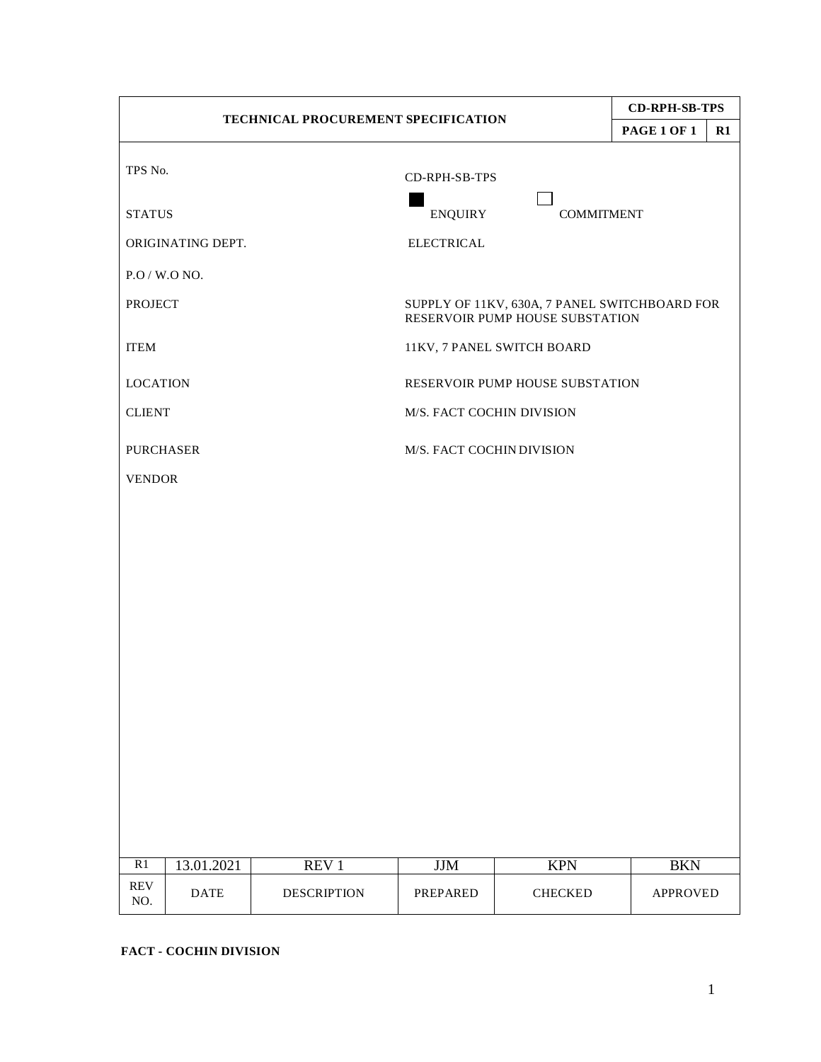| TECHNICAL PROCUREMENT SPECIFICATION |             |                    |                           |                                                                                  | <b>CD-RPH-SB-TPS</b> |               |  |
|-------------------------------------|-------------|--------------------|---------------------------|----------------------------------------------------------------------------------|----------------------|---------------|--|
|                                     |             |                    |                           |                                                                                  | <b>PAGE 1 OF 1</b>   | $\mathbf{R}1$ |  |
| TPS No.                             |             |                    | CD-RPH-SB-TPS             |                                                                                  |                      |               |  |
| <b>STATUS</b>                       |             |                    | <b>ENQUIRY</b>            | <b>COMMITMENT</b>                                                                |                      |               |  |
| ORIGINATING DEPT.                   |             |                    | <b>ELECTRICAL</b>         |                                                                                  |                      |               |  |
| P.O / W.O NO.                       |             |                    |                           |                                                                                  |                      |               |  |
| <b>PROJECT</b>                      |             |                    |                           | SUPPLY OF 11KV, 630A, 7 PANEL SWITCHBOARD FOR<br>RESERVOIR PUMP HOUSE SUBSTATION |                      |               |  |
| <b>ITEM</b>                         |             |                    |                           | 11KV, 7 PANEL SWITCH BOARD                                                       |                      |               |  |
| <b>LOCATION</b>                     |             |                    |                           | RESERVOIR PUMP HOUSE SUBSTATION                                                  |                      |               |  |
| <b>CLIENT</b>                       |             |                    | M/S. FACT COCHIN DIVISION |                                                                                  |                      |               |  |
| <b>PURCHASER</b>                    |             |                    | M/S. FACT COCHIN DIVISION |                                                                                  |                      |               |  |
| <b>VENDOR</b>                       |             |                    |                           |                                                                                  |                      |               |  |
|                                     |             |                    |                           |                                                                                  |                      |               |  |
|                                     |             |                    |                           |                                                                                  |                      |               |  |
|                                     |             |                    |                           |                                                                                  |                      |               |  |
|                                     |             |                    |                           |                                                                                  |                      |               |  |
|                                     |             |                    |                           |                                                                                  |                      |               |  |
|                                     |             |                    |                           |                                                                                  |                      |               |  |
|                                     |             |                    |                           |                                                                                  |                      |               |  |
|                                     |             |                    |                           |                                                                                  |                      |               |  |
|                                     |             |                    |                           |                                                                                  |                      |               |  |
|                                     |             |                    |                           |                                                                                  |                      |               |  |
|                                     |             |                    |                           |                                                                                  |                      |               |  |
| $\overline{R1}$                     | 13.01.2021  | REV <sub>1</sub>   | <b>JJM</b>                | <b>KPN</b>                                                                       | <b>BKN</b>           |               |  |
| <b>REV</b><br>NO.                   | <b>DATE</b> | <b>DESCRIPTION</b> | PREPARED                  | <b>CHECKED</b>                                                                   | <b>APPROVED</b>      |               |  |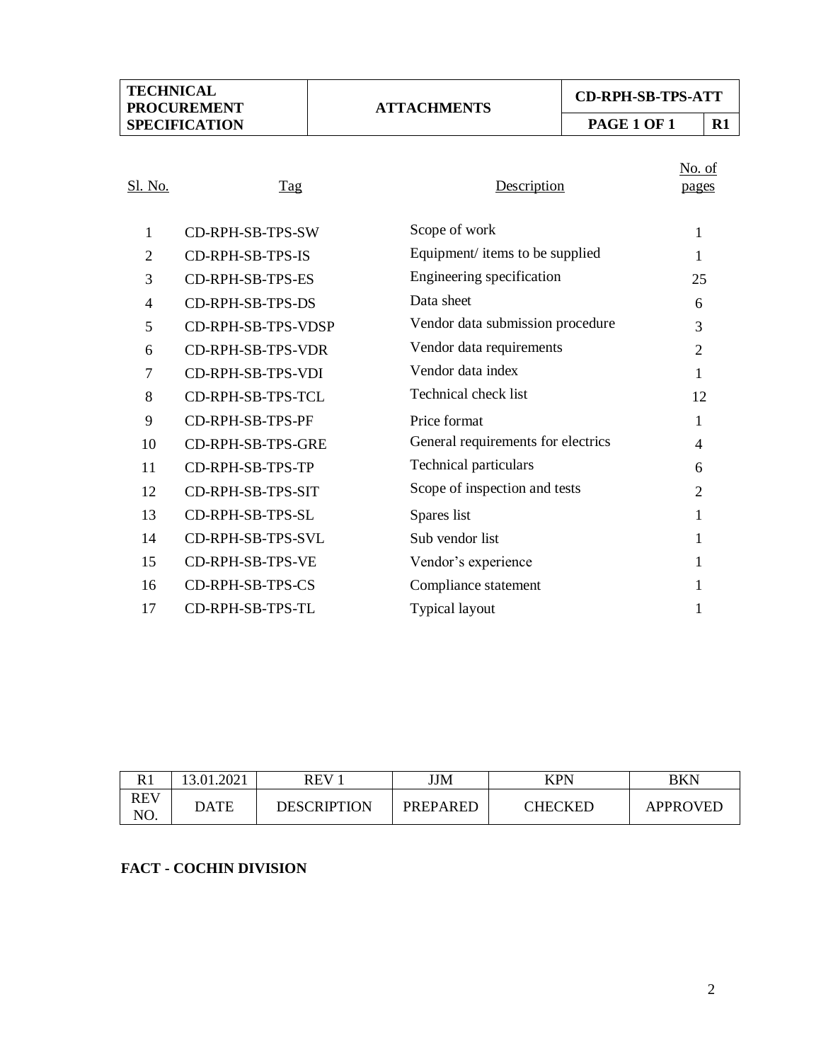## **ATTACHMENTS**

# **CD-RPH-SB-TPS-ATT**

**PAGE 1 OF 1 R1**

# No. of

| Sl. No. | Tag                | Description                        | pages          |
|---------|--------------------|------------------------------------|----------------|
| 1       | CD-RPH-SB-TPS-SW   | Scope of work                      | 1              |
| 2       | CD-RPH-SB-TPS-IS   | Equipment/ items to be supplied    | 1              |
| 3       | CD-RPH-SB-TPS-ES   | Engineering specification          | 25             |
| 4       | CD-RPH-SB-TPS-DS   | Data sheet                         | 6              |
| 5       | CD-RPH-SB-TPS-VDSP | Vendor data submission procedure   | 3              |
| 6       | CD-RPH-SB-TPS-VDR  | Vendor data requirements           | $\overline{2}$ |
| 7       | CD-RPH-SB-TPS-VDI  | Vendor data index                  | 1              |
| 8       | CD-RPH-SB-TPS-TCL  | Technical check list               | 12             |
| 9       | CD-RPH-SB-TPS-PF   | Price format                       | 1              |
| 10      | CD-RPH-SB-TPS-GRE  | General requirements for electrics | 4              |
| 11      | CD-RPH-SB-TPS-TP   | <b>Technical particulars</b>       | 6              |
| 12      | CD-RPH-SB-TPS-SIT  | Scope of inspection and tests      | 2              |
| 13      | CD-RPH-SB-TPS-SL   | Spares list                        | 1              |
| 14      | CD-RPH-SB-TPS-SVL  | Sub vendor list                    | 1              |
| 15      | CD-RPH-SB-TPS-VE   | Vendor's experience                | 1              |
| 16      | CD-RPH-SB-TPS-CS   | Compliance statement               | 1              |
| 17      | CD-RPH-SB-TPS-TL   | Typical layout                     | 1              |

| D <sub>1</sub>    | 01.2021<br>د ا | <b>REV</b>         | JJM             | <b>KPN</b> | BKN      |
|-------------------|----------------|--------------------|-----------------|------------|----------|
| <b>REV</b><br>NO. | DATE           | <b>DESCRIPTION</b> | <b>PREPARED</b> | CHECKED    | APPROVED |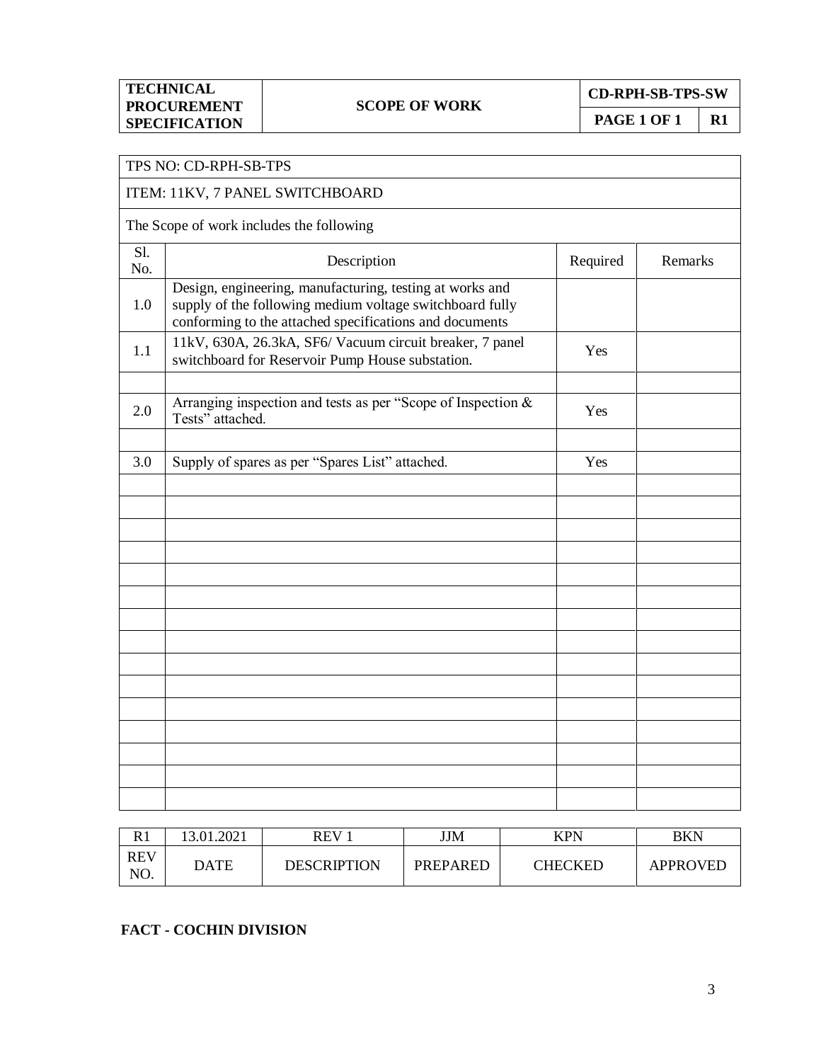**CD-RPH-SB-TPS-SW**

**PAGE 1 OF 1 R1**

|            | TPS NO: CD-RPH-SB-TPS                                                                                                                                                           |     |         |
|------------|---------------------------------------------------------------------------------------------------------------------------------------------------------------------------------|-----|---------|
|            | ITEM: 11KV, 7 PANEL SWITCHBOARD                                                                                                                                                 |     |         |
|            | The Scope of work includes the following                                                                                                                                        |     |         |
| S1.<br>No. | Description<br>Required                                                                                                                                                         |     | Remarks |
| 1.0        | Design, engineering, manufacturing, testing at works and<br>supply of the following medium voltage switchboard fully<br>conforming to the attached specifications and documents |     |         |
| 1.1        | 11kV, 630A, 26.3kA, SF6/ Vacuum circuit breaker, 7 panel<br>switchboard for Reservoir Pump House substation.                                                                    | Yes |         |
| 2.0        | Arranging inspection and tests as per "Scope of Inspection &<br>Tests" attached.                                                                                                | Yes |         |
| 3.0        | Supply of spares as per "Spares List" attached.                                                                                                                                 | Yes |         |
|            |                                                                                                                                                                                 |     |         |
|            |                                                                                                                                                                                 |     |         |
|            |                                                                                                                                                                                 |     |         |
|            |                                                                                                                                                                                 |     |         |
|            |                                                                                                                                                                                 |     |         |
|            |                                                                                                                                                                                 |     |         |
|            |                                                                                                                                                                                 |     |         |
|            |                                                                                                                                                                                 |     |         |
|            |                                                                                                                                                                                 |     |         |
|            |                                                                                                                                                                                 |     |         |
|            |                                                                                                                                                                                 |     |         |

| D 1<br>ГV         | 13.01.2021  | <b>REV</b>         | JJM             | <b>KPN</b> | BKN      |
|-------------------|-------------|--------------------|-----------------|------------|----------|
| <b>REV</b><br>NO. | <b>DATE</b> | <b>DESCRIPTION</b> | <b>PREPARED</b> | CHECKED    | APPROVED |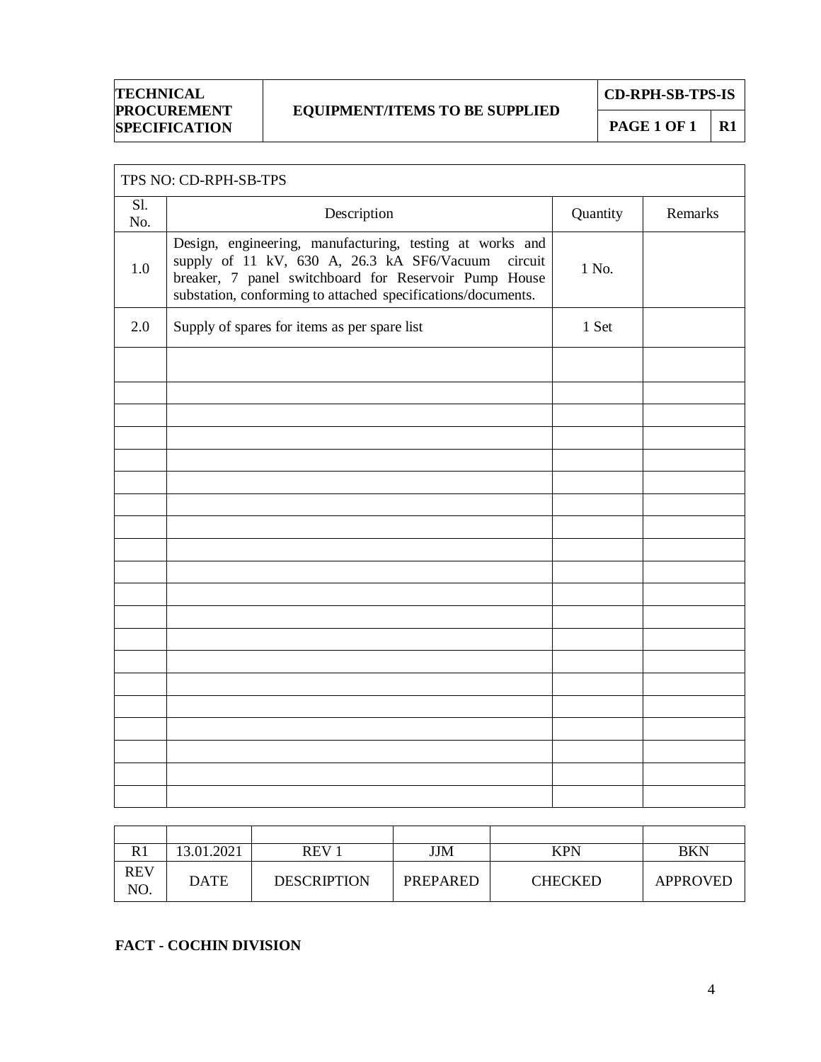## **EQUIPMENT/ITEMS TO BE SUPPLIED**

**CD-RPH-SB-TPS-IS**

**PAGE 1 OF 1** R1

|            | TPS NO: CD-RPH-SB-TPS                                                                                                                                                                                                                      |          |         |  |
|------------|--------------------------------------------------------------------------------------------------------------------------------------------------------------------------------------------------------------------------------------------|----------|---------|--|
| Sl.<br>No. | Description                                                                                                                                                                                                                                | Quantity | Remarks |  |
| 1.0        | Design, engineering, manufacturing, testing at works and<br>supply of 11 kV, 630 A, 26.3 kA SF6/Vacuum<br>circuit<br>breaker, 7 panel switchboard for Reservoir Pump House<br>substation, conforming to attached specifications/documents. | 1 No.    |         |  |
| 2.0        | Supply of spares for items as per spare list                                                                                                                                                                                               | 1 Set    |         |  |
|            |                                                                                                                                                                                                                                            |          |         |  |
|            |                                                                                                                                                                                                                                            |          |         |  |
|            |                                                                                                                                                                                                                                            |          |         |  |
|            |                                                                                                                                                                                                                                            |          |         |  |
|            |                                                                                                                                                                                                                                            |          |         |  |
|            |                                                                                                                                                                                                                                            |          |         |  |
|            |                                                                                                                                                                                                                                            |          |         |  |
|            |                                                                                                                                                                                                                                            |          |         |  |
|            |                                                                                                                                                                                                                                            |          |         |  |
|            |                                                                                                                                                                                                                                            |          |         |  |
|            |                                                                                                                                                                                                                                            |          |         |  |
|            |                                                                                                                                                                                                                                            |          |         |  |
|            |                                                                                                                                                                                                                                            |          |         |  |
|            |                                                                                                                                                                                                                                            |          |         |  |
|            |                                                                                                                                                                                                                                            |          |         |  |
|            |                                                                                                                                                                                                                                            |          |         |  |
|            |                                                                                                                                                                                                                                            |          |         |  |
|            |                                                                                                                                                                                                                                            |          |         |  |
|            |                                                                                                                                                                                                                                            |          |         |  |

| R <sub>1</sub>    | 13.01.2021  | REV <sub>1</sub>   | JJM             | <b>KPN</b>     | <b>BKN</b> |
|-------------------|-------------|--------------------|-----------------|----------------|------------|
| <b>REV</b><br>NO. | <b>DATE</b> | <b>DESCRIPTION</b> | <b>PREPARED</b> | <b>CHECKED</b> | APPROVED   |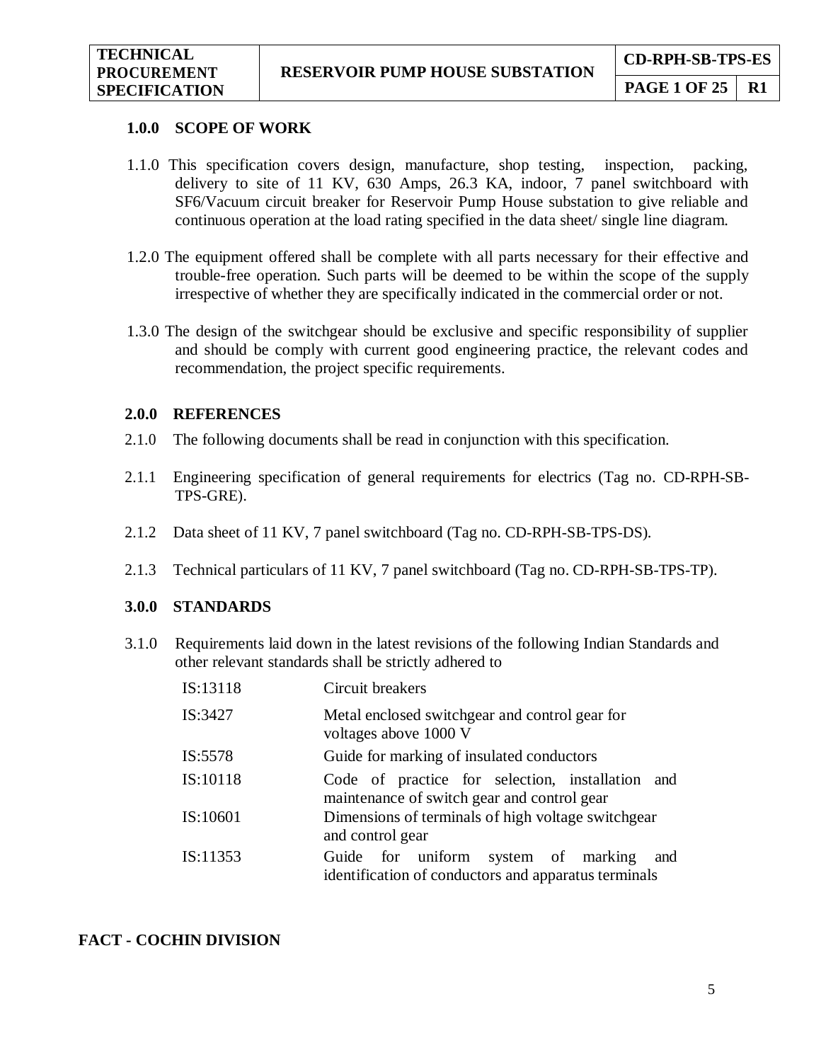#### **1.0.0 SCOPE OF WORK**

- 1.1.0 This specification covers design, manufacture, shop testing, inspection, packing, delivery to site of 11 KV, 630 Amps, 26.3 KA, indoor, 7 panel switchboard with SF6/Vacuum circuit breaker for Reservoir Pump House substation to give reliable and continuous operation at the load rating specified in the data sheet/ single line diagram.
- 1.2.0 The equipment offered shall be complete with all parts necessary for their effective and trouble-free operation. Such parts will be deemed to be within the scope of the supply irrespective of whether they are specifically indicated in the commercial order or not.
- 1.3.0 The design of the switchgear should be exclusive and specific responsibility of supplier and should be comply with current good engineering practice, the relevant codes and recommendation, the project specific requirements.

#### **2.0.0 REFERENCES**

- 2.1.0 The following documents shall be read in conjunction with this specification.
- 2.1.1 Engineering specification of general requirements for electrics (Tag no. CD-RPH-SB-TPS-GRE).
- 2.1.2 Data sheet of 11 KV, 7 panel switchboard (Tag no. CD-RPH-SB-TPS-DS).
- 2.1.3 Technical particulars of 11 KV, 7 panel switchboard (Tag no. CD-RPH-SB-TPS-TP).

## **3.0.0 STANDARDS**

3.1.0 Requirements laid down in the latest revisions of the following Indian Standards and other relevant standards shall be strictly adhered to

| IS:13118 | Circuit breakers                                                                                   |
|----------|----------------------------------------------------------------------------------------------------|
| IS:3427  | Metal enclosed switchgear and control gear for<br>voltages above 1000 V                            |
| IS:5578  | Guide for marking of insulated conductors                                                          |
| IS:10118 | Code of practice for selection, installation<br>and<br>maintenance of switch gear and control gear |
| IS:10601 | Dimensions of terminals of high voltage switchgear<br>and control gear                             |
| IS:11353 | Guide for uniform system of marking<br>and<br>identification of conductors and apparatus terminals |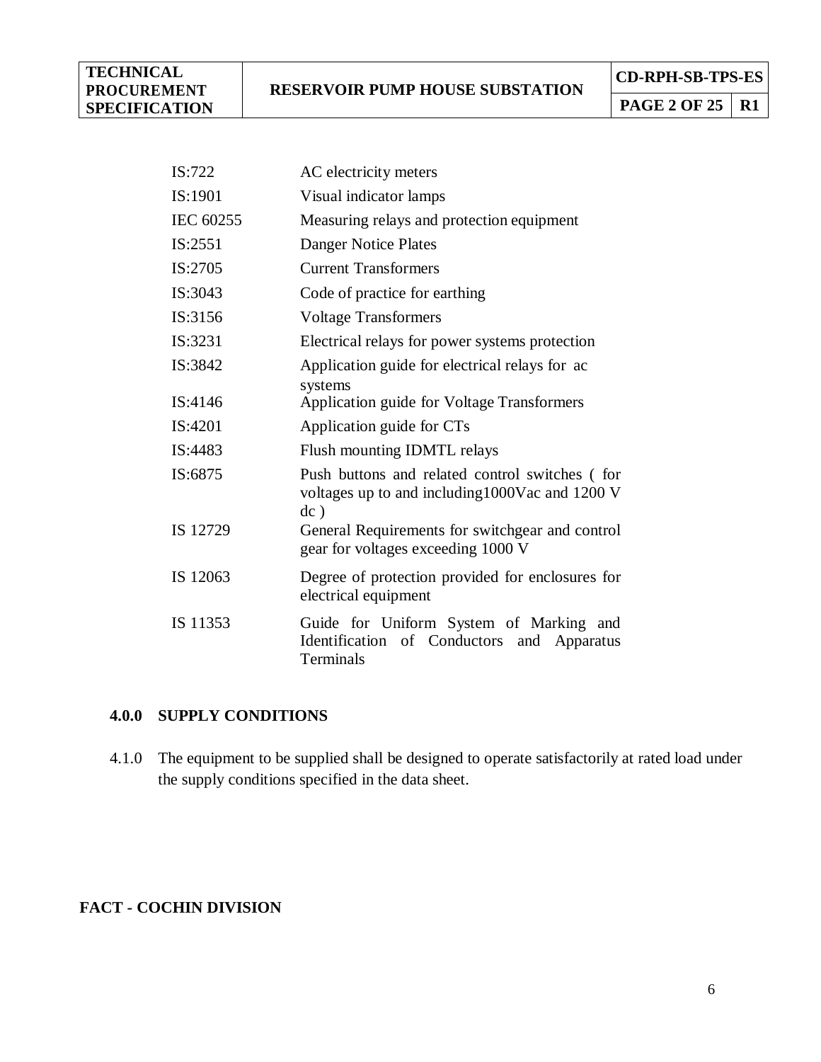**PAGE 2 OF 25** R1

| IS:722    | AC electricity meters                                                                                        |
|-----------|--------------------------------------------------------------------------------------------------------------|
| IS:1901   | Visual indicator lamps                                                                                       |
| IEC 60255 | Measuring relays and protection equipment                                                                    |
| IS:2551   | Danger Notice Plates                                                                                         |
| IS:2705   | <b>Current Transformers</b>                                                                                  |
| IS:3043   | Code of practice for earthing                                                                                |
| IS:3156   | <b>Voltage Transformers</b>                                                                                  |
| IS:3231   | Electrical relays for power systems protection                                                               |
| IS:3842   | Application guide for electrical relays for ac                                                               |
| IS:4146   | systems<br>Application guide for Voltage Transformers                                                        |
| IS:4201   | Application guide for CTs                                                                                    |
| IS:4483   | Flush mounting IDMTL relays                                                                                  |
| IS:6875   | Push buttons and related control switches (for<br>voltages up to and including 1000 Vac and 1200 V<br>$dc$ ) |
| IS 12729  | General Requirements for switchgear and control<br>gear for voltages exceeding 1000 V                        |
| IS 12063  | Degree of protection provided for enclosures for<br>electrical equipment                                     |
| IS 11353  | Guide for Uniform System of Marking and<br>Identification of Conductors<br>and Apparatus<br>Terminals        |

## **4.0.0 SUPPLY CONDITIONS**

4.1.0 The equipment to be supplied shall be designed to operate satisfactorily at rated load under the supply conditions specified in the data sheet.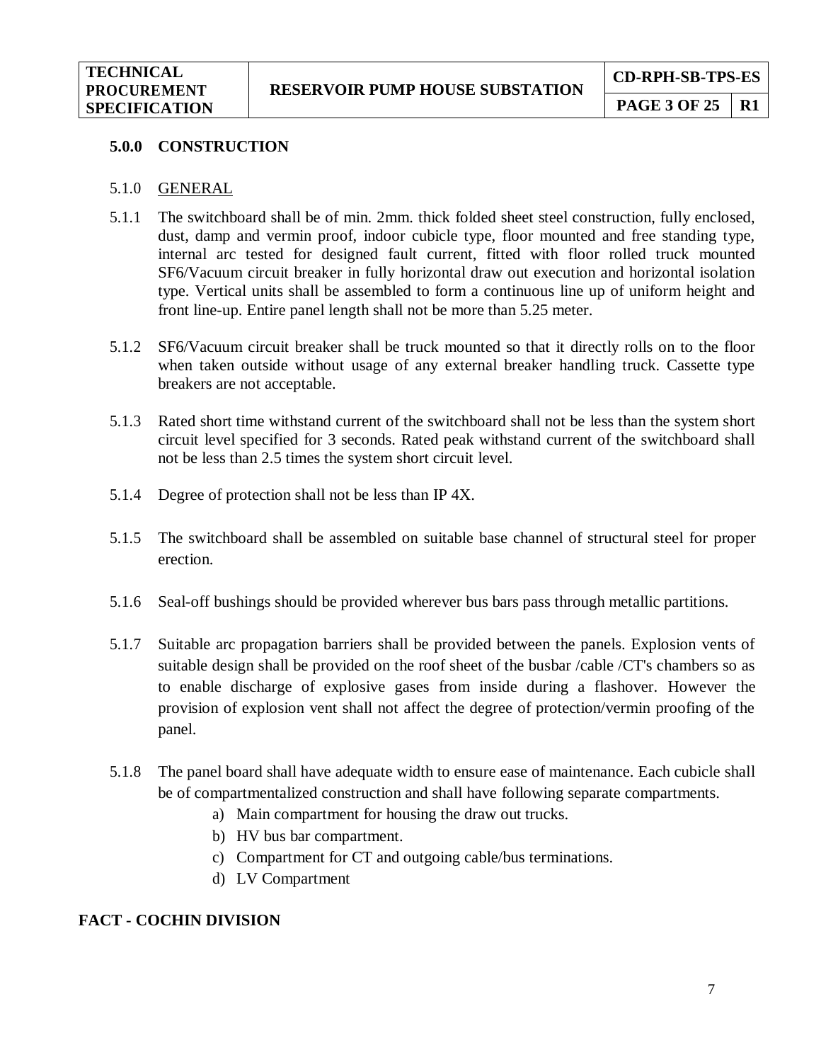#### **5.0.0 CONSTRUCTION**

- 5.1.0 GENERAL
- 5.1.1 The switchboard shall be of min. 2mm. thick folded sheet steel construction, fully enclosed, dust, damp and vermin proof, indoor cubicle type, floor mounted and free standing type, internal arc tested for designed fault current, fitted with floor rolled truck mounted SF6/Vacuum circuit breaker in fully horizontal draw out execution and horizontal isolation type. Vertical units shall be assembled to form a continuous line up of uniform height and front line-up. Entire panel length shall not be more than 5.25 meter.
- 5.1.2 SF6/Vacuum circuit breaker shall be truck mounted so that it directly rolls on to the floor when taken outside without usage of any external breaker handling truck. Cassette type breakers are not acceptable.
- 5.1.3 Rated short time withstand current of the switchboard shall not be less than the system short circuit level specified for 3 seconds. Rated peak withstand current of the switchboard shall not be less than 2.5 times the system short circuit level.
- 5.1.4 Degree of protection shall not be less than IP 4X.
- 5.1.5 The switchboard shall be assembled on suitable base channel of structural steel for proper erection.
- 5.1.6 Seal-off bushings should be provided wherever bus bars pass through metallic partitions.
- 5.1.7 Suitable arc propagation barriers shall be provided between the panels. Explosion vents of suitable design shall be provided on the roof sheet of the busbar /cable /CT's chambers so as to enable discharge of explosive gases from inside during a flashover. However the provision of explosion vent shall not affect the degree of protection/vermin proofing of the panel.
- 5.1.8 The panel board shall have adequate width to ensure ease of maintenance. Each cubicle shall be of compartmentalized construction and shall have following separate compartments.
	- a) Main compartment for housing the draw out trucks.
	- b) HV bus bar compartment.
	- c) Compartment for CT and outgoing cable/bus terminations.
	- d) LV Compartment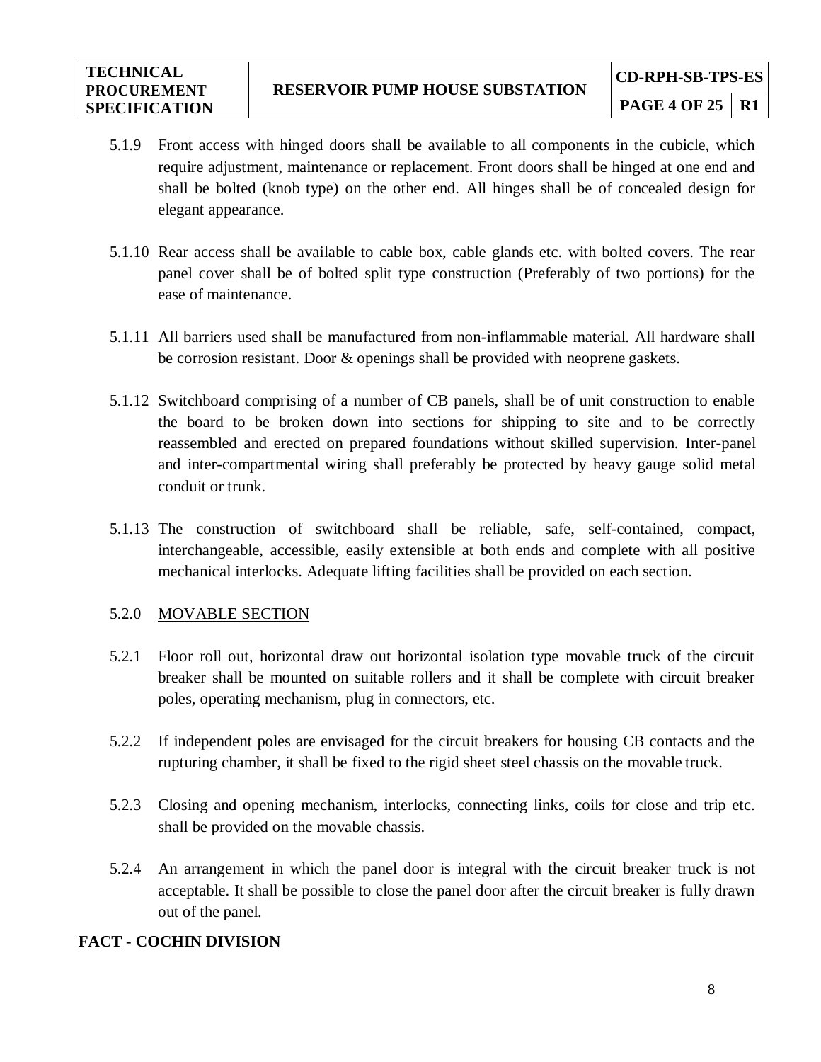- 5.1.9 Front access with hinged doors shall be available to all components in the cubicle, which require adjustment, maintenance or replacement. Front doors shall be hinged at one end and shall be bolted (knob type) on the other end. All hinges shall be of concealed design for elegant appearance.
- 5.1.10 Rear access shall be available to cable box, cable glands etc. with bolted covers. The rear panel cover shall be of bolted split type construction (Preferably of two portions) for the ease of maintenance.
- 5.1.11 All barriers used shall be manufactured from non-inflammable material. All hardware shall be corrosion resistant. Door & openings shall be provided with neoprene gaskets.
- 5.1.12 Switchboard comprising of a number of CB panels, shall be of unit construction to enable the board to be broken down into sections for shipping to site and to be correctly reassembled and erected on prepared foundations without skilled supervision. Inter-panel and inter-compartmental wiring shall preferably be protected by heavy gauge solid metal conduit or trunk.
- 5.1.13 The construction of switchboard shall be reliable, safe, self-contained, compact, interchangeable, accessible, easily extensible at both ends and complete with all positive mechanical interlocks. Adequate lifting facilities shall be provided on each section.

## 5.2.0 MOVABLE SECTION

- 5.2.1 Floor roll out, horizontal draw out horizontal isolation type movable truck of the circuit breaker shall be mounted on suitable rollers and it shall be complete with circuit breaker poles, operating mechanism, plug in connectors, etc.
- 5.2.2 If independent poles are envisaged for the circuit breakers for housing CB contacts and the rupturing chamber, it shall be fixed to the rigid sheet steel chassis on the movable truck.
- 5.2.3 Closing and opening mechanism, interlocks, connecting links, coils for close and trip etc. shall be provided on the movable chassis.
- 5.2.4 An arrangement in which the panel door is integral with the circuit breaker truck is not acceptable. It shall be possible to close the panel door after the circuit breaker is fully drawn out of the panel.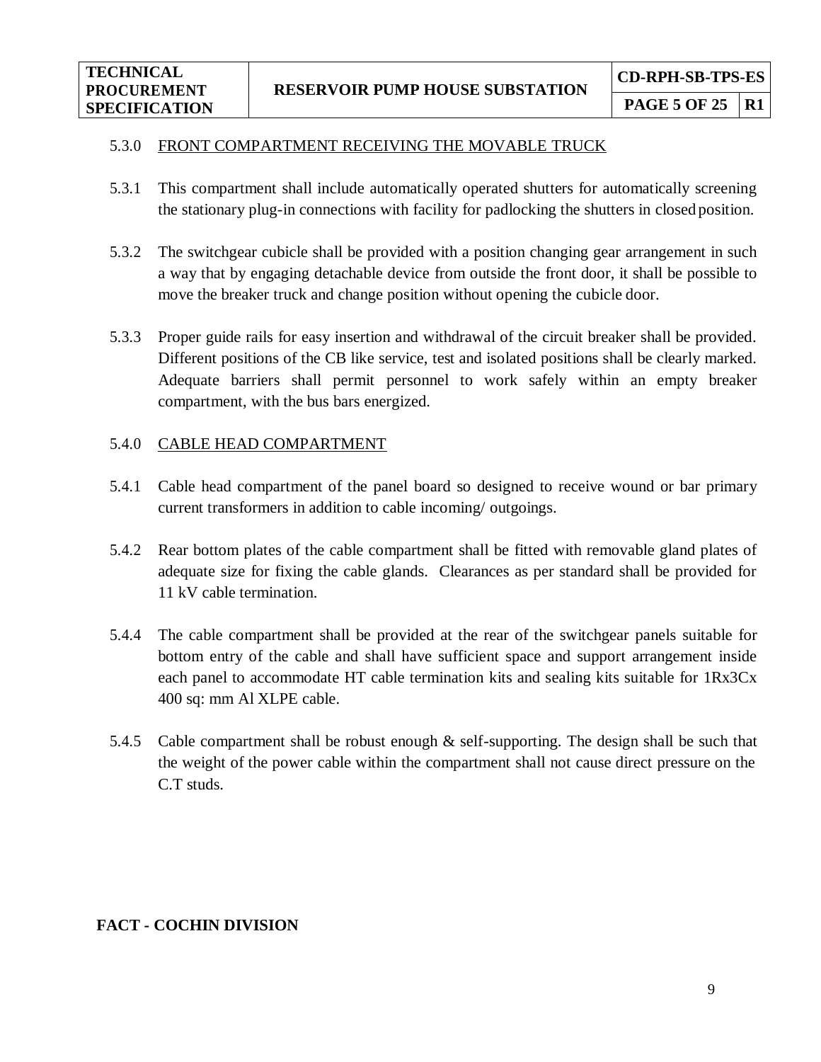## 5.3.0 FRONT COMPARTMENT RECEIVING THE MOVABLE TRUCK

- 5.3.1 This compartment shall include automatically operated shutters for automatically screening the stationary plug-in connections with facility for padlocking the shutters in closed position.
- 5.3.2 The switchgear cubicle shall be provided with a position changing gear arrangement in such a way that by engaging detachable device from outside the front door, it shall be possible to move the breaker truck and change position without opening the cubicle door.
- 5.3.3 Proper guide rails for easy insertion and withdrawal of the circuit breaker shall be provided. Different positions of the CB like service, test and isolated positions shall be clearly marked. Adequate barriers shall permit personnel to work safely within an empty breaker compartment, with the bus bars energized.

#### 5.4.0 CABLE HEAD COMPARTMENT

- 5.4.1 Cable head compartment of the panel board so designed to receive wound or bar primary current transformers in addition to cable incoming/ outgoings.
- 5.4.2 Rear bottom plates of the cable compartment shall be fitted with removable gland plates of adequate size for fixing the cable glands. Clearances as per standard shall be provided for 11 kV cable termination.
- 5.4.4 The cable compartment shall be provided at the rear of the switchgear panels suitable for bottom entry of the cable and shall have sufficient space and support arrangement inside each panel to accommodate HT cable termination kits and sealing kits suitable for 1Rx3Cx 400 sq: mm Al XLPE cable.
- 5.4.5 Cable compartment shall be robust enough & self-supporting. The design shall be such that the weight of the power cable within the compartment shall not cause direct pressure on the C.T studs.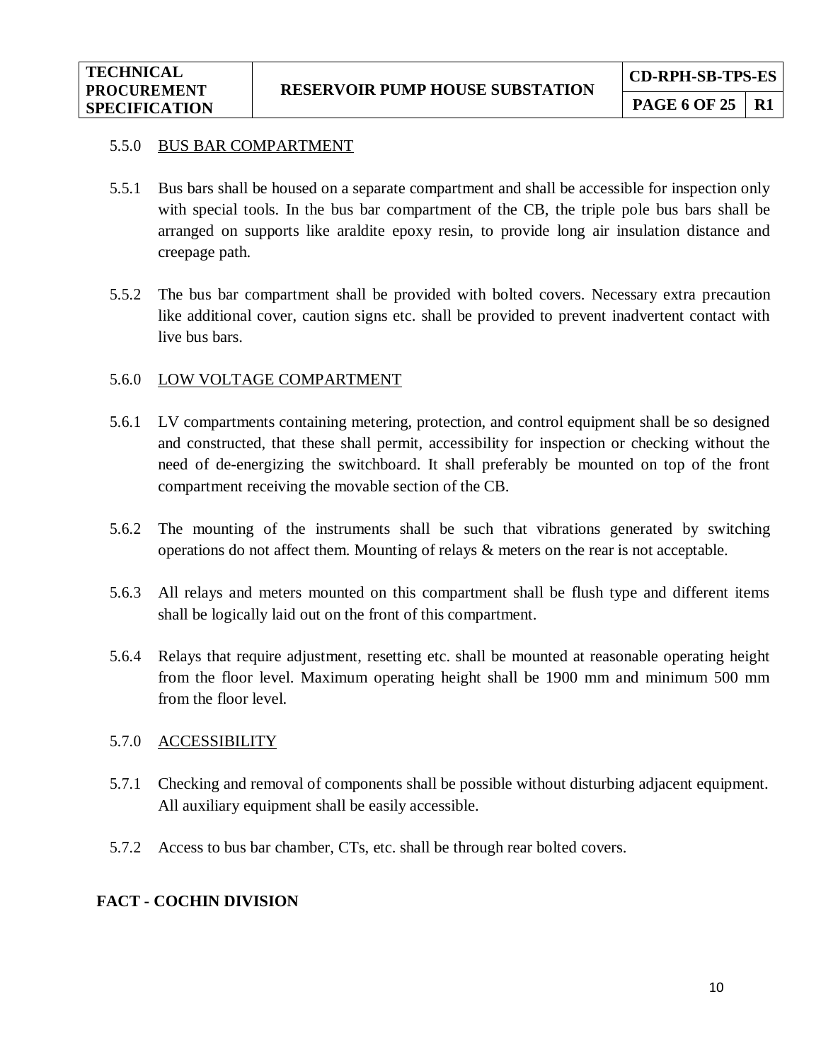#### 5.5.0 BUS BAR COMPARTMENT

- 5.5.1 Bus bars shall be housed on a separate compartment and shall be accessible for inspection only with special tools. In the bus bar compartment of the CB, the triple pole bus bars shall be arranged on supports like araldite epoxy resin, to provide long air insulation distance and creepage path.
- 5.5.2 The bus bar compartment shall be provided with bolted covers. Necessary extra precaution like additional cover, caution signs etc. shall be provided to prevent inadvertent contact with live bus bars.

#### 5.6.0 LOW VOLTAGE COMPARTMENT

- 5.6.1 LV compartments containing metering, protection, and control equipment shall be so designed and constructed, that these shall permit, accessibility for inspection or checking without the need of de-energizing the switchboard. It shall preferably be mounted on top of the front compartment receiving the movable section of the CB.
- 5.6.2 The mounting of the instruments shall be such that vibrations generated by switching operations do not affect them. Mounting of relays & meters on the rear is not acceptable.
- 5.6.3 All relays and meters mounted on this compartment shall be flush type and different items shall be logically laid out on the front of this compartment.
- 5.6.4 Relays that require adjustment, resetting etc. shall be mounted at reasonable operating height from the floor level. Maximum operating height shall be 1900 mm and minimum 500 mm from the floor level.

#### 5.7.0 ACCESSIBILITY

- 5.7.1 Checking and removal of components shall be possible without disturbing adjacent equipment. All auxiliary equipment shall be easily accessible.
- 5.7.2 Access to bus bar chamber, CTs, etc. shall be through rear bolted covers.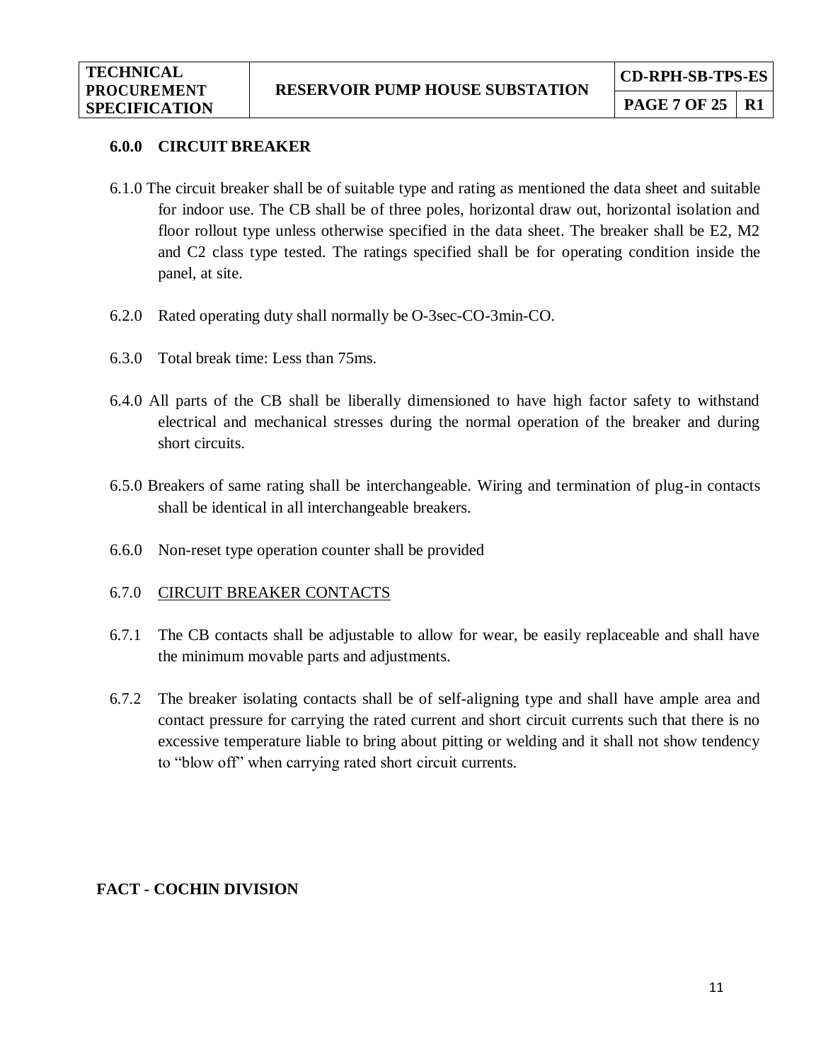#### **6.0.0 CIRCUIT BREAKER**

- 6.1.0 The circuit breaker shall be of suitable type and rating as mentioned the data sheet and suitable for indoor use. The CB shall be of three poles, horizontal draw out, horizontal isolation and floor rollout type unless otherwise specified in the data sheet. The breaker shall be E2, M2 and C2 class type tested. The ratings specified shall be for operating condition inside the panel, at site.
- 6.2.0 Rated operating duty shall normally be O-3sec-CO-3min-CO.
- 6.3.0 Total break time: Less than 75ms.
- 6.4.0 All parts of the CB shall be liberally dimensioned to have high factor safety to withstand electrical and mechanical stresses during the normal operation of the breaker and during short circuits.
- 6.5.0 Breakers of same rating shall be interchangeable. Wiring and termination of plug-in contacts shall be identical in all interchangeable breakers.
- 6.6.0 Non-reset type operation counter shall be provided

#### 6.7.0 CIRCUIT BREAKER CONTACTS

- 6.7.1 The CB contacts shall be adjustable to allow for wear, be easily replaceable and shall have the minimum movable parts and adjustments.
- 6.7.2 The breaker isolating contacts shall be of self-aligning type and shall have ample area and contact pressure for carrying the rated current and short circuit currents such that there is no excessive temperature liable to bring about pitting or welding and it shall not show tendency to "blow off" when carrying rated short circuit currents.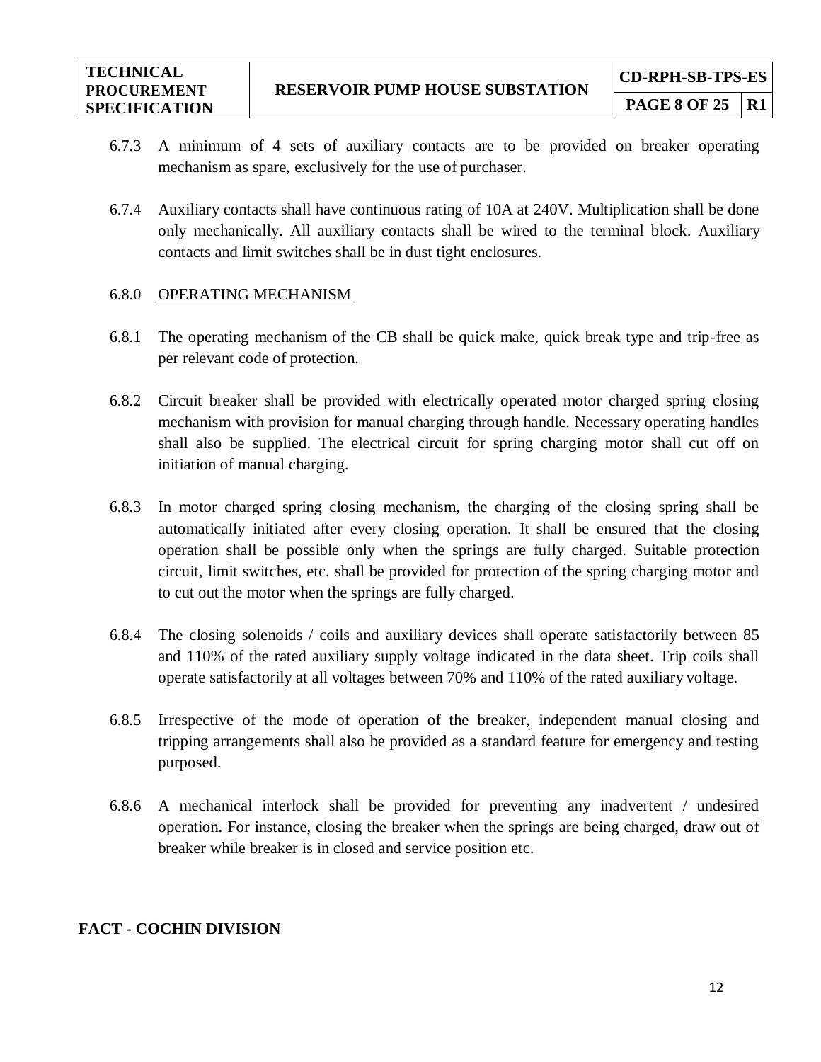- **PAGE 8 OF 25 | R1**
- 6.7.3 A minimum of 4 sets of auxiliary contacts are to be provided on breaker operating mechanism as spare, exclusively for the use of purchaser.
- 6.7.4 Auxiliary contacts shall have continuous rating of 10A at 240V. Multiplication shall be done only mechanically. All auxiliary contacts shall be wired to the terminal block. Auxiliary contacts and limit switches shall be in dust tight enclosures.

#### 6.8.0 OPERATING MECHANISM

- 6.8.1 The operating mechanism of the CB shall be quick make, quick break type and trip-free as per relevant code of protection.
- 6.8.2 Circuit breaker shall be provided with electrically operated motor charged spring closing mechanism with provision for manual charging through handle. Necessary operating handles shall also be supplied. The electrical circuit for spring charging motor shall cut off on initiation of manual charging.
- 6.8.3 In motor charged spring closing mechanism, the charging of the closing spring shall be automatically initiated after every closing operation. It shall be ensured that the closing operation shall be possible only when the springs are fully charged. Suitable protection circuit, limit switches, etc. shall be provided for protection of the spring charging motor and to cut out the motor when the springs are fully charged.
- 6.8.4 The closing solenoids / coils and auxiliary devices shall operate satisfactorily between 85 and 110% of the rated auxiliary supply voltage indicated in the data sheet. Trip coils shall operate satisfactorily at all voltages between 70% and 110% of the rated auxiliary voltage.
- 6.8.5 Irrespective of the mode of operation of the breaker, independent manual closing and tripping arrangements shall also be provided as a standard feature for emergency and testing purposed.
- 6.8.6 A mechanical interlock shall be provided for preventing any inadvertent / undesired operation. For instance, closing the breaker when the springs are being charged, draw out of breaker while breaker is in closed and service position etc.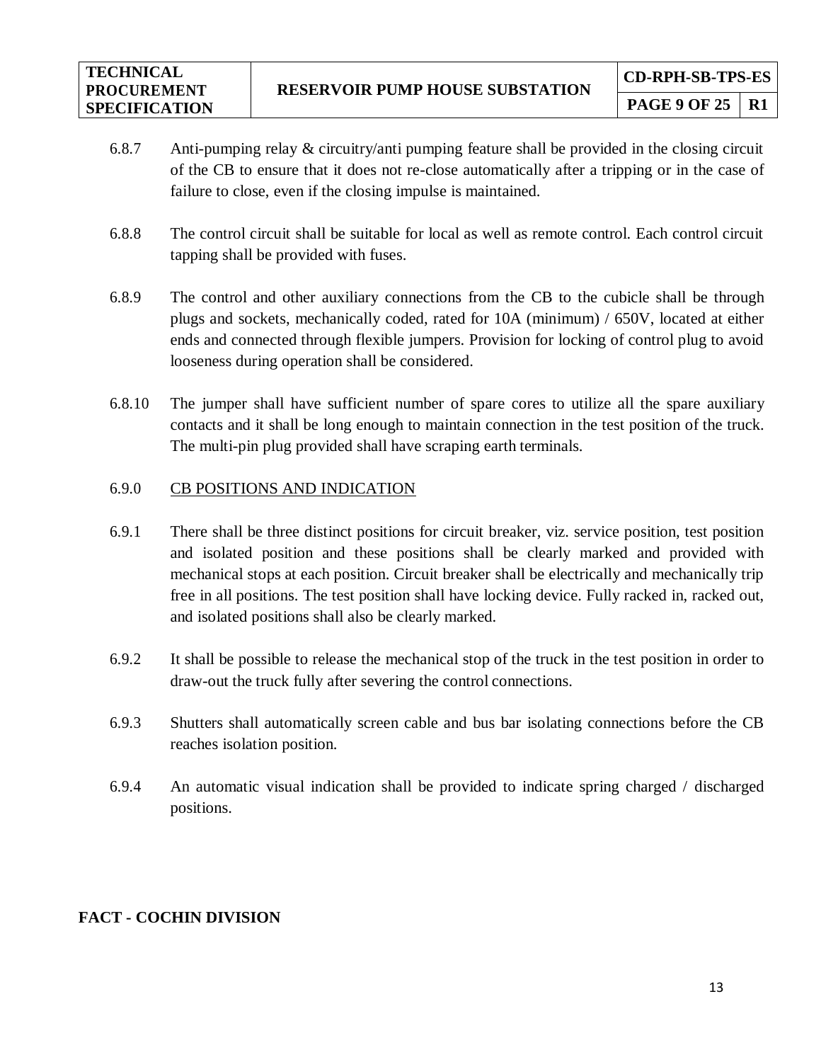- 6.8.7 Anti-pumping relay & circuitry/anti pumping feature shall be provided in the closing circuit of the CB to ensure that it does not re-close automatically after a tripping or in the case of failure to close, even if the closing impulse is maintained.
- 6.8.8 The control circuit shall be suitable for local as well as remote control. Each control circuit tapping shall be provided with fuses.
- 6.8.9 The control and other auxiliary connections from the CB to the cubicle shall be through plugs and sockets, mechanically coded, rated for 10A (minimum) / 650V, located at either ends and connected through flexible jumpers. Provision for locking of control plug to avoid looseness during operation shall be considered.
- 6.8.10 The jumper shall have sufficient number of spare cores to utilize all the spare auxiliary contacts and it shall be long enough to maintain connection in the test position of the truck. The multi-pin plug provided shall have scraping earth terminals.

## 6.9.0 CB POSITIONS AND INDICATION

- 6.9.1 There shall be three distinct positions for circuit breaker, viz. service position, test position and isolated position and these positions shall be clearly marked and provided with mechanical stops at each position. Circuit breaker shall be electrically and mechanically trip free in all positions. The test position shall have locking device. Fully racked in, racked out, and isolated positions shall also be clearly marked.
- 6.9.2 It shall be possible to release the mechanical stop of the truck in the test position in order to draw-out the truck fully after severing the control connections.
- 6.9.3 Shutters shall automatically screen cable and bus bar isolating connections before the CB reaches isolation position.
- 6.9.4 An automatic visual indication shall be provided to indicate spring charged / discharged positions.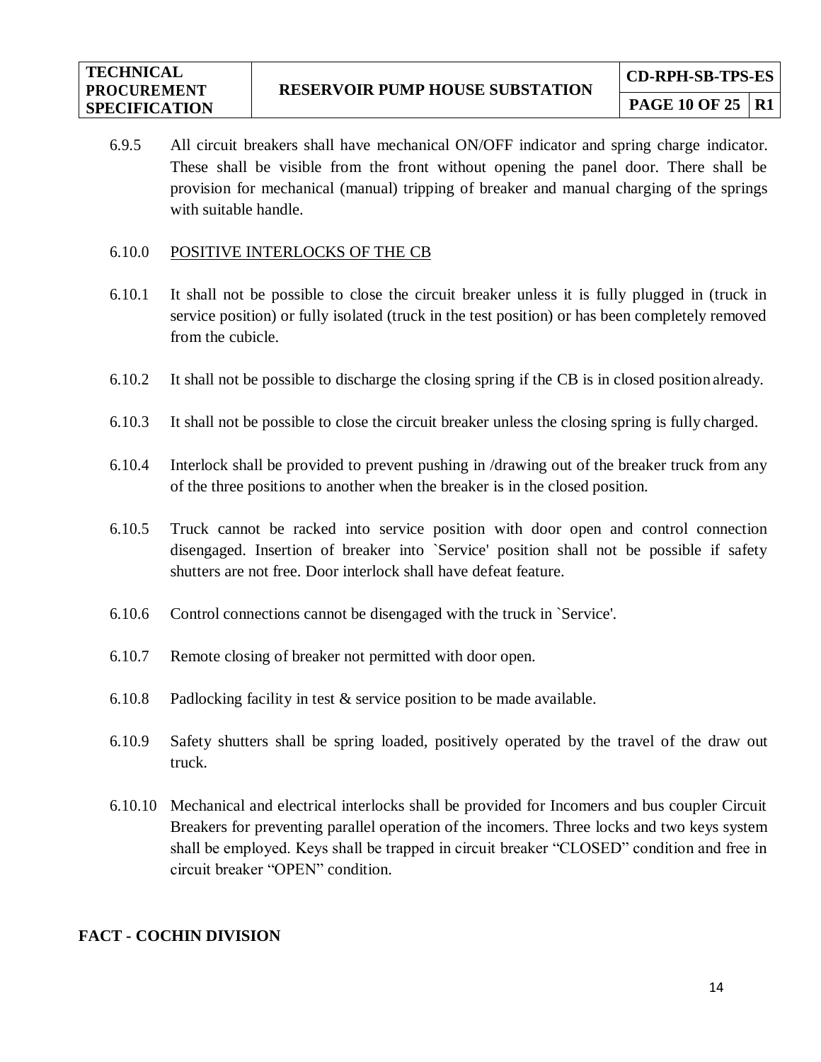6.9.5 All circuit breakers shall have mechanical ON/OFF indicator and spring charge indicator. These shall be visible from the front without opening the panel door. There shall be provision for mechanical (manual) tripping of breaker and manual charging of the springs with suitable handle.

## 6.10.0 POSITIVE INTERLOCKS OF THE CB

- 6.10.1 It shall not be possible to close the circuit breaker unless it is fully plugged in (truck in service position) or fully isolated (truck in the test position) or has been completely removed from the cubicle.
- 6.10.2 It shall not be possible to discharge the closing spring if the CB is in closed position already.
- 6.10.3 It shall not be possible to close the circuit breaker unless the closing spring is fully charged.
- 6.10.4 Interlock shall be provided to prevent pushing in /drawing out of the breaker truck from any of the three positions to another when the breaker is in the closed position.
- 6.10.5 Truck cannot be racked into service position with door open and control connection disengaged. Insertion of breaker into `Service' position shall not be possible if safety shutters are not free. Door interlock shall have defeat feature.
- 6.10.6 Control connections cannot be disengaged with the truck in `Service'.
- 6.10.7 Remote closing of breaker not permitted with door open.
- 6.10.8 Padlocking facility in test  $&$  service position to be made available.
- 6.10.9 Safety shutters shall be spring loaded, positively operated by the travel of the draw out truck.
- 6.10.10 Mechanical and electrical interlocks shall be provided for Incomers and bus coupler Circuit Breakers for preventing parallel operation of the incomers. Three locks and two keys system shall be employed. Keys shall be trapped in circuit breaker "CLOSED" condition and free in circuit breaker "OPEN" condition.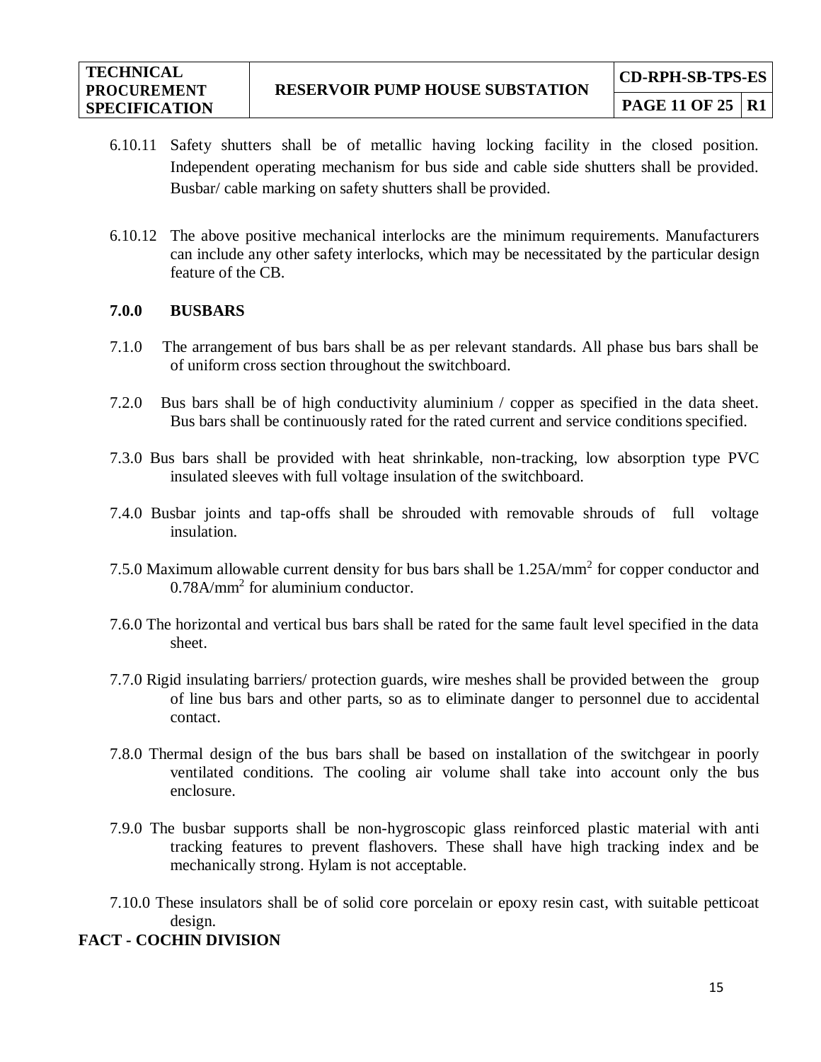- 6.10.11 Safety shutters shall be of metallic having locking facility in the closed position. Independent operating mechanism for bus side and cable side shutters shall be provided. Busbar/ cable marking on safety shutters shall be provided.
- 6.10.12 The above positive mechanical interlocks are the minimum requirements. Manufacturers can include any other safety interlocks, which may be necessitated by the particular design feature of the CB.

#### **7.0.0 BUSBARS**

- 7.1.0 The arrangement of bus bars shall be as per relevant standards. All phase bus bars shall be of uniform cross section throughout the switchboard.
- 7.2.0 Bus bars shall be of high conductivity aluminium / copper as specified in the data sheet. Bus bars shall be continuously rated for the rated current and service conditions specified.
- 7.3.0 Bus bars shall be provided with heat shrinkable, non-tracking, low absorption type PVC insulated sleeves with full voltage insulation of the switchboard.
- 7.4.0 Busbar joints and tap-offs shall be shrouded with removable shrouds of full voltage insulation.
- 7.5.0 Maximum allowable current density for bus bars shall be 1.25A/mm<sup>2</sup> for copper conductor and 0.78A/mm<sup>2</sup> for aluminium conductor.
- 7.6.0 The horizontal and vertical bus bars shall be rated for the same fault level specified in the data sheet.
- 7.7.0 Rigid insulating barriers/ protection guards, wire meshes shall be provided between the group of line bus bars and other parts, so as to eliminate danger to personnel due to accidental contact.
- 7.8.0 Thermal design of the bus bars shall be based on installation of the switchgear in poorly ventilated conditions. The cooling air volume shall take into account only the bus enclosure.
- 7.9.0 The busbar supports shall be non-hygroscopic glass reinforced plastic material with anti tracking features to prevent flashovers. These shall have high tracking index and be mechanically strong. Hylam is not acceptable.
- 7.10.0 These insulators shall be of solid core porcelain or epoxy resin cast, with suitable petticoat design.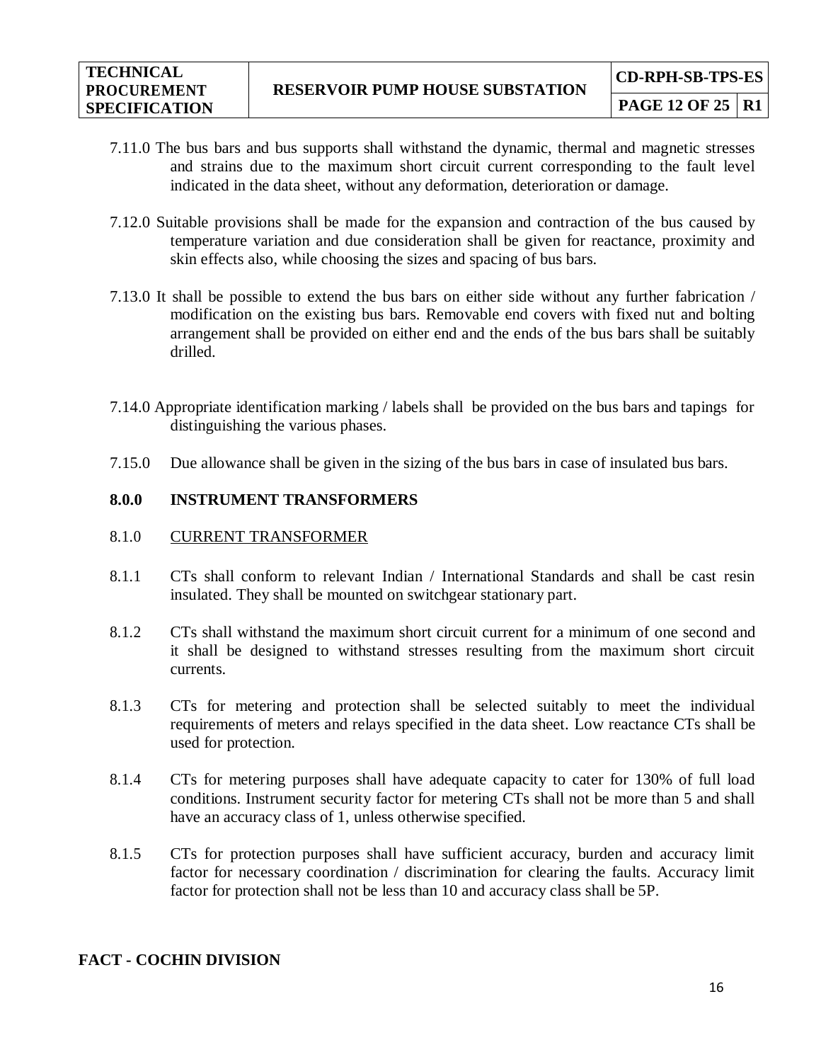- 7.11.0 The bus bars and bus supports shall withstand the dynamic, thermal and magnetic stresses and strains due to the maximum short circuit current corresponding to the fault level indicated in the data sheet, without any deformation, deterioration or damage.
- 7.12.0 Suitable provisions shall be made for the expansion and contraction of the bus caused by temperature variation and due consideration shall be given for reactance, proximity and skin effects also, while choosing the sizes and spacing of bus bars.
- 7.13.0 It shall be possible to extend the bus bars on either side without any further fabrication / modification on the existing bus bars. Removable end covers with fixed nut and bolting arrangement shall be provided on either end and the ends of the bus bars shall be suitably drilled.
- 7.14.0 Appropriate identification marking / labels shall be provided on the bus bars and tapings for distinguishing the various phases.
- 7.15.0 Due allowance shall be given in the sizing of the bus bars in case of insulated bus bars.

## **8.0.0 INSTRUMENT TRANSFORMERS**

#### 8.1.0 CURRENT TRANSFORMER

- 8.1.1 CTs shall conform to relevant Indian / International Standards and shall be cast resin insulated. They shall be mounted on switchgear stationary part.
- 8.1.2 CTs shall withstand the maximum short circuit current for a minimum of one second and it shall be designed to withstand stresses resulting from the maximum short circuit currents.
- 8.1.3 CTs for metering and protection shall be selected suitably to meet the individual requirements of meters and relays specified in the data sheet. Low reactance CTs shall be used for protection.
- 8.1.4 CTs for metering purposes shall have adequate capacity to cater for 130% of full load conditions. Instrument security factor for metering CTs shall not be more than 5 and shall have an accuracy class of 1, unless otherwise specified.
- 8.1.5 CTs for protection purposes shall have sufficient accuracy, burden and accuracy limit factor for necessary coordination / discrimination for clearing the faults. Accuracy limit factor for protection shall not be less than 10 and accuracy class shall be 5P.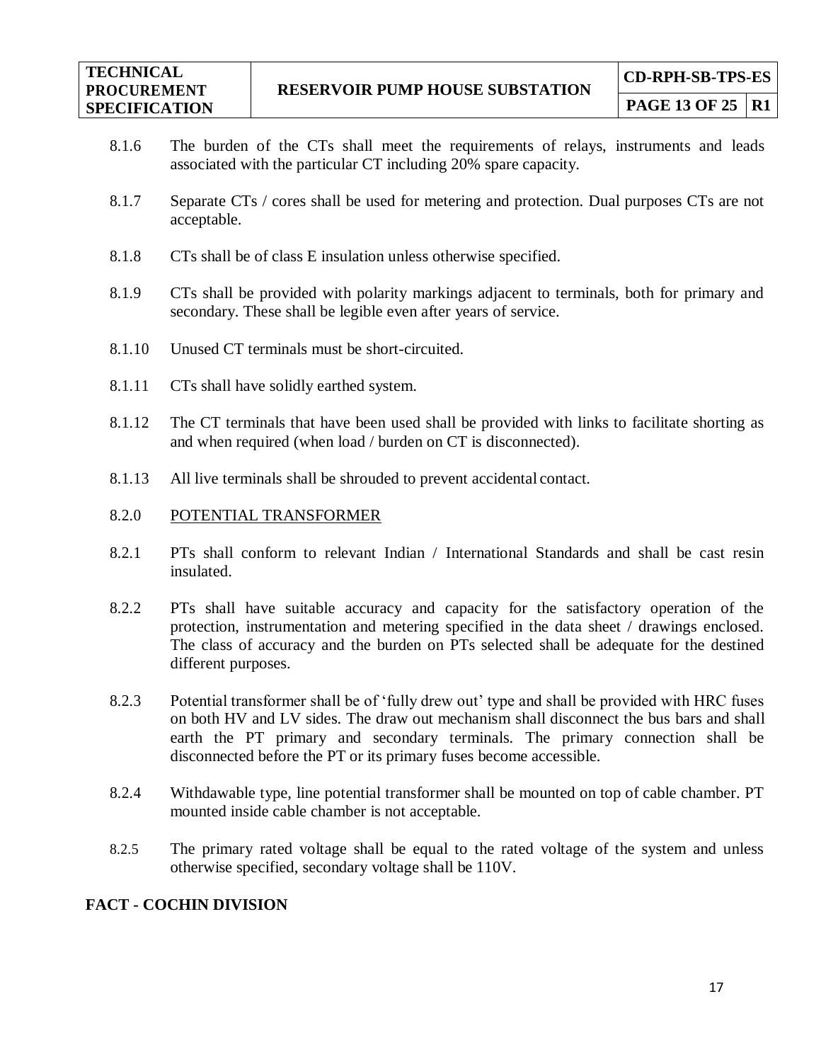- 8.1.6 The burden of the CTs shall meet the requirements of relays, instruments and leads associated with the particular CT including 20% spare capacity.
- 8.1.7 Separate CTs / cores shall be used for metering and protection. Dual purposes CTs are not acceptable.
- 8.1.8 CTs shall be of class E insulation unless otherwise specified.
- 8.1.9 CTs shall be provided with polarity markings adjacent to terminals, both for primary and secondary. These shall be legible even after years of service.
- 8.1.10 Unused CT terminals must be short-circuited.
- 8.1.11 CTs shall have solidly earthed system.
- 8.1.12 The CT terminals that have been used shall be provided with links to facilitate shorting as and when required (when load / burden on CT is disconnected).
- 8.1.13 All live terminals shall be shrouded to prevent accidental contact.
- 8.2.0 POTENTIAL TRANSFORMER
- 8.2.1 PTs shall conform to relevant Indian / International Standards and shall be cast resin insulated.
- 8.2.2 PTs shall have suitable accuracy and capacity for the satisfactory operation of the protection, instrumentation and metering specified in the data sheet / drawings enclosed. The class of accuracy and the burden on PTs selected shall be adequate for the destined different purposes.
- 8.2.3 Potential transformer shall be of 'fully drew out' type and shall be provided with HRC fuses on both HV and LV sides. The draw out mechanism shall disconnect the bus bars and shall earth the PT primary and secondary terminals. The primary connection shall be disconnected before the PT or its primary fuses become accessible.
- 8.2.4 Withdawable type, line potential transformer shall be mounted on top of cable chamber. PT mounted inside cable chamber is not acceptable.
- 8.2.5 The primary rated voltage shall be equal to the rated voltage of the system and unless otherwise specified, secondary voltage shall be 110V.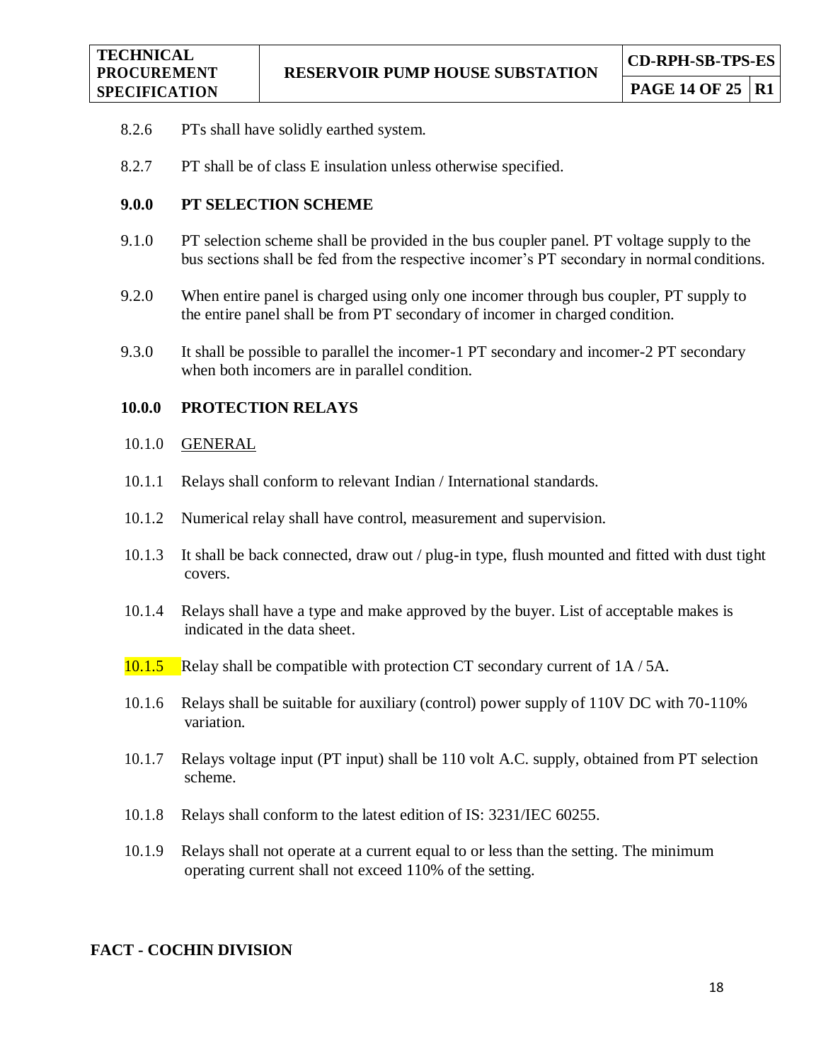- 8.2.6 PTs shall have solidly earthed system.
- 8.2.7 PT shall be of class E insulation unless otherwise specified.

#### **9.0.0 PT SELECTION SCHEME**

- 9.1.0 PT selection scheme shall be provided in the bus coupler panel. PT voltage supply to the bus sections shall be fed from the respective incomer's PT secondary in normal conditions.
- 9.2.0 When entire panel is charged using only one incomer through bus coupler, PT supply to the entire panel shall be from PT secondary of incomer in charged condition.
- 9.3.0 It shall be possible to parallel the incomer-1 PT secondary and incomer-2 PT secondary when both incomers are in parallel condition.

#### **10.0.0 PROTECTION RELAYS**

- 10.1.0 GENERAL
- 10.1.1 Relays shall conform to relevant Indian / International standards.
- 10.1.2 Numerical relay shall have control, measurement and supervision.
- 10.1.3 It shall be back connected, draw out / plug-in type, flush mounted and fitted with dust tight covers.
- 10.1.4 Relays shall have a type and make approved by the buyer. List of acceptable makes is indicated in the data sheet.
- 10.1.5 Relay shall be compatible with protection CT secondary current of 1A / 5A.
- 10.1.6 Relays shall be suitable for auxiliary (control) power supply of 110V DC with 70-110% variation.
- 10.1.7 Relays voltage input (PT input) shall be 110 volt A.C. supply, obtained from PT selection scheme.
- 10.1.8 Relays shall conform to the latest edition of IS: 3231/IEC 60255.
- 10.1.9 Relays shall not operate at a current equal to or less than the setting. The minimum operating current shall not exceed 110% of the setting.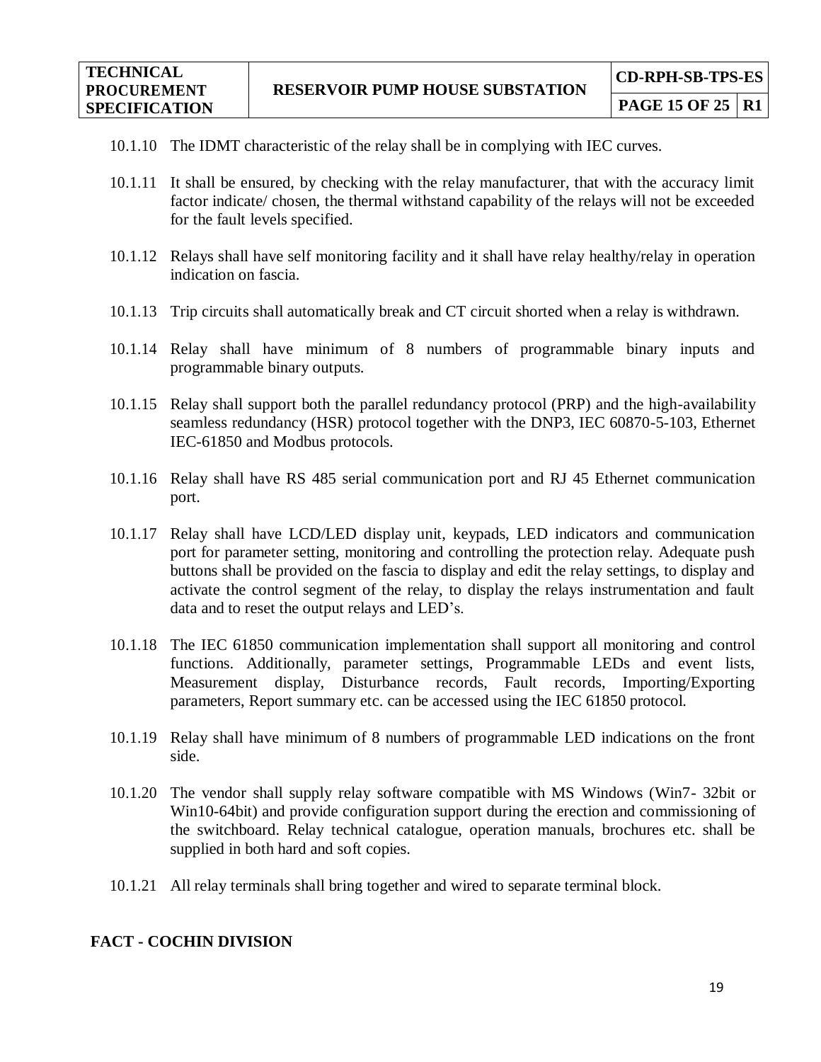- 10.1.10 The IDMT characteristic of the relay shall be in complying with IEC curves.
- 10.1.11 It shall be ensured, by checking with the relay manufacturer, that with the accuracy limit factor indicate/ chosen, the thermal withstand capability of the relays will not be exceeded for the fault levels specified.
- 10.1.12 Relays shall have self monitoring facility and it shall have relay healthy/relay in operation indication on fascia.
- 10.1.13 Trip circuits shall automatically break and CT circuit shorted when a relay is withdrawn.
- 10.1.14 Relay shall have minimum of 8 numbers of programmable binary inputs and programmable binary outputs.
- 10.1.15 Relay shall support both the parallel redundancy protocol (PRP) and the high-availability seamless redundancy (HSR) protocol together with the DNP3, IEC 60870-5-103, Ethernet IEC-61850 and Modbus protocols.
- 10.1.16 Relay shall have RS 485 serial communication port and RJ 45 Ethernet communication port.
- 10.1.17 Relay shall have LCD/LED display unit, keypads, LED indicators and communication port for parameter setting, monitoring and controlling the protection relay. Adequate push buttons shall be provided on the fascia to display and edit the relay settings, to display and activate the control segment of the relay, to display the relays instrumentation and fault data and to reset the output relays and LED's.
- 10.1.18 The IEC 61850 communication implementation shall support all monitoring and control functions. Additionally, parameter settings, Programmable LEDs and event lists, Measurement display, Disturbance records, Fault records, Importing/Exporting parameters, Report summary etc. can be accessed using the IEC 61850 protocol.
- 10.1.19 Relay shall have minimum of 8 numbers of programmable LED indications on the front side.
- 10.1.20 The vendor shall supply relay software compatible with MS Windows (Win7- 32bit or Win10-64bit) and provide configuration support during the erection and commissioning of the switchboard. Relay technical catalogue, operation manuals, brochures etc. shall be supplied in both hard and soft copies.
- 10.1.21 All relay terminals shall bring together and wired to separate terminal block.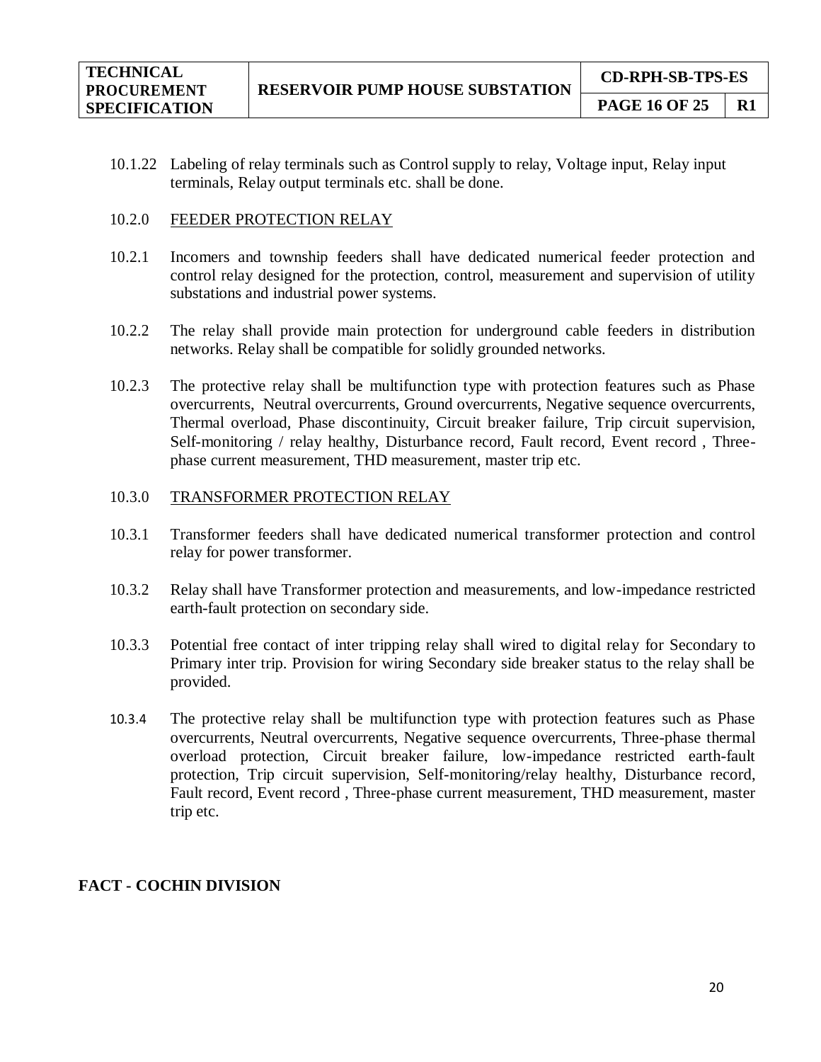- 
- 10.1.22 Labeling of relay terminals such as Control supply to relay, Voltage input, Relay input terminals, Relay output terminals etc. shall be done.

#### 10.2.0 FEEDER PROTECTION RELAY

- 10.2.1 Incomers and township feeders shall have dedicated numerical feeder protection and control relay designed for the protection, control, measurement and supervision of utility substations and industrial power systems.
- 10.2.2 The relay shall provide main protection for underground cable feeders in distribution networks. Relay shall be compatible for solidly grounded networks.
- 10.2.3 The protective relay shall be multifunction type with protection features such as Phase overcurrents, Neutral overcurrents, Ground overcurrents, Negative sequence overcurrents, Thermal overload, Phase discontinuity, Circuit breaker failure, Trip circuit supervision, Self-monitoring / relay healthy, Disturbance record, Fault record, Event record , Threephase current measurement, THD measurement, master trip etc.

## 10.3.0 TRANSFORMER PROTECTION RELAY

- 10.3.1 Transformer feeders shall have dedicated numerical transformer protection and control relay for power transformer.
- 10.3.2 Relay shall have Transformer protection and measurements, and low-impedance restricted earth-fault protection on secondary side.
- 10.3.3 Potential free contact of inter tripping relay shall wired to digital relay for Secondary to Primary inter trip. Provision for wiring Secondary side breaker status to the relay shall be provided.
- 10.3.4 The protective relay shall be multifunction type with protection features such as Phase overcurrents, Neutral overcurrents, Negative sequence overcurrents, Three-phase thermal overload protection, Circuit breaker failure, low-impedance restricted earth-fault protection, Trip circuit supervision, Self-monitoring/relay healthy, Disturbance record, Fault record, Event record , Three-phase current measurement, THD measurement, master trip etc.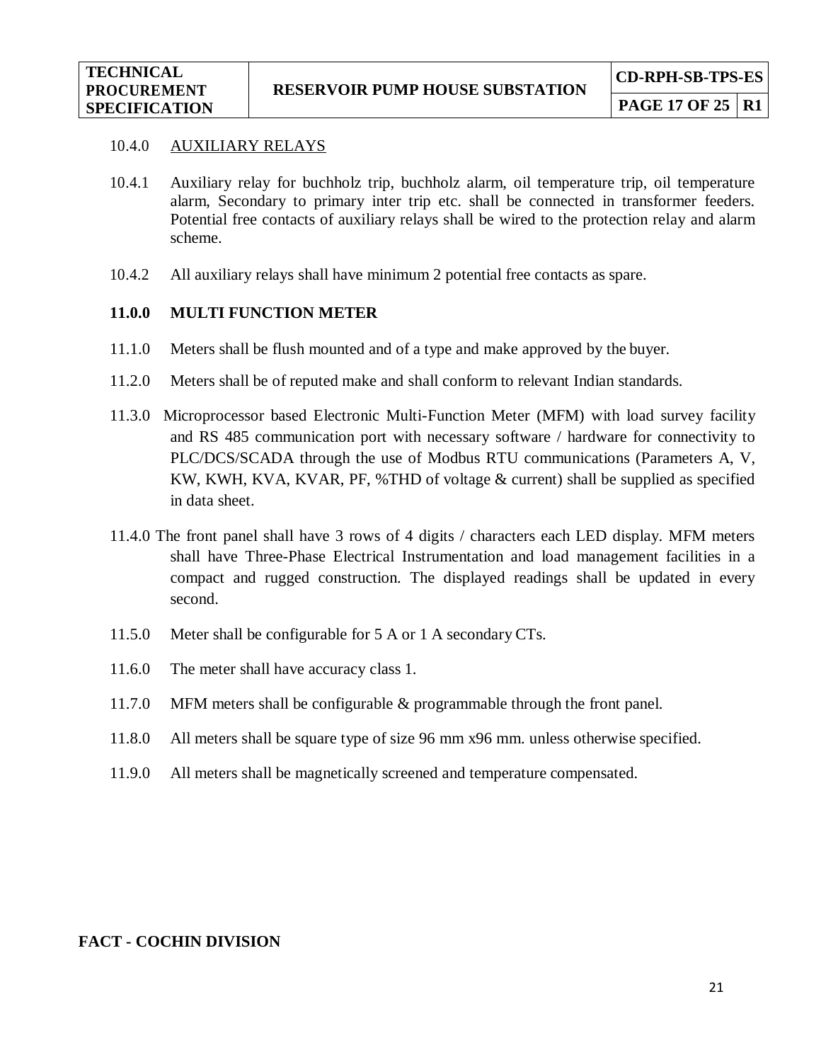#### 10.4.0 AUXILIARY RELAYS

- 10.4.1 Auxiliary relay for buchholz trip, buchholz alarm, oil temperature trip, oil temperature alarm, Secondary to primary inter trip etc. shall be connected in transformer feeders. Potential free contacts of auxiliary relays shall be wired to the protection relay and alarm scheme.
- 10.4.2 All auxiliary relays shall have minimum 2 potential free contacts as spare.

## **11.0.0 MULTI FUNCTION METER**

- 11.1.0 Meters shall be flush mounted and of a type and make approved by the buyer.
- 11.2.0 Meters shall be of reputed make and shall conform to relevant Indian standards.
- 11.3.0 Microprocessor based Electronic Multi-Function Meter (MFM) with load survey facility and RS 485 communication port with necessary software / hardware for connectivity to PLC/DCS/SCADA through the use of Modbus RTU communications (Parameters A, V, KW, KWH, KVA, KVAR, PF, %THD of voltage & current) shall be supplied as specified in data sheet.
- 11.4.0 The front panel shall have 3 rows of 4 digits / characters each LED display. MFM meters shall have Three-Phase Electrical Instrumentation and load management facilities in a compact and rugged construction. The displayed readings shall be updated in every second.
- 11.5.0 Meter shall be configurable for 5 A or 1 A secondary CTs.
- 11.6.0 The meter shall have accuracy class 1.
- 11.7.0 MFM meters shall be configurable & programmable through the front panel.
- 11.8.0 All meters shall be square type of size 96 mm x96 mm. unless otherwise specified.
- 11.9.0 All meters shall be magnetically screened and temperature compensated.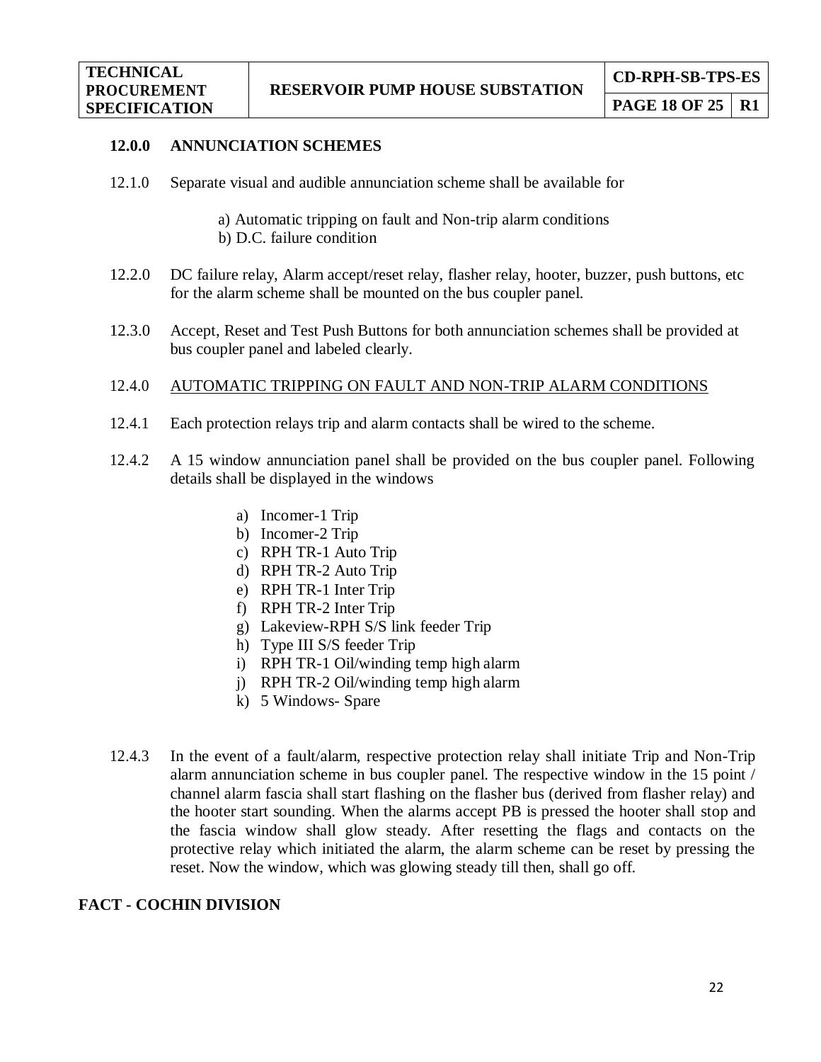#### **12.0.0 ANNUNCIATION SCHEMES**

- 12.1.0 Separate visual and audible annunciation scheme shall be available for
	- a) Automatic tripping on fault and Non-trip alarm conditions
	- b) D.C. failure condition
- 12.2.0 DC failure relay, Alarm accept/reset relay, flasher relay, hooter, buzzer, push buttons, etc for the alarm scheme shall be mounted on the bus coupler panel.
- 12.3.0 Accept, Reset and Test Push Buttons for both annunciation schemes shall be provided at bus coupler panel and labeled clearly.

#### 12.4.0 AUTOMATIC TRIPPING ON FAULT AND NON-TRIP ALARM CONDITIONS

- 12.4.1 Each protection relays trip and alarm contacts shall be wired to the scheme.
- 12.4.2 A 15 window annunciation panel shall be provided on the bus coupler panel. Following details shall be displayed in the windows
	- a) Incomer-1 Trip
	- b) Incomer-2 Trip
	- c) RPH TR-1 Auto Trip
	- d) RPH TR-2 Auto Trip
	- e) RPH TR-1 Inter Trip
	- f) RPH TR-2 Inter Trip
	- g) Lakeview-RPH S/S link feeder Trip
	- h) Type III S/S feeder Trip
	- i) RPH TR-1 Oil/winding temp high alarm
	- j) RPH TR-2 Oil/winding temp high alarm
	- k) 5 Windows- Spare
- 12.4.3 In the event of a fault/alarm, respective protection relay shall initiate Trip and Non-Trip alarm annunciation scheme in bus coupler panel. The respective window in the 15 point / channel alarm fascia shall start flashing on the flasher bus (derived from flasher relay) and the hooter start sounding. When the alarms accept PB is pressed the hooter shall stop and the fascia window shall glow steady. After resetting the flags and contacts on the protective relay which initiated the alarm, the alarm scheme can be reset by pressing the reset. Now the window, which was glowing steady till then, shall go off.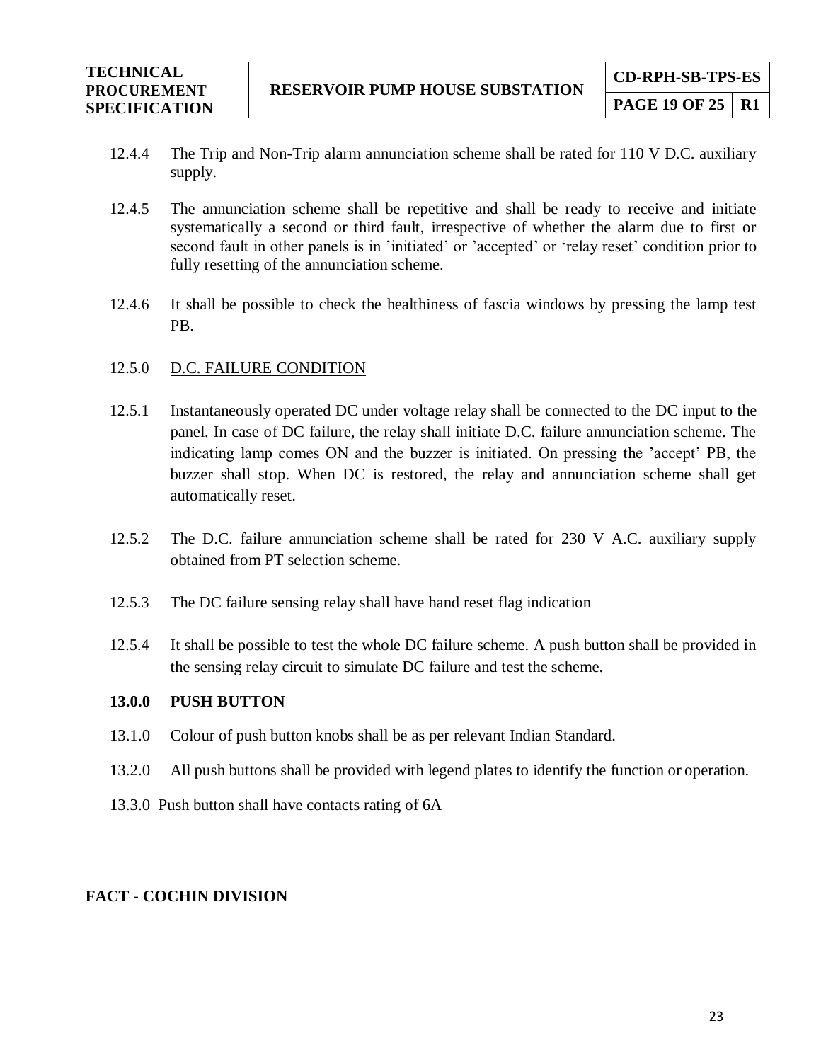- 12.4.4 The Trip and Non-Trip alarm annunciation scheme shall be rated for 110 V D.C. auxiliary supply.
- 12.4.5 The annunciation scheme shall be repetitive and shall be ready to receive and initiate systematically a second or third fault, irrespective of whether the alarm due to first or second fault in other panels is in 'initiated' or 'accepted' or 'relay reset' condition prior to fully resetting of the annunciation scheme.
- 12.4.6 It shall be possible to check the healthiness of fascia windows by pressing the lamp test PB.

#### 12.5.0 D.C. FAILURE CONDITION

- 12.5.1 Instantaneously operated DC under voltage relay shall be connected to the DC input to the panel. In case of DC failure, the relay shall initiate D.C. failure annunciation scheme. The indicating lamp comes ON and the buzzer is initiated. On pressing the 'accept' PB, the buzzer shall stop. When DC is restored, the relay and annunciation scheme shall get automatically reset.
- 12.5.2 The D.C. failure annunciation scheme shall be rated for 230 V A.C. auxiliary supply obtained from PT selection scheme.
- 12.5.3 The DC failure sensing relay shall have hand reset flag indication
- 12.5.4 It shall be possible to test the whole DC failure scheme. A push button shall be provided in the sensing relay circuit to simulate DC failure and test the scheme.

#### **13.0.0 PUSH BUTTON**

- 13.1.0 Colour of push button knobs shall be as per relevant Indian Standard.
- 13.2.0 All push buttons shall be provided with legend plates to identify the function or operation.
- 13.3.0 Push button shall have contacts rating of 6A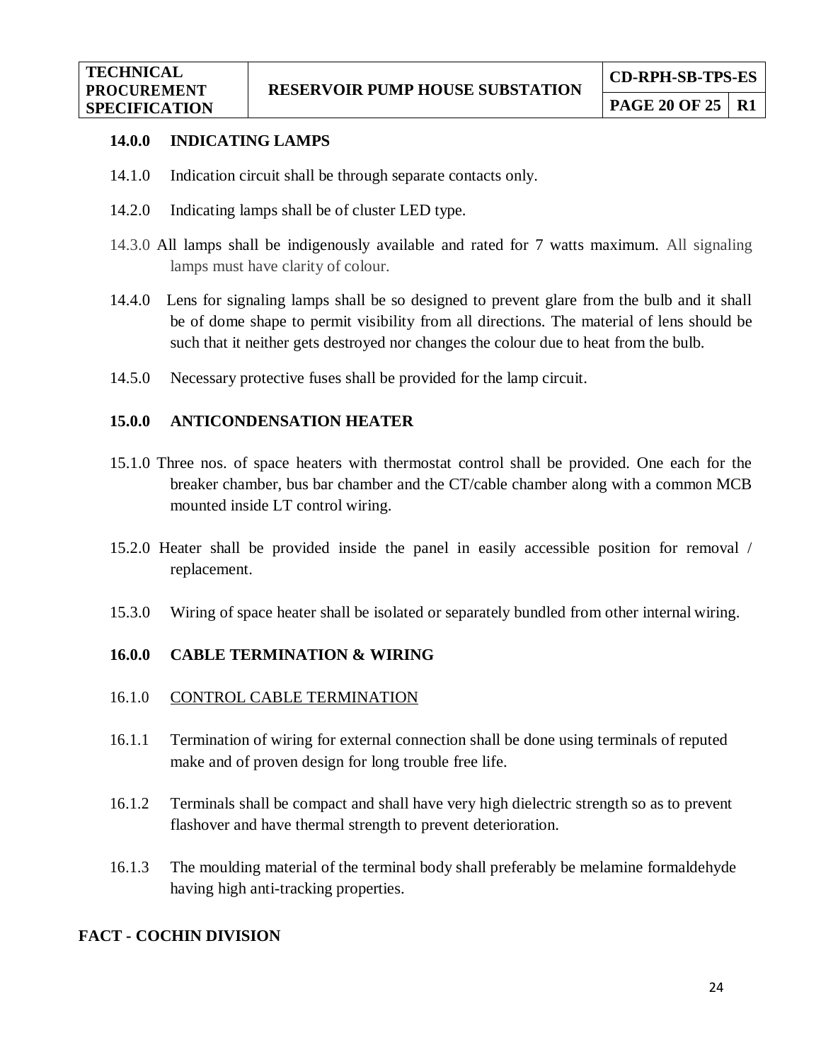## **14.0.0 INDICATING LAMPS**

- 14.1.0 Indication circuit shall be through separate contacts only.
- 14.2.0 Indicating lamps shall be of cluster LED type.
- 14.3.0 All lamps shall be indigenously available and rated for 7 watts maximum. All signaling lamps must have clarity of colour.
- 14.4.0 Lens for signaling lamps shall be so designed to prevent glare from the bulb and it shall be of dome shape to permit visibility from all directions. The material of lens should be such that it neither gets destroyed nor changes the colour due to heat from the bulb.
- 14.5.0 Necessary protective fuses shall be provided for the lamp circuit.

## **15.0.0 ANTICONDENSATION HEATER**

- 15.1.0 Three nos. of space heaters with thermostat control shall be provided. One each for the breaker chamber, bus bar chamber and the CT/cable chamber along with a common MCB mounted inside LT control wiring.
- 15.2.0 Heater shall be provided inside the panel in easily accessible position for removal / replacement.
- 15.3.0 Wiring of space heater shall be isolated or separately bundled from other internal wiring.

## **16.0.0 CABLE TERMINATION & WIRING**

#### 16.1.0 CONTROL CABLE TERMINATION

- 16.1.1 Termination of wiring for external connection shall be done using terminals of reputed make and of proven design for long trouble free life.
- 16.1.2 Terminals shall be compact and shall have very high dielectric strength so as to prevent flashover and have thermal strength to prevent deterioration.
- 16.1.3 The moulding material of the terminal body shall preferably be melamine formaldehyde having high anti-tracking properties.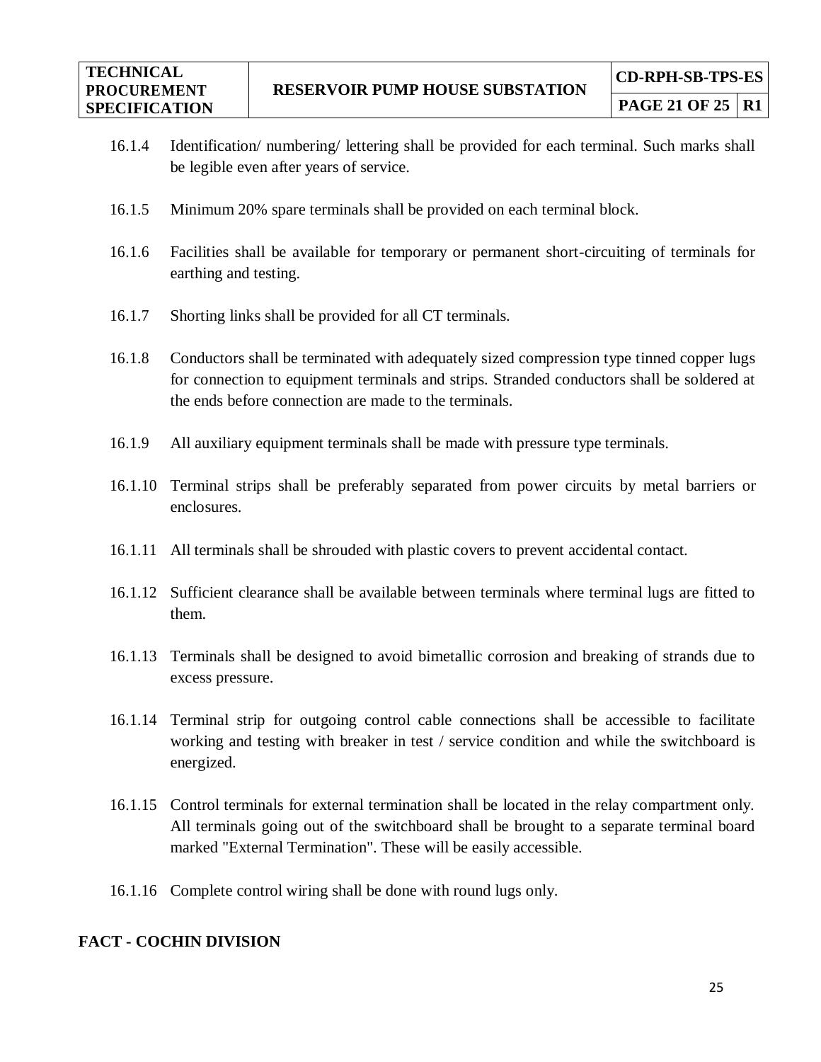- **PAGE 21 OF 25 R1**
- 16.1.4 Identification/ numbering/ lettering shall be provided for each terminal. Such marks shall be legible even after years of service.
- 16.1.5 Minimum 20% spare terminals shall be provided on each terminal block.
- 16.1.6 Facilities shall be available for temporary or permanent short-circuiting of terminals for earthing and testing.
- 16.1.7 Shorting links shall be provided for all CT terminals.
- 16.1.8 Conductors shall be terminated with adequately sized compression type tinned copper lugs for connection to equipment terminals and strips. Stranded conductors shall be soldered at the ends before connection are made to the terminals.
- 16.1.9 All auxiliary equipment terminals shall be made with pressure type terminals.
- 16.1.10 Terminal strips shall be preferably separated from power circuits by metal barriers or enclosures.
- 16.1.11 All terminals shall be shrouded with plastic covers to prevent accidental contact.
- 16.1.12 Sufficient clearance shall be available between terminals where terminal lugs are fitted to them.
- 16.1.13 Terminals shall be designed to avoid bimetallic corrosion and breaking of strands due to excess pressure.
- 16.1.14 Terminal strip for outgoing control cable connections shall be accessible to facilitate working and testing with breaker in test / service condition and while the switchboard is energized.
- 16.1.15 Control terminals for external termination shall be located in the relay compartment only. All terminals going out of the switchboard shall be brought to a separate terminal board marked "External Termination". These will be easily accessible.
- 16.1.16 Complete control wiring shall be done with round lugs only.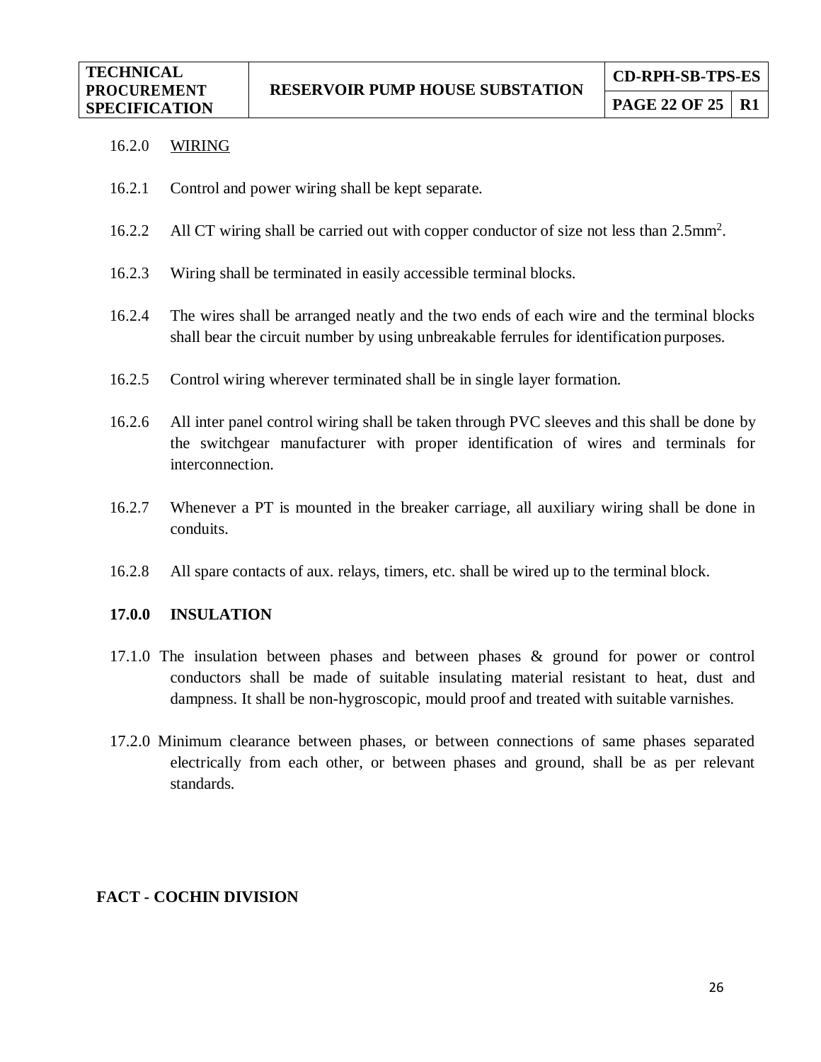#### 16.2.0 WIRING

- 16.2.1 Control and power wiring shall be kept separate.
- 16.2.2 All CT wiring shall be carried out with copper conductor of size not less than 2.5mm<sup>2</sup>.
- 16.2.3 Wiring shall be terminated in easily accessible terminal blocks.
- 16.2.4 The wires shall be arranged neatly and the two ends of each wire and the terminal blocks shall bear the circuit number by using unbreakable ferrules for identification purposes.
- 16.2.5 Control wiring wherever terminated shall be in single layer formation.
- 16.2.6 All inter panel control wiring shall be taken through PVC sleeves and this shall be done by the switchgear manufacturer with proper identification of wires and terminals for interconnection.
- 16.2.7 Whenever a PT is mounted in the breaker carriage, all auxiliary wiring shall be done in conduits.
- 16.2.8 All spare contacts of aux. relays, timers, etc. shall be wired up to the terminal block.

#### **17.0.0 INSULATION**

- 17.1.0 The insulation between phases and between phases & ground for power or control conductors shall be made of suitable insulating material resistant to heat, dust and dampness. It shall be non-hygroscopic, mould proof and treated with suitable varnishes.
- 17.2.0 Minimum clearance between phases, or between connections of same phases separated electrically from each other, or between phases and ground, shall be as per relevant standards.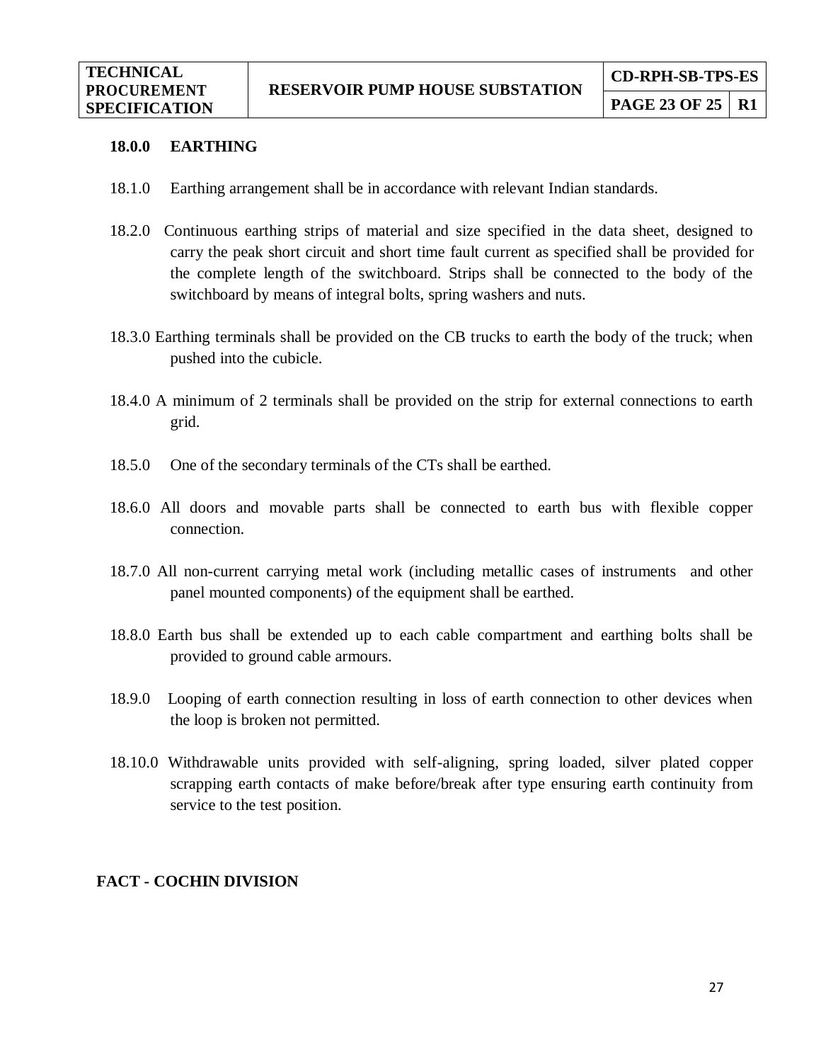#### **18.0.0 EARTHING**

- 18.1.0 Earthing arrangement shall be in accordance with relevant Indian standards.
- 18.2.0 Continuous earthing strips of material and size specified in the data sheet, designed to carry the peak short circuit and short time fault current as specified shall be provided for the complete length of the switchboard. Strips shall be connected to the body of the switchboard by means of integral bolts, spring washers and nuts.
- 18.3.0 Earthing terminals shall be provided on the CB trucks to earth the body of the truck; when pushed into the cubicle.
- 18.4.0 A minimum of 2 terminals shall be provided on the strip for external connections to earth grid.
- 18.5.0 One of the secondary terminals of the CTs shall be earthed.
- 18.6.0 All doors and movable parts shall be connected to earth bus with flexible copper connection.
- 18.7.0 All non-current carrying metal work (including metallic cases of instruments and other panel mounted components) of the equipment shall be earthed.
- 18.8.0 Earth bus shall be extended up to each cable compartment and earthing bolts shall be provided to ground cable armours.
- 18.9.0 Looping of earth connection resulting in loss of earth connection to other devices when the loop is broken not permitted.
- 18.10.0 Withdrawable units provided with self-aligning, spring loaded, silver plated copper scrapping earth contacts of make before/break after type ensuring earth continuity from service to the test position.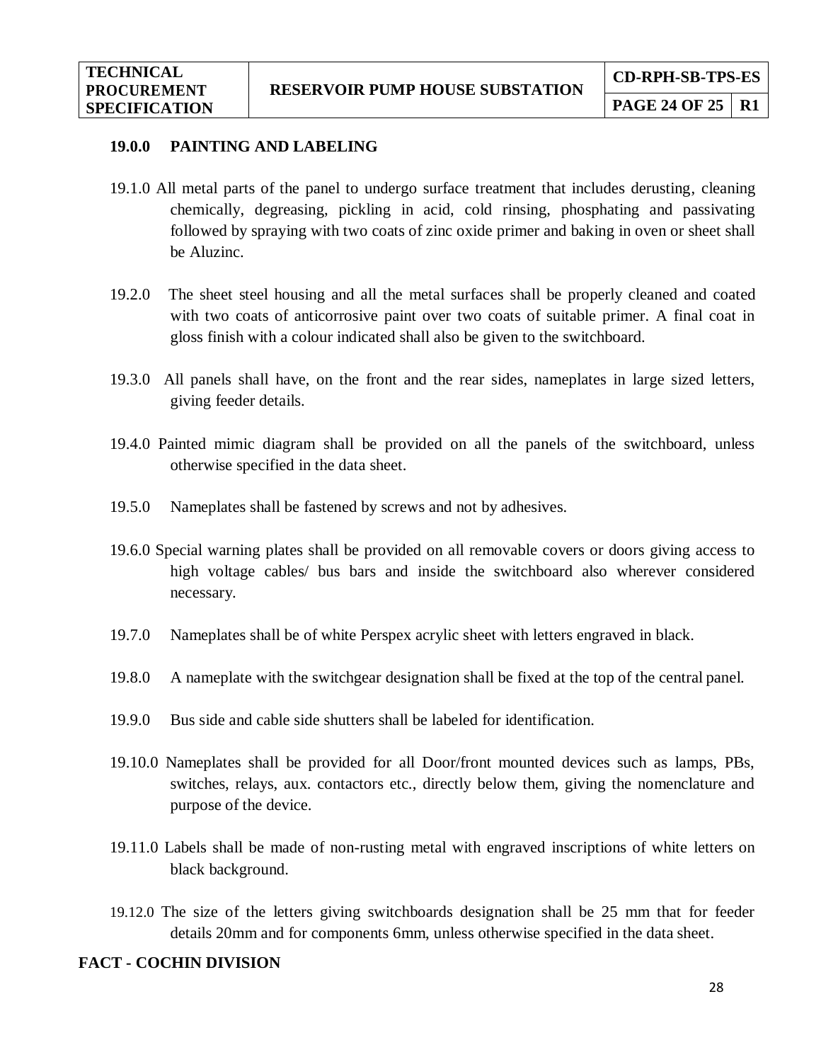#### **19.0.0 PAINTING AND LABELING**

- 19.1.0 All metal parts of the panel to undergo surface treatment that includes derusting, cleaning chemically, degreasing, pickling in acid, cold rinsing, phosphating and passivating followed by spraying with two coats of zinc oxide primer and baking in oven or sheet shall be Aluzinc.
- 19.2.0 The sheet steel housing and all the metal surfaces shall be properly cleaned and coated with two coats of anticorrosive paint over two coats of suitable primer. A final coat in gloss finish with a colour indicated shall also be given to the switchboard.
- 19.3.0 All panels shall have, on the front and the rear sides, nameplates in large sized letters, giving feeder details.
- 19.4.0 Painted mimic diagram shall be provided on all the panels of the switchboard, unless otherwise specified in the data sheet.
- 19.5.0 Nameplates shall be fastened by screws and not by adhesives.
- 19.6.0 Special warning plates shall be provided on all removable covers or doors giving access to high voltage cables/ bus bars and inside the switchboard also wherever considered necessary.
- 19.7.0 Nameplates shall be of white Perspex acrylic sheet with letters engraved in black.
- 19.8.0 A nameplate with the switchgear designation shall be fixed at the top of the central panel.
- 19.9.0 Bus side and cable side shutters shall be labeled for identification.
- 19.10.0 Nameplates shall be provided for all Door/front mounted devices such as lamps, PBs, switches, relays, aux. contactors etc., directly below them, giving the nomenclature and purpose of the device.
- 19.11.0 Labels shall be made of non-rusting metal with engraved inscriptions of white letters on black background.
- 19.12.0 The size of the letters giving switchboards designation shall be 25 mm that for feeder details 20mm and for components 6mm, unless otherwise specified in the data sheet.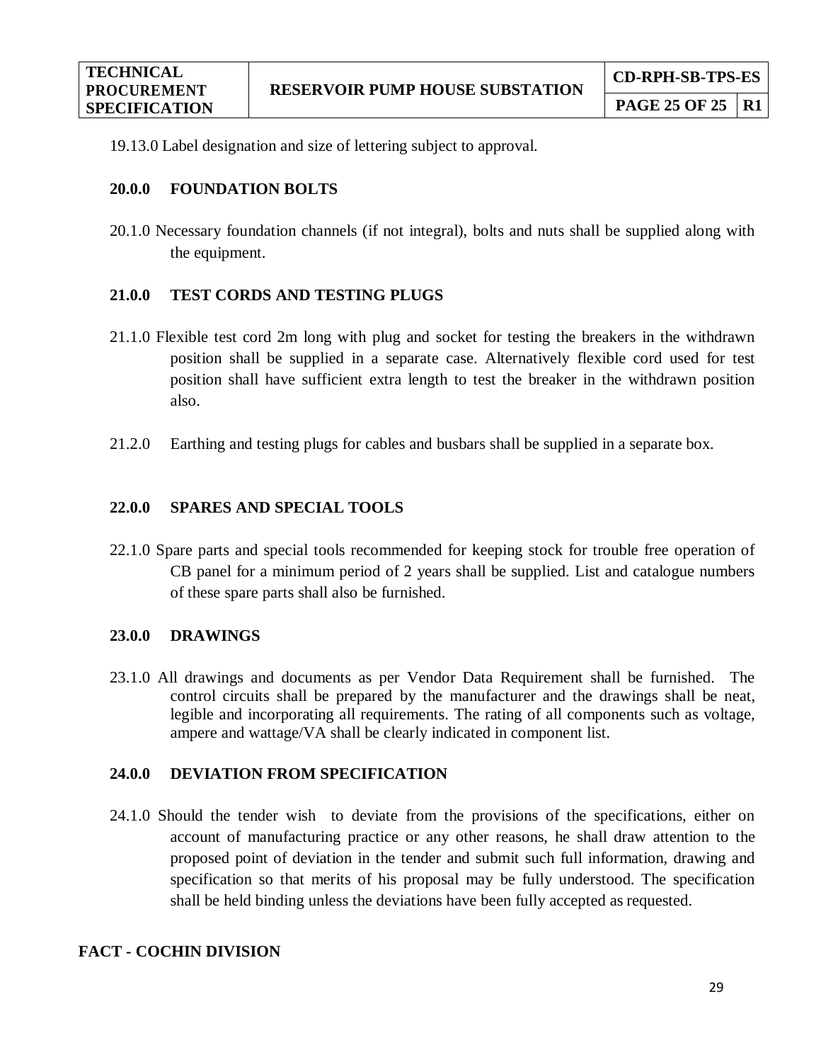19.13.0 Label designation and size of lettering subject to approval.

## **20.0.0 FOUNDATION BOLTS**

20.1.0 Necessary foundation channels (if not integral), bolts and nuts shall be supplied along with the equipment.

## **21.0.0 TEST CORDS AND TESTING PLUGS**

- 21.1.0 Flexible test cord 2m long with plug and socket for testing the breakers in the withdrawn position shall be supplied in a separate case. Alternatively flexible cord used for test position shall have sufficient extra length to test the breaker in the withdrawn position also.
- 21.2.0 Earthing and testing plugs for cables and busbars shall be supplied in a separate box.

## **22.0.0 SPARES AND SPECIAL TOOLS**

22.1.0 Spare parts and special tools recommended for keeping stock for trouble free operation of CB panel for a minimum period of 2 years shall be supplied. List and catalogue numbers of these spare parts shall also be furnished.

## **23.0.0 DRAWINGS**

23.1.0 All drawings and documents as per Vendor Data Requirement shall be furnished. The control circuits shall be prepared by the manufacturer and the drawings shall be neat, legible and incorporating all requirements. The rating of all components such as voltage, ampere and wattage/VA shall be clearly indicated in component list.

## **24.0.0 DEVIATION FROM SPECIFICATION**

24.1.0 Should the tender wish to deviate from the provisions of the specifications, either on account of manufacturing practice or any other reasons, he shall draw attention to the proposed point of deviation in the tender and submit such full information, drawing and specification so that merits of his proposal may be fully understood. The specification shall be held binding unless the deviations have been fully accepted as requested.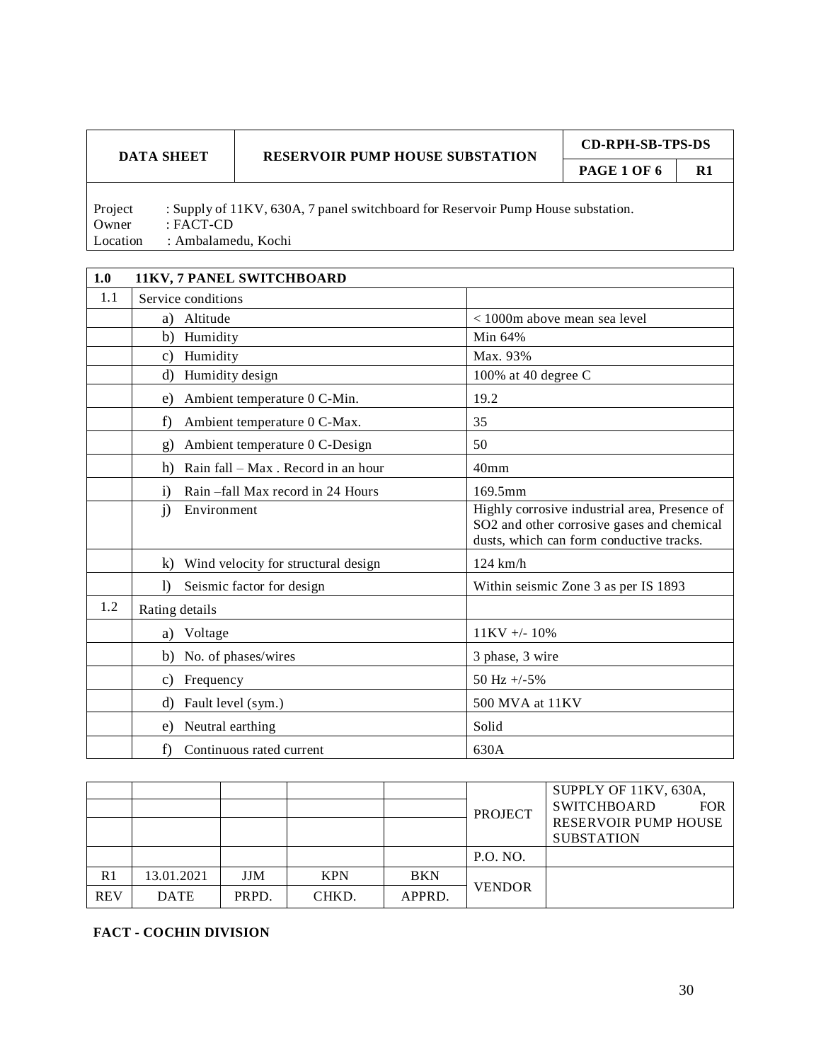**PAGE 1 OF 6** R1

Project : Supply of 11KV, 630A, 7 panel switchboard for Reservoir Pump House substation. Owner : FACT-CD Location : Ambalamedu, Kochi

| 1.0 | 11KV, 7 PANEL SWITCHBOARD                          |                                                                                                                                         |
|-----|----------------------------------------------------|-----------------------------------------------------------------------------------------------------------------------------------------|
| 1.1 | Service conditions                                 |                                                                                                                                         |
|     | a) Altitude                                        | $<$ 1000m above mean sea level                                                                                                          |
|     | b)<br>Humidity                                     | Min 64%                                                                                                                                 |
|     | Humidity<br>C)                                     | Max. 93%                                                                                                                                |
|     | Humidity design<br>d)                              | 100% at 40 degree C                                                                                                                     |
|     | Ambient temperature 0 C-Min.<br>e)                 | 19.2                                                                                                                                    |
|     | f<br>Ambient temperature 0 C-Max.                  | 35                                                                                                                                      |
|     | Ambient temperature 0 C-Design<br>g)               | 50                                                                                                                                      |
|     | Rain fall - Max. Record in an hour<br>h)           | 40 <sub>mm</sub>                                                                                                                        |
|     | Rain – fall Max record in 24 Hours<br>$\mathbf{i}$ | 169.5mm                                                                                                                                 |
|     | Environment<br>$\mathbf{i}$                        | Highly corrosive industrial area, Presence of<br>SO2 and other corrosive gases and chemical<br>dusts, which can form conductive tracks. |
|     | $\bf k$<br>Wind velocity for structural design     | $124$ km/h                                                                                                                              |
|     | $\bf{D}$<br>Seismic factor for design              | Within seismic Zone 3 as per IS 1893                                                                                                    |
| 1.2 | Rating details                                     |                                                                                                                                         |
|     | Voltage<br>a)                                      | $11KV +/- 10%$                                                                                                                          |
|     | No. of phases/wires<br>b)                          | 3 phase, 3 wire                                                                                                                         |
|     | Frequency<br>C)                                    | 50 Hz $+/-5\%$                                                                                                                          |
|     | d)<br>Fault level (sym.)                           | 500 MVA at 11KV                                                                                                                         |
|     | Neutral earthing<br>e)                             | Solid                                                                                                                                   |
|     | f)<br>Continuous rated current                     | 630A                                                                                                                                    |

|            |             |            |            |            | <b>PROJECT</b>  | SUPPLY OF 11KV, 630A,<br><b>SWITCHBOARD</b><br><b>FOR</b><br><b>RESERVOIR PUMP HOUSE</b><br><b>SUBSTATION</b> |
|------------|-------------|------------|------------|------------|-----------------|---------------------------------------------------------------------------------------------------------------|
|            |             |            |            |            | <b>P.O. NO.</b> |                                                                                                               |
| R1         | 13.01.2021  | <b>JJM</b> | <b>KPN</b> | <b>BKN</b> |                 |                                                                                                               |
| <b>REV</b> | <b>DATE</b> | PRPD.      | CHKD.      | APPRD.     | <b>VENDOR</b>   |                                                                                                               |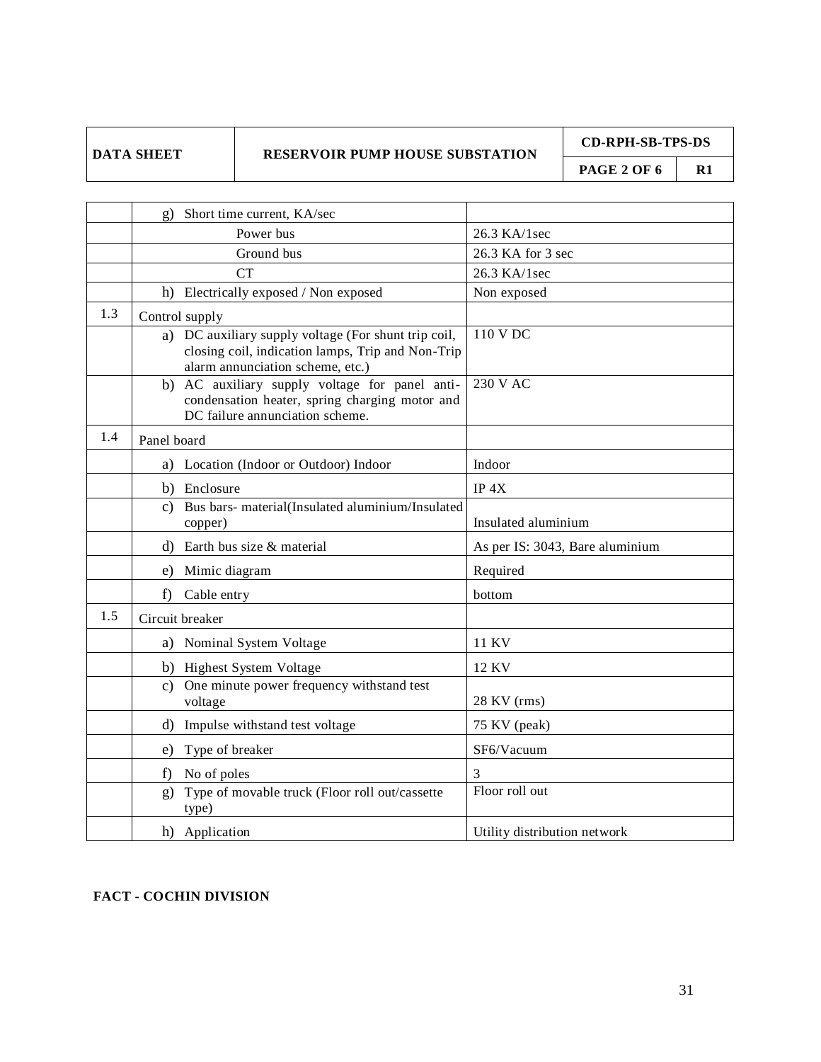**CD-RPH-SB-TPS-DS**

**PAGE 2 OF 6 R1** 

|     | Short time current, KA/sec                                                                                                                    |                                 |
|-----|-----------------------------------------------------------------------------------------------------------------------------------------------|---------------------------------|
|     | Power bus                                                                                                                                     | 26.3 KA/1sec                    |
|     | Ground bus                                                                                                                                    | 26.3 KA for 3 sec               |
|     | <b>CT</b>                                                                                                                                     | 26.3 KA/1sec                    |
|     | h) Electrically exposed / Non exposed                                                                                                         | Non exposed                     |
| 1.3 | Control supply                                                                                                                                |                                 |
|     | a) DC auxiliary supply voltage (For shunt trip coil,<br>closing coil, indication lamps, Trip and Non-Trip<br>alarm annunciation scheme, etc.) | 110 V DC                        |
|     | b) AC auxiliary supply voltage for panel anti-<br>condensation heater, spring charging motor and<br>DC failure annunciation scheme.           | 230 V AC                        |
| 1.4 | Panel board                                                                                                                                   |                                 |
|     | Location (Indoor or Outdoor) Indoor<br>a)                                                                                                     | Indoor                          |
|     | b) Enclosure                                                                                                                                  | IP <sub>4</sub> X               |
|     | Bus bars- material(Insulated aluminium/Insulated<br>C)<br>copper)                                                                             | Insulated aluminium             |
|     | Earth bus size & material<br>d)                                                                                                               | As per IS: 3043, Bare aluminium |
|     | Mimic diagram<br>e)                                                                                                                           | Required                        |
|     | Cable entry<br>f)                                                                                                                             | bottom                          |
| 1.5 | Circuit breaker                                                                                                                               |                                 |
|     | a) Nominal System Voltage                                                                                                                     | 11 KV                           |
|     | b) Highest System Voltage                                                                                                                     | 12 KV                           |
|     | One minute power frequency withstand test<br>C)<br>voltage                                                                                    | 28 KV (rms)                     |
|     | d)<br>Impulse withstand test voltage                                                                                                          | 75 KV (peak)                    |
|     | Type of breaker<br>e)                                                                                                                         | SF6/Vacuum                      |
|     | No of poles<br>f)                                                                                                                             | 3                               |
|     | Type of movable truck (Floor roll out/cassette<br>$g$ )<br>type)                                                                              | Floor roll out                  |
|     | h) Application                                                                                                                                | Utility distribution network    |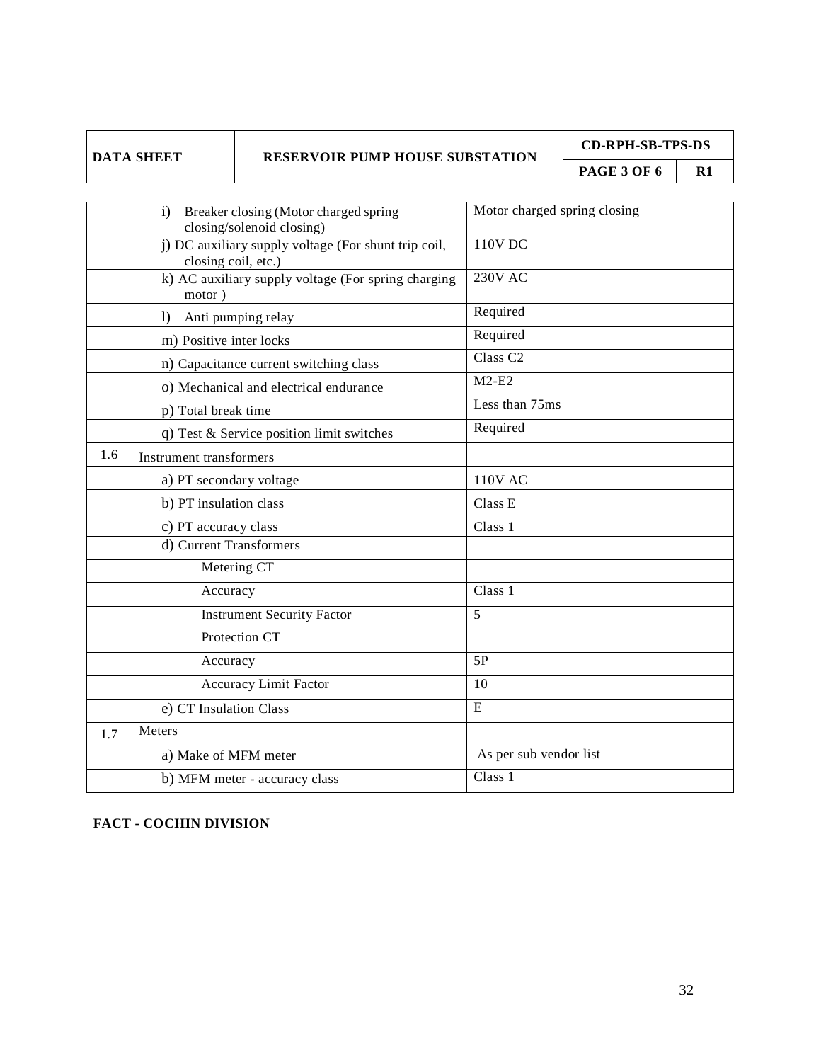| DATA SHEET |
|------------|
|            |

**CD-RPH-SB-TPS-DS**

**PAGE 3 OF 6 R1** 

|     | Breaker closing (Motor charged spring<br>$\mathbf{i}$<br>closing/solenoid closing) | Motor charged spring closing |
|-----|------------------------------------------------------------------------------------|------------------------------|
|     | j) DC auxiliary supply voltage (For shunt trip coil,<br>closing coil, etc.)        | $110V$ DC                    |
|     | k) AC auxiliary supply voltage (For spring charging<br>motor)                      | <b>230V AC</b>               |
|     | $\left  \right\rangle$<br>Anti pumping relay                                       | Required                     |
|     | m) Positive inter locks                                                            | Required                     |
|     | n) Capacitance current switching class                                             | Class <sub>C2</sub>          |
|     | o) Mechanical and electrical endurance                                             | $M2-E2$                      |
|     | p) Total break time                                                                | Less than 75ms               |
|     | q) Test & Service position limit switches                                          | Required                     |
| 1.6 | <b>Instrument transformers</b>                                                     |                              |
|     | a) PT secondary voltage                                                            | <b>110V AC</b>               |
|     | b) PT insulation class                                                             | Class E                      |
|     | c) PT accuracy class                                                               | Class 1                      |
|     | d) Current Transformers                                                            |                              |
|     | Metering CT                                                                        |                              |
|     | Accuracy                                                                           | Class 1                      |
|     | <b>Instrument Security Factor</b>                                                  | 5                            |
|     | Protection CT                                                                      |                              |
|     | Accuracy                                                                           | 5P                           |
|     | <b>Accuracy Limit Factor</b>                                                       | 10                           |
|     | e) CT Insulation Class                                                             | E                            |
| 1.7 | Meters                                                                             |                              |
|     | a) Make of MFM meter                                                               | As per sub vendor list       |
|     | b) MFM meter - accuracy class                                                      | Class 1                      |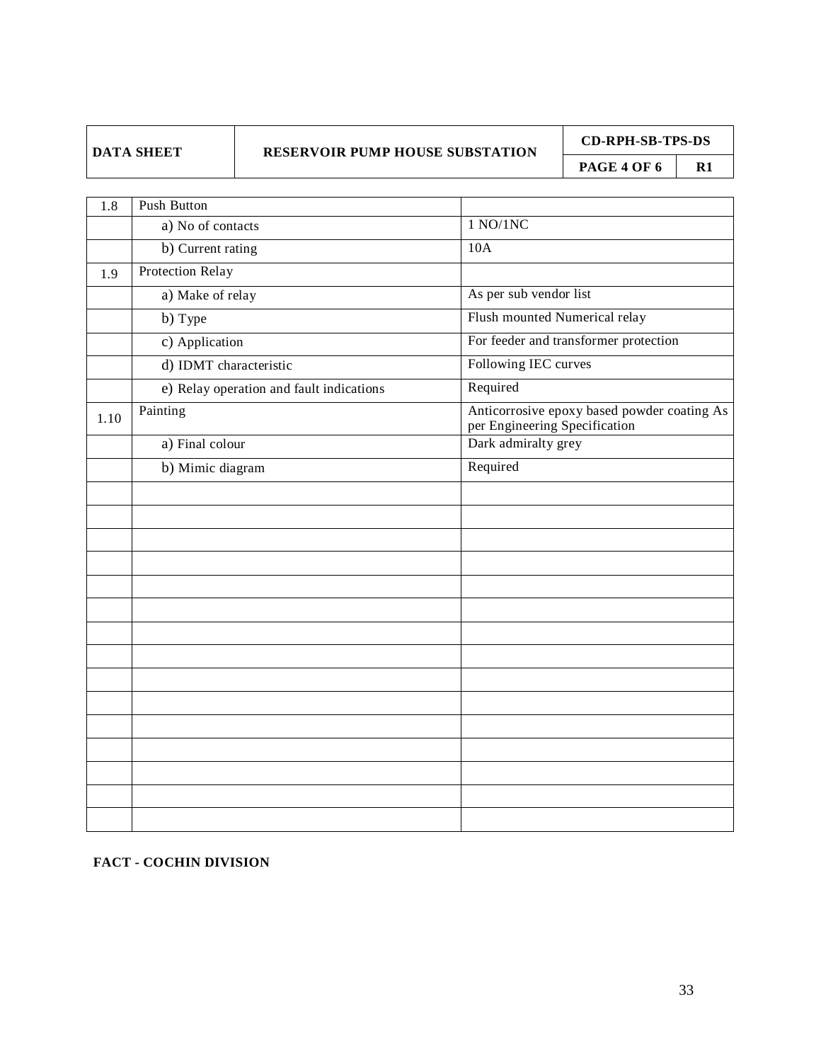**CD-RPH-SB-TPS-DS**

**PAGE 4 OF 6** | R1

| 1.8  | <b>Push Button</b>                       |                                                                              |
|------|------------------------------------------|------------------------------------------------------------------------------|
|      | a) No of contacts                        | 1 NQ/1NC                                                                     |
|      | b) Current rating                        | 10A                                                                          |
| 1.9  | <b>Protection Relay</b>                  |                                                                              |
|      | a) Make of relay                         | As per sub vendor list                                                       |
|      | b) Type                                  | Flush mounted Numerical relay                                                |
|      | c) Application                           | For feeder and transformer protection                                        |
|      | d) IDMT characteristic                   | Following IEC curves                                                         |
|      | e) Relay operation and fault indications | Required                                                                     |
| 1.10 | Painting                                 | Anticorrosive epoxy based powder coating As<br>per Engineering Specification |
|      | a) Final colour                          | Dark admiralty grey                                                          |
|      | b) Mimic diagram                         | Required                                                                     |
|      |                                          |                                                                              |
|      |                                          |                                                                              |
|      |                                          |                                                                              |
|      |                                          |                                                                              |
|      |                                          |                                                                              |
|      |                                          |                                                                              |
|      |                                          |                                                                              |
|      |                                          |                                                                              |
|      |                                          |                                                                              |
|      |                                          |                                                                              |
|      |                                          |                                                                              |
|      |                                          |                                                                              |
|      |                                          |                                                                              |
|      |                                          |                                                                              |
|      |                                          |                                                                              |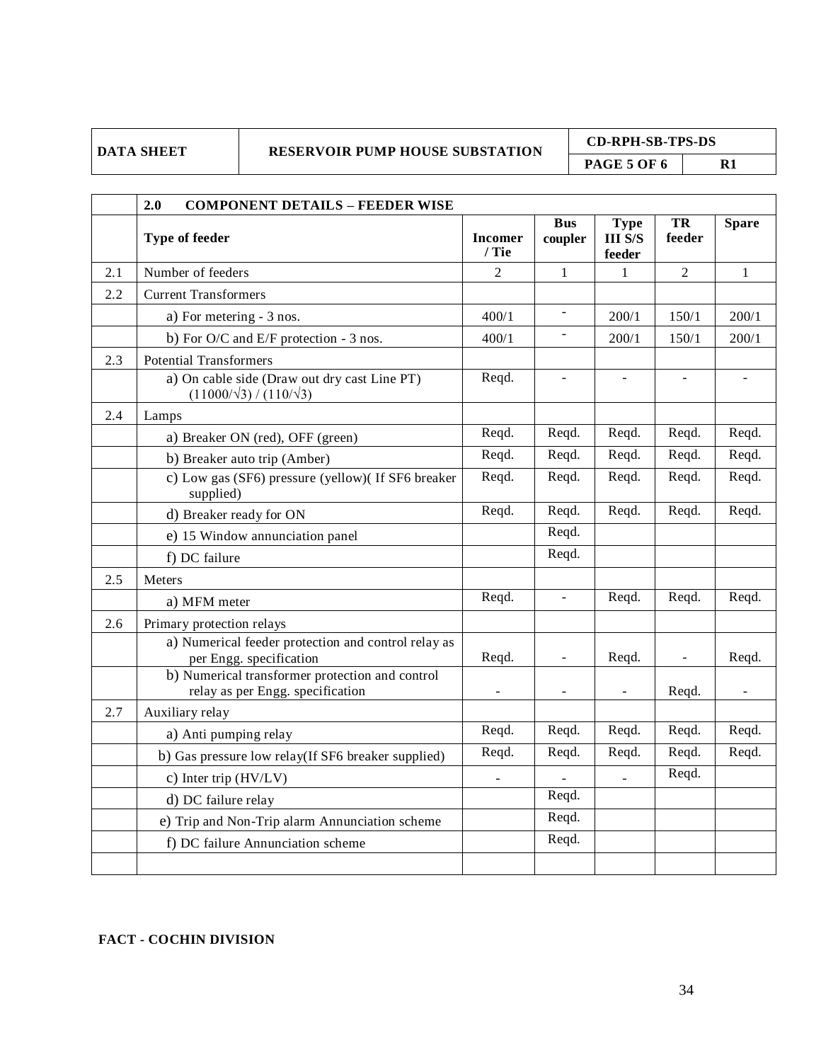**CD-RPH-SB-TPS-DS PAGE 5 OF 6 R1** 

|     | 2.0<br><b>COMPONENT DETAILS - FEEDER WISE</b>                                       |                          |                          |                                         |                |              |
|-----|-------------------------------------------------------------------------------------|--------------------------|--------------------------|-----------------------------------------|----------------|--------------|
|     | Type of feeder                                                                      | <b>Incomer</b><br>/ Tie  | <b>Bus</b><br>coupler    | <b>Type</b><br><b>III S/S</b><br>feeder | TR<br>feeder   | <b>Spare</b> |
| 2.1 | Number of feeders                                                                   | $\overline{2}$           | $\mathbf{1}$             | $\mathbf{1}$                            | $\overline{2}$ | $\mathbf{1}$ |
| 2.2 | <b>Current Transformers</b>                                                         |                          |                          |                                         |                |              |
|     | a) For metering - 3 nos.                                                            | 400/1                    | $\Box$                   | 200/1                                   | 150/1          | 200/1        |
|     | b) For O/C and E/F protection - 3 nos.                                              | 400/1                    | $\frac{1}{2}$            | 200/1                                   | 150/1          | 200/1        |
| 2.3 | <b>Potential Transformers</b>                                                       |                          |                          |                                         |                |              |
|     | a) On cable side (Draw out dry cast Line PT)<br>$(11000/\sqrt{3})/(110/\sqrt{3})$   | Reqd.                    | $\overline{\phantom{a}}$ | $\frac{1}{2}$                           | $\frac{1}{2}$  | ÷,           |
| 2.4 | Lamps                                                                               |                          |                          |                                         |                |              |
|     | a) Breaker ON (red), OFF (green)                                                    | Reqd.                    | Reqd.                    | Reqd.                                   | Reqd.          | Reqd.        |
|     | b) Breaker auto trip (Amber)                                                        | Reqd.                    | Reqd.                    | Reqd.                                   | Reqd.          | Reqd.        |
|     | c) Low gas (SF6) pressure (yellow)( If SF6 breaker<br>supplied)                     | Reqd.                    | Reqd.                    | Reqd.                                   | Reqd.          | Reqd.        |
|     | d) Breaker ready for ON                                                             | Reqd.                    | Reqd.                    | Reqd.                                   | Reqd.          | Reqd.        |
|     | e) 15 Window annunciation panel                                                     |                          | Reqd.                    |                                         |                |              |
|     | f) DC failure                                                                       |                          | Reqd.                    |                                         |                |              |
| 2.5 | Meters                                                                              |                          |                          |                                         |                |              |
|     | a) MFM meter                                                                        | Reqd.                    | $\frac{1}{2}$            | Reqd.                                   | Reqd.          | Reqd.        |
| 2.6 | Primary protection relays                                                           |                          |                          |                                         |                |              |
|     | a) Numerical feeder protection and control relay as<br>per Engg. specification      | Reqd.                    | $\frac{1}{2}$            | Reqd.                                   | $\frac{1}{2}$  | Reqd.        |
|     | b) Numerical transformer protection and control<br>relay as per Engg. specification |                          |                          |                                         | Reqd.          |              |
| 2.7 | Auxiliary relay                                                                     |                          |                          |                                         |                |              |
|     | a) Anti pumping relay                                                               | Reqd.                    | Reqd.                    | Reqd.                                   | Reqd.          | Reqd.        |
|     | b) Gas pressure low relay(If SF6 breaker supplied)                                  | Reqd.                    | Reqd.                    | Reqd.                                   | Reqd.          | Reqd.        |
|     | c) Inter trip (HV/LV)                                                               | $\overline{\phantom{a}}$ |                          |                                         | Reqd.          |              |
|     | d) DC failure relay                                                                 |                          | Reqd.                    |                                         |                |              |
|     | e) Trip and Non-Trip alarm Annunciation scheme                                      |                          | Reqd.                    |                                         |                |              |
|     | f) DC failure Annunciation scheme                                                   |                          | Reqd.                    |                                         |                |              |
|     |                                                                                     |                          |                          |                                         |                |              |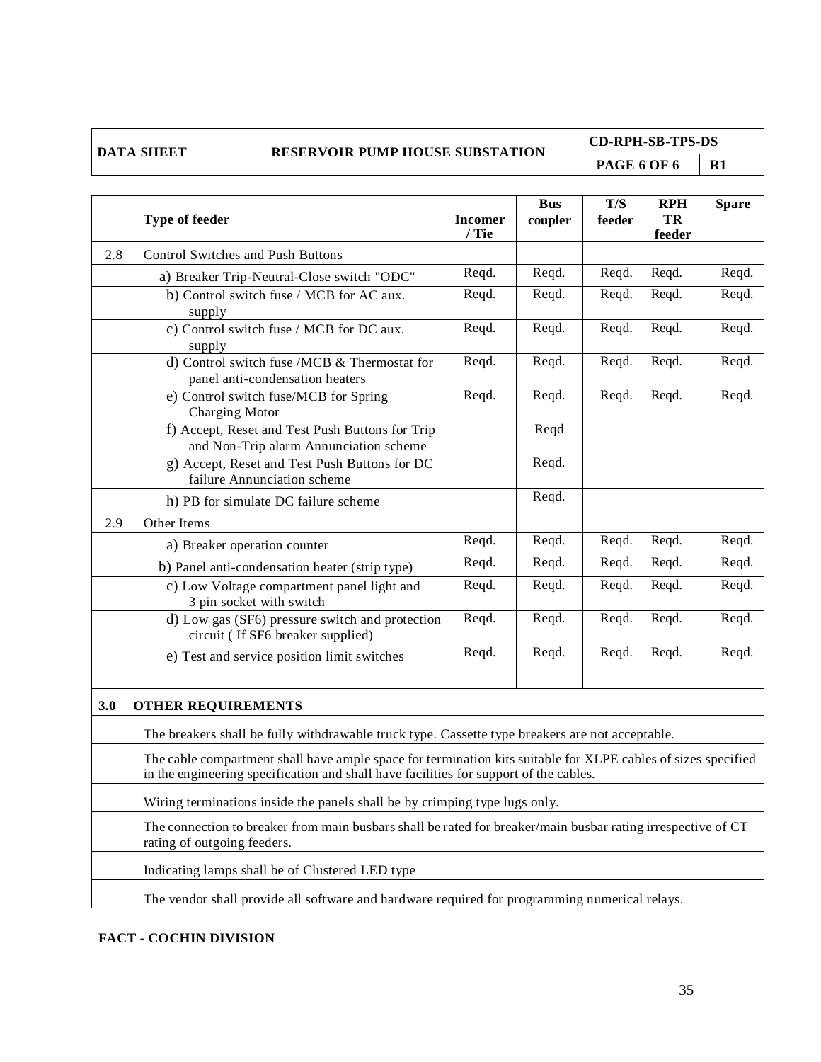**CD-RPH-SB-TPS-DS PAGE 6 OF 6** R1

|     | Type of feeder                                                                                                                                                                                         | <b>Incomer</b><br>/ Tie | <b>Bus</b><br>coupler | T/S<br>feeder | <b>RPH</b><br>TR<br>feeder | <b>Spare</b> |
|-----|--------------------------------------------------------------------------------------------------------------------------------------------------------------------------------------------------------|-------------------------|-----------------------|---------------|----------------------------|--------------|
| 2.8 | <b>Control Switches and Push Buttons</b>                                                                                                                                                               |                         |                       |               |                            |              |
|     | a) Breaker Trip-Neutral-Close switch "ODC"                                                                                                                                                             | Reqd.                   | Reqd.                 | Reqd.         | Reqd.                      | Reqd.        |
|     | b) Control switch fuse / MCB for AC aux.<br>supply                                                                                                                                                     | Reqd.                   | Reqd.                 | Reqd.         | Reqd.                      | Reqd.        |
|     | c) Control switch fuse / MCB for DC aux.<br>supply                                                                                                                                                     | Reqd.                   | Reqd.                 | Reqd.         | Reqd.                      | Reqd.        |
|     | d) Control switch fuse /MCB & Thermostat for<br>panel anti-condensation heaters                                                                                                                        | Reqd.                   | Reqd.                 | Reqd.         | Reqd.                      | Reqd.        |
|     | e) Control switch fuse/MCB for Spring<br>Charging Motor                                                                                                                                                | Reqd.                   | Reqd.                 | Reqd.         | Reqd.                      | Reqd.        |
|     | f) Accept, Reset and Test Push Buttons for Trip<br>and Non-Trip alarm Annunciation scheme                                                                                                              |                         | Reqd                  |               |                            |              |
|     | g) Accept, Reset and Test Push Buttons for DC<br>failure Annunciation scheme                                                                                                                           |                         | Reqd.                 |               |                            |              |
|     | h) PB for simulate DC failure scheme                                                                                                                                                                   |                         | Reqd.                 |               |                            |              |
| 2.9 | Other Items                                                                                                                                                                                            |                         |                       |               |                            |              |
|     | a) Breaker operation counter                                                                                                                                                                           | Reqd.                   | Reqd.                 | Reqd.         | Reqd.                      | Reqd.        |
|     | b) Panel anti-condensation heater (strip type)                                                                                                                                                         | Reqd.                   | Reqd.                 | Reqd.         | Reqd.                      | Reqd.        |
|     | c) Low Voltage compartment panel light and<br>3 pin socket with switch                                                                                                                                 | Reqd.                   | Reqd.                 | Reqd.         | Reqd.                      | Reqd.        |
|     | d) Low gas (SF6) pressure switch and protection<br>circuit (If SF6 breaker supplied)                                                                                                                   | Reqd.                   | Reqd.                 | Reqd.         | Reqd.                      | Reqd.        |
|     | e) Test and service position limit switches                                                                                                                                                            | Reqd.                   | Reqd.                 | Reqd.         | Reqd.                      | Reqd.        |
| 3.0 | <b>OTHER REQUIREMENTS</b>                                                                                                                                                                              |                         |                       |               |                            |              |
|     | The breakers shall be fully withdrawable truck type. Cassette type breakers are not acceptable.                                                                                                        |                         |                       |               |                            |              |
|     | The cable compartment shall have ample space for termination kits suitable for XLPE cables of sizes specified<br>in the engineering specification and shall have facilities for support of the cables. |                         |                       |               |                            |              |
|     | Wiring terminations inside the panels shall be by crimping type lugs only.                                                                                                                             |                         |                       |               |                            |              |
|     | The connection to breaker from main busbars shall be rated for breaker/main busbar rating irrespective of CT<br>rating of outgoing feeders.                                                            |                         |                       |               |                            |              |
|     | Indicating lamps shall be of Clustered LED type                                                                                                                                                        |                         |                       |               |                            |              |
|     | The vendor shall provide all software and hardware required for programming numerical relays.                                                                                                          |                         |                       |               |                            |              |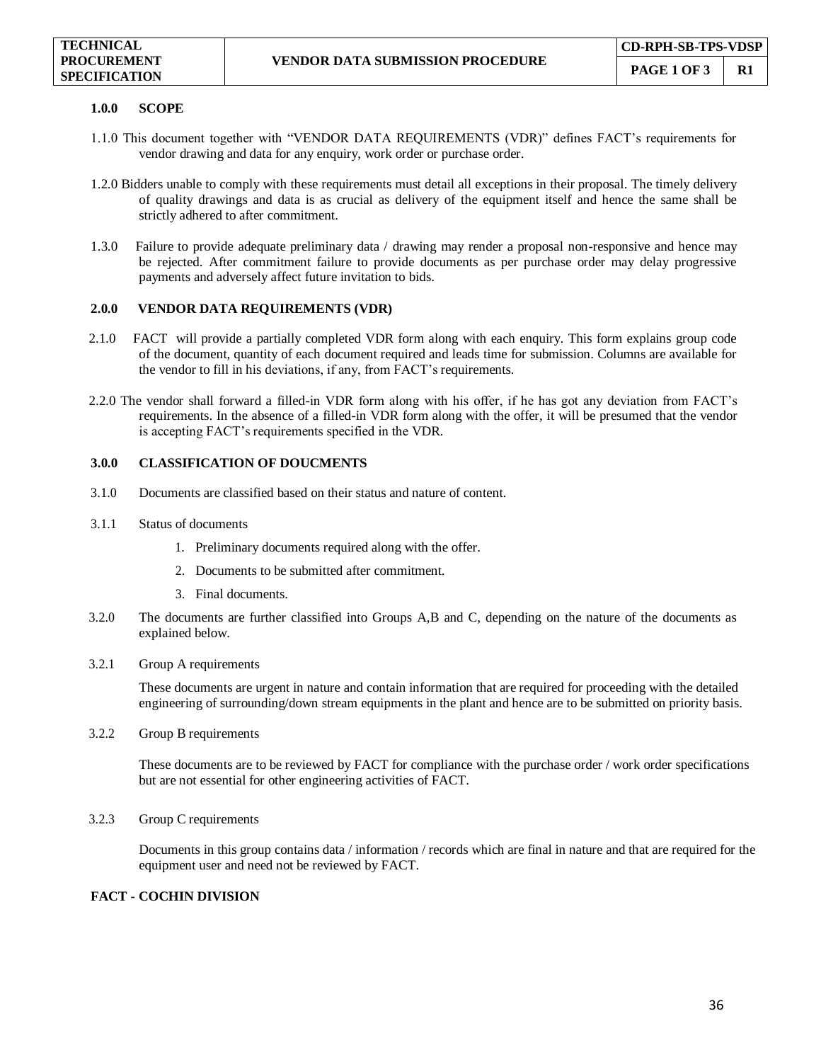#### **1.0.0 SCOPE**

- 1.1.0 This document together with "VENDOR DATA REQUIREMENTS (VDR)" defines FACT's requirements for vendor drawing and data for any enquiry, work order or purchase order.
- 1.2.0 Bidders unable to comply with these requirements must detail all exceptions in their proposal. The timely delivery of quality drawings and data is as crucial as delivery of the equipment itself and hence the same shall be strictly adhered to after commitment.
- 1.3.0 Failure to provide adequate preliminary data / drawing may render a proposal non-responsive and hence may be rejected. After commitment failure to provide documents as per purchase order may delay progressive payments and adversely affect future invitation to bids.

#### **2.0.0 VENDOR DATA REQUIREMENTS (VDR)**

- 2.1.0 FACT will provide a partially completed VDR form along with each enquiry. This form explains group code of the document, quantity of each document required and leads time for submission. Columns are available for the vendor to fill in his deviations, if any, from FACT's requirements.
- 2.2.0 The vendor shall forward a filled-in VDR form along with his offer, if he has got any deviation from FACT's requirements. In the absence of a filled-in VDR form along with the offer, it will be presumed that the vendor is accepting FACT's requirements specified in the VDR.

#### **3.0.0 CLASSIFICATION OF DOUCMENTS**

- 3.1.0 Documents are classified based on their status and nature of content.
- 3.1.1 Status of documents
	- 1. Preliminary documents required along with the offer.
	- 2. Documents to be submitted after commitment.
	- 3. Final documents.
- 3.2.0 The documents are further classified into Groups A,B and C, depending on the nature of the documents as explained below.
- 3.2.1 Group A requirements

These documents are urgent in nature and contain information that are required for proceeding with the detailed engineering of surrounding/down stream equipments in the plant and hence are to be submitted on priority basis.

3.2.2 Group B requirements

These documents are to be reviewed by FACT for compliance with the purchase order / work order specifications but are not essential for other engineering activities of FACT.

3.2.3 Group C requirements

Documents in this group contains data / information / records which are final in nature and that are required for the equipment user and need not be reviewed by FACT.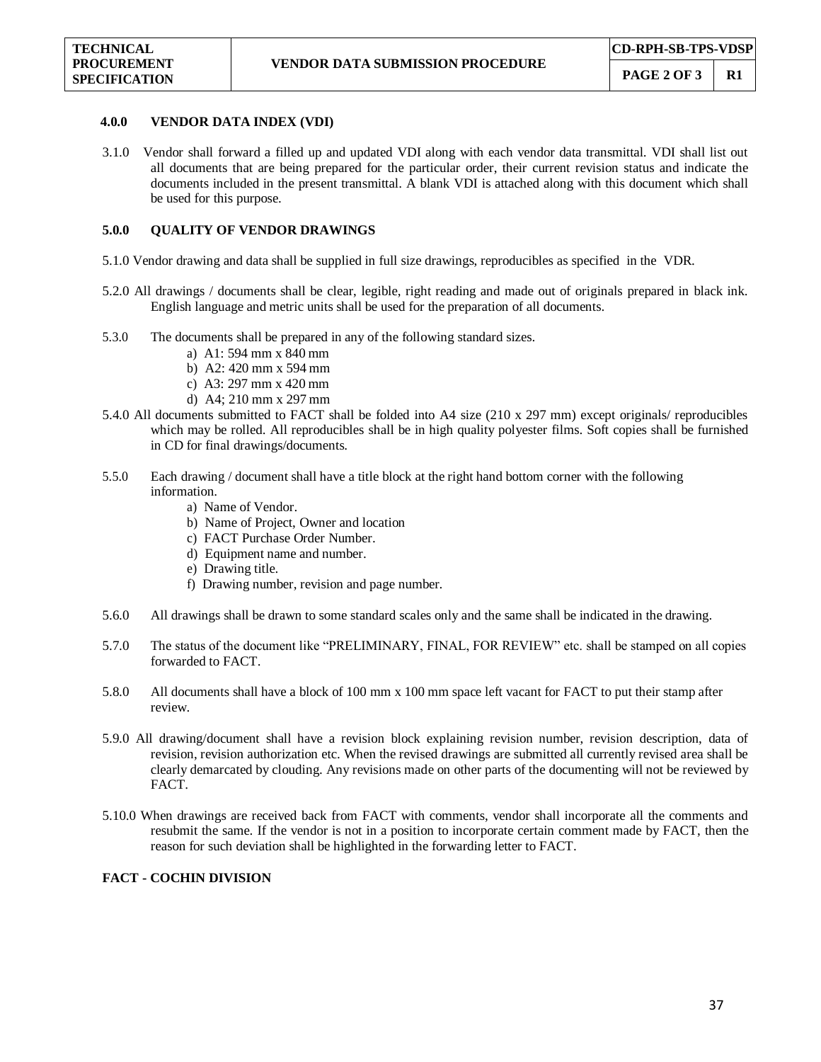#### **4.0.0 VENDOR DATA INDEX (VDI)**

3.1.0 Vendor shall forward a filled up and updated VDI along with each vendor data transmittal. VDI shall list out all documents that are being prepared for the particular order, their current revision status and indicate the documents included in the present transmittal. A blank VDI is attached along with this document which shall be used for this purpose.

#### **5.0.0 QUALITY OF VENDOR DRAWINGS**

- 5.1.0 Vendor drawing and data shall be supplied in full size drawings, reproducibles as specified in the VDR.
- 5.2.0 All drawings / documents shall be clear, legible, right reading and made out of originals prepared in black ink. English language and metric units shall be used for the preparation of all documents.
- 5.3.0 The documents shall be prepared in any of the following standard sizes.
	- a) A1: 594 mm x 840 mm
	- b) A2: 420 mm x 594 mm
	- c) A3: 297 mm x 420 mm
	- d) A4; 210 mm x 297 mm
- 5.4.0 All documents submitted to FACT shall be folded into A4 size (210 x 297 mm) except originals/ reproducibles which may be rolled. All reproducibles shall be in high quality polyester films. Soft copies shall be furnished in CD for final drawings/documents.
- 5.5.0 Each drawing / document shall have a title block at the right hand bottom corner with the following information.
	- a) Name of Vendor.
	- b) Name of Project, Owner and location
	- c) FACT Purchase Order Number.
	- d) Equipment name and number.
	- e) Drawing title.
	- f) Drawing number, revision and page number.
- 5.6.0 All drawings shall be drawn to some standard scales only and the same shall be indicated in the drawing.
- 5.7.0 The status of the document like "PRELIMINARY, FINAL, FOR REVIEW" etc. shall be stamped on all copies forwarded to FACT.
- 5.8.0 All documents shall have a block of 100 mm x 100 mm space left vacant for FACT to put their stamp after review.
- 5.9.0 All drawing/document shall have a revision block explaining revision number, revision description, data of revision, revision authorization etc. When the revised drawings are submitted all currently revised area shall be clearly demarcated by clouding. Any revisions made on other parts of the documenting will not be reviewed by FACT.
- 5.10.0 When drawings are received back from FACT with comments, vendor shall incorporate all the comments and resubmit the same. If the vendor is not in a position to incorporate certain comment made by FACT, then the reason for such deviation shall be highlighted in the forwarding letter to FACT.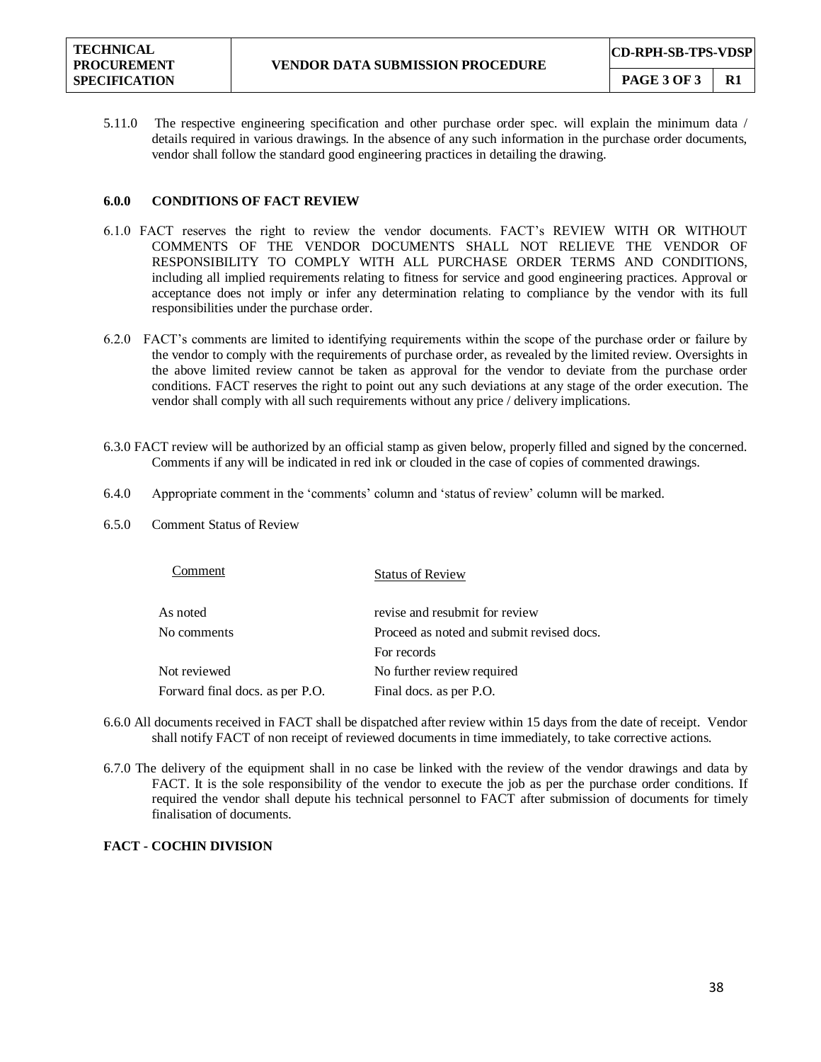5.11.0 The respective engineering specification and other purchase order spec. will explain the minimum data / details required in various drawings. In the absence of any such information in the purchase order documents, vendor shall follow the standard good engineering practices in detailing the drawing.

#### **6.0.0 CONDITIONS OF FACT REVIEW**

- 6.1.0 FACT reserves the right to review the vendor documents. FACT's REVIEW WITH OR WITHOUT COMMENTS OF THE VENDOR DOCUMENTS SHALL NOT RELIEVE THE VENDOR OF RESPONSIBILITY TO COMPLY WITH ALL PURCHASE ORDER TERMS AND CONDITIONS, including all implied requirements relating to fitness for service and good engineering practices. Approval or acceptance does not imply or infer any determination relating to compliance by the vendor with its full responsibilities under the purchase order.
- 6.2.0 FACT's comments are limited to identifying requirements within the scope of the purchase order or failure by the vendor to comply with the requirements of purchase order, as revealed by the limited review. Oversights in the above limited review cannot be taken as approval for the vendor to deviate from the purchase order conditions. FACT reserves the right to point out any such deviations at any stage of the order execution. The vendor shall comply with all such requirements without any price / delivery implications.
- 6.3.0 FACT review will be authorized by an official stamp as given below, properly filled and signed by the concerned. Comments if any will be indicated in red ink or clouded in the case of copies of commented drawings.
- 6.4.0 Appropriate comment in the 'comments' column and 'status of review' column will be marked.
- 6.5.0 Comment Status of Review

| Comment                         | <b>Status of Review</b>                   |
|---------------------------------|-------------------------------------------|
| As noted                        | revise and resubmit for review            |
| No comments                     | Proceed as noted and submit revised docs. |
|                                 | For records                               |
| Not reviewed                    | No further review required                |
| Forward final docs. as per P.O. | Final docs. as per P.O.                   |

- 6.6.0 All documents received in FACT shall be dispatched after review within 15 days from the date of receipt. Vendor shall notify FACT of non receipt of reviewed documents in time immediately, to take corrective actions.
- 6.7.0 The delivery of the equipment shall in no case be linked with the review of the vendor drawings and data by FACT. It is the sole responsibility of the vendor to execute the job as per the purchase order conditions. If required the vendor shall depute his technical personnel to FACT after submission of documents for timely finalisation of documents.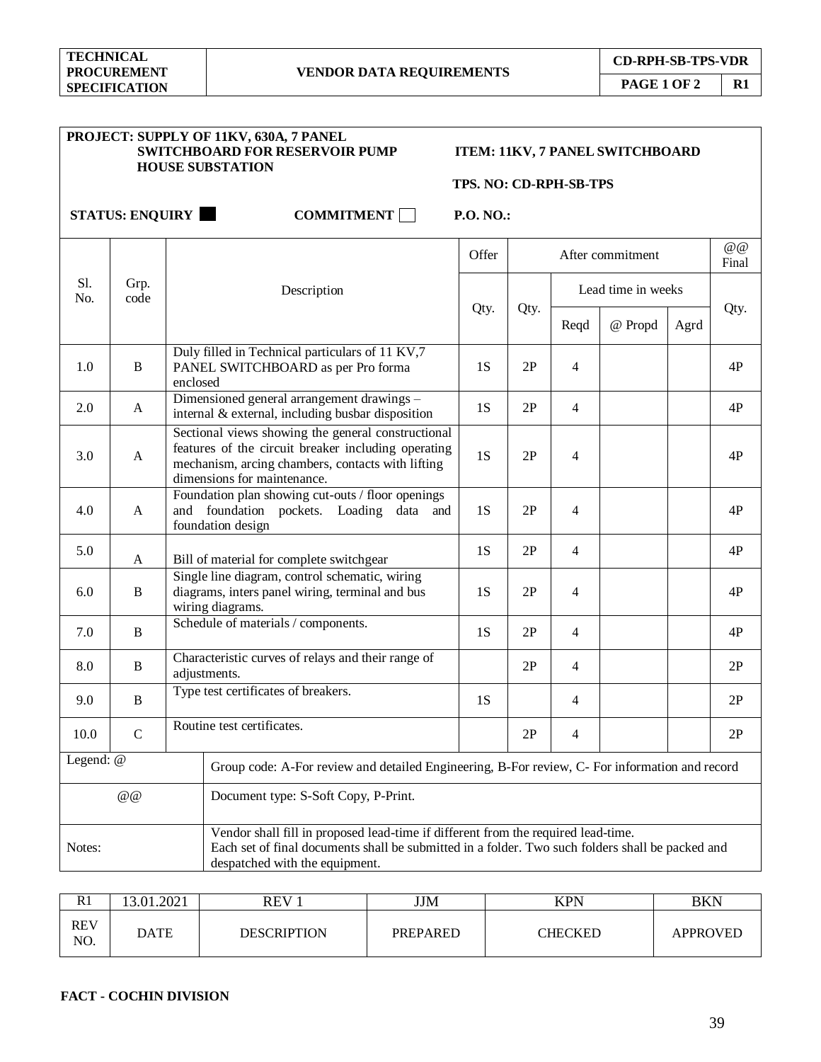|                                                                                                                                                                                                                                   |               | PROJECT: SUPPLY OF 11KV, 630A, 7 PANEL<br><b>SWITCHBOARD FOR RESERVOIR PUMP</b><br><b>HOUSE SUBSTATION</b>                                                                                    | TPS. NO: CD-RPH-SB-TPS |               |                          | ITEM: 11KV, 7 PANEL SWITCHBOARD |      |                  |
|-----------------------------------------------------------------------------------------------------------------------------------------------------------------------------------------------------------------------------------|---------------|-----------------------------------------------------------------------------------------------------------------------------------------------------------------------------------------------|------------------------|---------------|--------------------------|---------------------------------|------|------------------|
|                                                                                                                                                                                                                                   |               | <b>STATUS: ENQUIRY</b><br><b>COMMITMENT</b>                                                                                                                                                   | P.O. NO.:              |               |                          |                                 |      |                  |
|                                                                                                                                                                                                                                   |               |                                                                                                                                                                                               | Offer                  |               |                          | After commitment                |      | $@$ $@$<br>Final |
| Sl.<br>No.                                                                                                                                                                                                                        | Grp.<br>code  | Description                                                                                                                                                                                   |                        |               |                          | Lead time in weeks              |      |                  |
|                                                                                                                                                                                                                                   |               |                                                                                                                                                                                               | Qty.                   | Qty.          | Reqd                     | @ Propd                         | Agrd | Qty.             |
| 1.0                                                                                                                                                                                                                               | $\, {\bf B}$  | Duly filled in Technical particulars of 11 KV,7<br>PANEL SWITCHBOARD as per Pro forma<br>enclosed                                                                                             | 1S                     | 2P            | $\overline{4}$           |                                 |      | 4P               |
| 2.0                                                                                                                                                                                                                               | A             | Dimensioned general arrangement drawings -<br>internal & external, including busbar disposition                                                                                               | 1S                     | 2P            | $\overline{4}$           |                                 |      | 4P               |
| 3.0                                                                                                                                                                                                                               | A             | Sectional views showing the general constructional<br>features of the circuit breaker including operating<br>mechanism, arcing chambers, contacts with lifting<br>dimensions for maintenance. |                        | 2P            | $\overline{4}$           |                                 |      | 4P               |
| 4.0                                                                                                                                                                                                                               | A             | Foundation plan showing cut-outs / floor openings<br>and foundation pockets. Loading data and<br>foundation design                                                                            | 1S                     | 2P            | $\overline{4}$           |                                 |      | 4P               |
| 5.0                                                                                                                                                                                                                               | A             | Bill of material for complete switchgear                                                                                                                                                      | 1S                     | 2P            | $\overline{4}$           |                                 |      | 4P               |
| 6.0                                                                                                                                                                                                                               | B             | Single line diagram, control schematic, wiring<br>diagrams, inters panel wiring, terminal and bus<br>wiring diagrams.                                                                         | 1S                     | 2P            | $\overline{4}$           |                                 |      | 4P               |
| 7.0                                                                                                                                                                                                                               | $\, {\bf B}$  | Schedule of materials / components.                                                                                                                                                           | 1S                     | 2P            | $\overline{4}$           |                                 |      | 4P               |
| 8.0                                                                                                                                                                                                                               | B             | Characteristic curves of relays and their range of<br>adjustments.                                                                                                                            |                        | 2P            | $\overline{4}$           |                                 |      | 2P               |
| 9.0                                                                                                                                                                                                                               | B             | Type test certificates of breakers.                                                                                                                                                           | 1S                     |               | $\overline{4}$           |                                 |      | 2P               |
| 10.0                                                                                                                                                                                                                              | $\mathcal{C}$ | Routine test certificates.                                                                                                                                                                    |                        | $2\mathbf{P}$ | $\overline{\mathcal{A}}$ |                                 |      | $2\mathrm{P}$    |
| Legend: @<br>Group code: A-For review and detailed Engineering, B-For review, C- For information and record                                                                                                                       |               |                                                                                                                                                                                               |                        |               |                          |                                 |      |                  |
| $@$ $@$<br>Document type: S-Soft Copy, P-Print.                                                                                                                                                                                   |               |                                                                                                                                                                                               |                        |               |                          |                                 |      |                  |
| Vendor shall fill in proposed lead-time if different from the required lead-time.<br>Each set of final documents shall be submitted in a folder. Two such folders shall be packed and<br>Notes:<br>despatched with the equipment. |               |                                                                                                                                                                                               |                        |               |                          |                                 |      |                  |

| R1         | 13.01.2021 | <b>REV</b>         | JJM             | <b>KPN</b> | BKN             |
|------------|------------|--------------------|-----------------|------------|-----------------|
| REV<br>NO. | DATE       | <b>DESCRIPTION</b> | <b>PREPARED</b> | CHECKED    | <b>APPROVED</b> |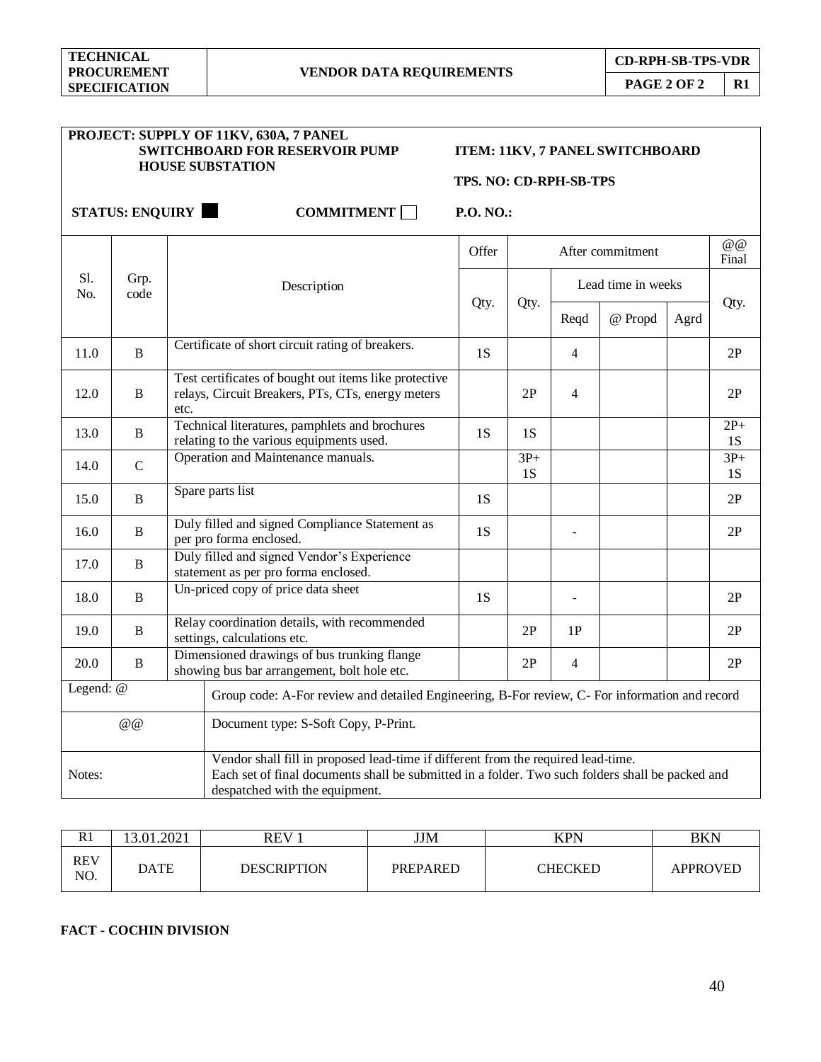|                      | PROJECT: SUPPLY OF 11KV, 630A, 7 PANEL<br><b>SWITCHBOARD FOR RESERVOIR PUMP</b><br><b>HOUSE SUBSTATION</b> |                                                                                                                                                                                                                         |           | ITEM: 11KV, 7 PANEL SWITCHBOARD<br>TPS. NO: CD-RPH-SB-TPS |                |                    |      |                            |  |
|----------------------|------------------------------------------------------------------------------------------------------------|-------------------------------------------------------------------------------------------------------------------------------------------------------------------------------------------------------------------------|-----------|-----------------------------------------------------------|----------------|--------------------|------|----------------------------|--|
|                      |                                                                                                            | <b>STATUS: ENQUIRY</b><br><b>COMMITMENT</b>                                                                                                                                                                             | P.O. NO.: |                                                           |                |                    |      |                            |  |
|                      |                                                                                                            |                                                                                                                                                                                                                         | Offer     |                                                           |                | After commitment   |      | $\omega$ $\omega$<br>Final |  |
| Sl.<br>No.           | Grp.<br>code                                                                                               | Description                                                                                                                                                                                                             |           |                                                           |                | Lead time in weeks |      |                            |  |
|                      |                                                                                                            |                                                                                                                                                                                                                         | Qty.      | Qty.                                                      | Reqd           | @ Propd            | Agrd | Qty.                       |  |
| 11.0                 | B                                                                                                          | Certificate of short circuit rating of breakers.                                                                                                                                                                        | 1S        |                                                           | $\overline{4}$ |                    |      | 2P                         |  |
| 12.0                 | B                                                                                                          | Test certificates of bought out items like protective<br>relays, Circuit Breakers, PTs, CTs, energy meters<br>etc.                                                                                                      |           | 2P                                                        | $\overline{4}$ |                    |      | 2P                         |  |
| 13.0                 | B                                                                                                          | Technical literatures, pamphlets and brochures<br>relating to the various equipments used.                                                                                                                              |           | 1S                                                        |                |                    |      | $2P+$<br>1S                |  |
| 14.0                 | $\mathbf C$                                                                                                | Operation and Maintenance manuals.                                                                                                                                                                                      |           | $3P+$<br>1S                                               |                |                    |      | $3P+$<br>1S                |  |
| 15.0                 | B                                                                                                          | Spare parts list                                                                                                                                                                                                        | 1S        |                                                           |                |                    |      | 2P                         |  |
| 16.0                 | B                                                                                                          | Duly filled and signed Compliance Statement as<br>per pro forma enclosed.                                                                                                                                               | 1S        |                                                           |                |                    |      | 2P                         |  |
| 17.0                 | B                                                                                                          | Duly filled and signed Vendor's Experience<br>statement as per pro forma enclosed.                                                                                                                                      |           |                                                           |                |                    |      |                            |  |
| 18.0                 | B                                                                                                          | Un-priced copy of price data sheet                                                                                                                                                                                      | 1S        |                                                           | $\blacksquare$ |                    |      | 2P                         |  |
| 19.0                 | B                                                                                                          | Relay coordination details, with recommended<br>settings, calculations etc.                                                                                                                                             |           | 2P                                                        | 1P             |                    |      | 2P                         |  |
| $\, {\bf B}$<br>20.0 |                                                                                                            | Dimensioned drawings of bus trunking flange<br>showing bus bar arrangement, bolt hole etc.                                                                                                                              |           | 2P                                                        | $\overline{4}$ |                    |      | 2P                         |  |
| Legend: @            |                                                                                                            | Group code: A-For review and detailed Engineering, B-For review, C- For information and record                                                                                                                          |           |                                                           |                |                    |      |                            |  |
|                      | @@                                                                                                         | Document type: S-Soft Copy, P-Print.                                                                                                                                                                                    |           |                                                           |                |                    |      |                            |  |
| Notes:               |                                                                                                            | Vendor shall fill in proposed lead-time if different from the required lead-time.<br>Each set of final documents shall be submitted in a folder. Two such folders shall be packed and<br>despatched with the equipment. |           |                                                           |                |                    |      |                            |  |

| R1                | .01.2021 | REV                | <b>JJM</b>      | <b>KPN</b>     | BKN             |
|-------------------|----------|--------------------|-----------------|----------------|-----------------|
| <b>REV</b><br>NO. | DATE     | <b>DESCRIPTION</b> | <b>PREPARED</b> | <b>THECKED</b> | <b>APPROVED</b> |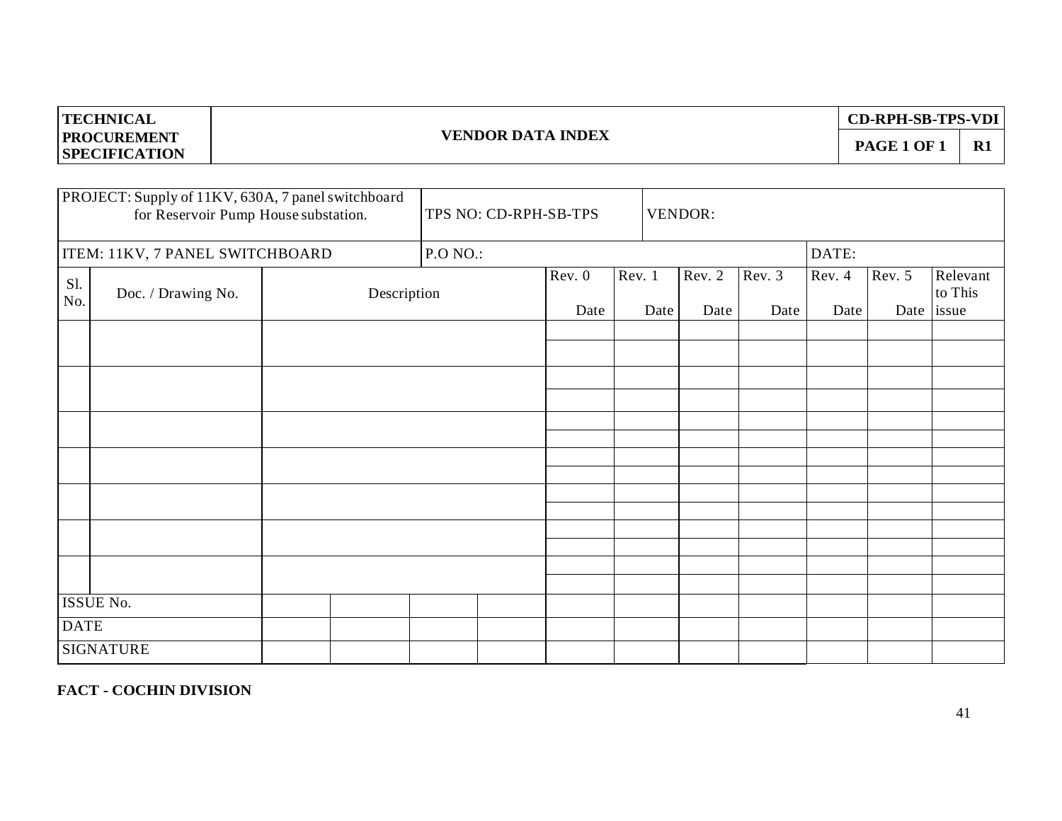| <b>TECHNICAL</b>                           |                          | <b>CD-RPH-SB-TPS-VDI</b> |  |
|--------------------------------------------|--------------------------|--------------------------|--|
| <b>PROCUREMENT</b><br><b>SPECIFICATION</b> | <b>VENDOR DATA INDEX</b> | <b>PAGE 1 OF</b>         |  |
|                                            |                          |                          |  |

|             | PROJECT: Supply of 11KV, 630A, 7 panel switchboard<br>for Reservoir Pump House substation. | TPS NO: CD-RPH-SB-TPS |                |        | VENDOR:                |                |                |        |                                   |
|-------------|--------------------------------------------------------------------------------------------|-----------------------|----------------|--------|------------------------|----------------|----------------|--------|-----------------------------------|
|             | ITEM: 11KV, 7 PANEL SWITCHBOARD                                                            | <b>P.O NO.:</b>       |                |        |                        |                | DATE:          |        |                                   |
| S1.<br>No.  | Doc. / Drawing No.<br>Description                                                          |                       | Rev. 0<br>Date | Rev. 1 | Rev. 2<br>Date<br>Date | Rev. 3<br>Date | Rev. 4<br>Date | Rev. 5 | Relevant<br>to This<br>Date issue |
|             |                                                                                            |                       |                |        |                        |                |                |        |                                   |
|             |                                                                                            |                       |                |        |                        |                |                |        |                                   |
|             |                                                                                            |                       |                |        |                        |                |                |        |                                   |
|             |                                                                                            |                       |                |        |                        |                |                |        |                                   |
|             |                                                                                            |                       |                |        |                        |                |                |        |                                   |
|             |                                                                                            |                       |                |        |                        |                |                |        |                                   |
|             |                                                                                            |                       |                |        |                        |                |                |        |                                   |
|             |                                                                                            |                       |                |        |                        |                |                |        |                                   |
|             |                                                                                            |                       |                |        |                        |                |                |        |                                   |
|             |                                                                                            |                       |                |        |                        |                |                |        |                                   |
|             |                                                                                            |                       |                |        |                        |                |                |        |                                   |
|             | ISSUE No.                                                                                  |                       |                |        |                        |                |                |        |                                   |
| <b>DATE</b> |                                                                                            |                       |                |        |                        |                |                |        |                                   |
|             | <b>SIGNATURE</b>                                                                           |                       |                |        |                        |                |                |        |                                   |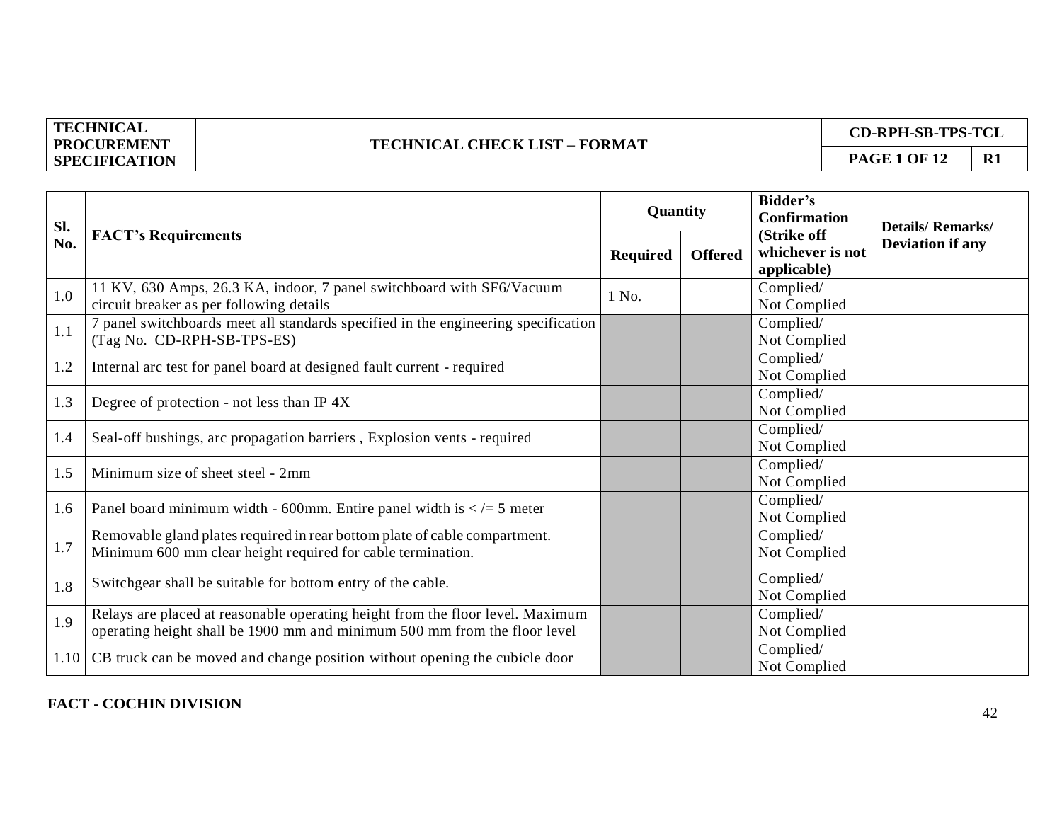#### **TECHNICAL CHECK LIST – FORMAT**

**CD-RPH-SB-TPS-TCL**

**PAGE 1 OF 12** | **R1** 

| Sl. |                                                                                                                                                             | Quantity        |                | <b>Bidder's</b><br><b>Confirmation</b>         | <b>Details/Remarks/</b> |
|-----|-------------------------------------------------------------------------------------------------------------------------------------------------------------|-----------------|----------------|------------------------------------------------|-------------------------|
| No. | <b>FACT's Requirements</b>                                                                                                                                  | <b>Required</b> | <b>Offered</b> | (Strike off<br>whichever is not<br>applicable) | <b>Deviation if any</b> |
| 1.0 | 11 KV, 630 Amps, 26.3 KA, indoor, 7 panel switchboard with SF6/Vacuum<br>circuit breaker as per following details                                           | 1 No.           |                | Complied/<br>Not Complied                      |                         |
| 1.1 | 7 panel switchboards meet all standards specified in the engineering specification<br>(Tag No. CD-RPH-SB-TPS-ES)                                            |                 |                | Complied/<br>Not Complied                      |                         |
| 1.2 | Internal arc test for panel board at designed fault current - required                                                                                      |                 |                | Complied/<br>Not Complied                      |                         |
| 1.3 | Degree of protection - not less than IP 4X                                                                                                                  |                 |                | Complied/<br>Not Complied                      |                         |
| 1.4 | Seal-off bushings, arc propagation barriers, Explosion vents - required                                                                                     |                 |                | Complied/<br>Not Complied                      |                         |
| 1.5 | Minimum size of sheet steel - 2mm                                                                                                                           |                 |                | Complied/<br>Not Complied                      |                         |
| 1.6 | Panel board minimum width - 600mm. Entire panel width is $\lt$ /= 5 meter                                                                                   |                 |                | Complied/<br>Not Complied                      |                         |
| 1.7 | Removable gland plates required in rear bottom plate of cable compartment.<br>Minimum 600 mm clear height required for cable termination.                   |                 |                | Complied/<br>Not Complied                      |                         |
| 1.8 | Switchgear shall be suitable for bottom entry of the cable.                                                                                                 |                 |                | Complied/<br>Not Complied                      |                         |
| 1.9 | Relays are placed at reasonable operating height from the floor level. Maximum<br>operating height shall be 1900 mm and minimum 500 mm from the floor level |                 |                | Complied/<br>Not Complied                      |                         |
|     | 1.10 CB truck can be moved and change position without opening the cubicle door                                                                             |                 |                | Complied/<br>Not Complied                      |                         |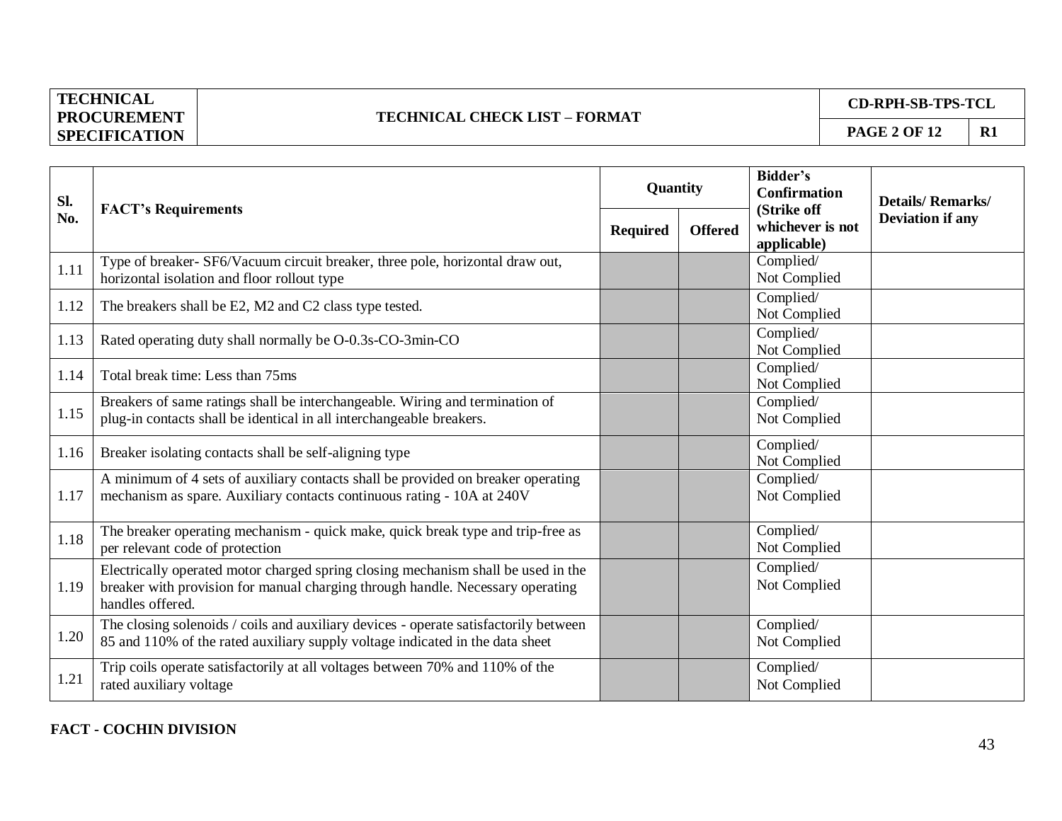## **TECHNICAL CHECK LIST – FORMAT**

**CD-RPH-SB-TPS-TCL**

| Sl.  | <b>FACT's Requirements</b>                                                                                                                                                              | Quantity        |                | <b>Bidder's</b><br><b>Confirmation</b>         | <b>Details/Remarks/</b> |
|------|-----------------------------------------------------------------------------------------------------------------------------------------------------------------------------------------|-----------------|----------------|------------------------------------------------|-------------------------|
| No.  |                                                                                                                                                                                         | <b>Required</b> | <b>Offered</b> | (Strike off<br>whichever is not<br>applicable) | <b>Deviation if any</b> |
| 1.11 | Type of breaker- SF6/Vacuum circuit breaker, three pole, horizontal draw out,<br>horizontal isolation and floor rollout type                                                            |                 |                | Complied/<br>Not Complied                      |                         |
| 1.12 | The breakers shall be E2, M2 and C2 class type tested.                                                                                                                                  |                 |                | Complied/<br>Not Complied                      |                         |
| 1.13 | Rated operating duty shall normally be O-0.3s-CO-3min-CO                                                                                                                                |                 |                | Complied/<br>Not Complied                      |                         |
| 1.14 | Total break time: Less than 75ms                                                                                                                                                        |                 |                | Complied/<br>Not Complied                      |                         |
| 1.15 | Breakers of same ratings shall be interchangeable. Wiring and termination of<br>plug-in contacts shall be identical in all interchangeable breakers.                                    |                 |                | Complied/<br>Not Complied                      |                         |
| 1.16 | Breaker isolating contacts shall be self-aligning type                                                                                                                                  |                 |                | Complied/<br>Not Complied                      |                         |
| 1.17 | A minimum of 4 sets of auxiliary contacts shall be provided on breaker operating<br>mechanism as spare. Auxiliary contacts continuous rating - 10A at 240V                              |                 |                | Complied/<br>Not Complied                      |                         |
| 1.18 | The breaker operating mechanism - quick make, quick break type and trip-free as<br>per relevant code of protection                                                                      |                 |                | Complied/<br>Not Complied                      |                         |
| 1.19 | Electrically operated motor charged spring closing mechanism shall be used in the<br>breaker with provision for manual charging through handle. Necessary operating<br>handles offered. |                 |                | Complied/<br>Not Complied                      |                         |
| 1.20 | The closing solenoids / coils and auxiliary devices - operate satisfactorily between<br>85 and 110% of the rated auxiliary supply voltage indicated in the data sheet                   |                 |                | Complied/<br>Not Complied                      |                         |
| 1.21 | Trip coils operate satisfactorily at all voltages between 70% and 110% of the<br>rated auxiliary voltage                                                                                |                 |                | Complied/<br>Not Complied                      |                         |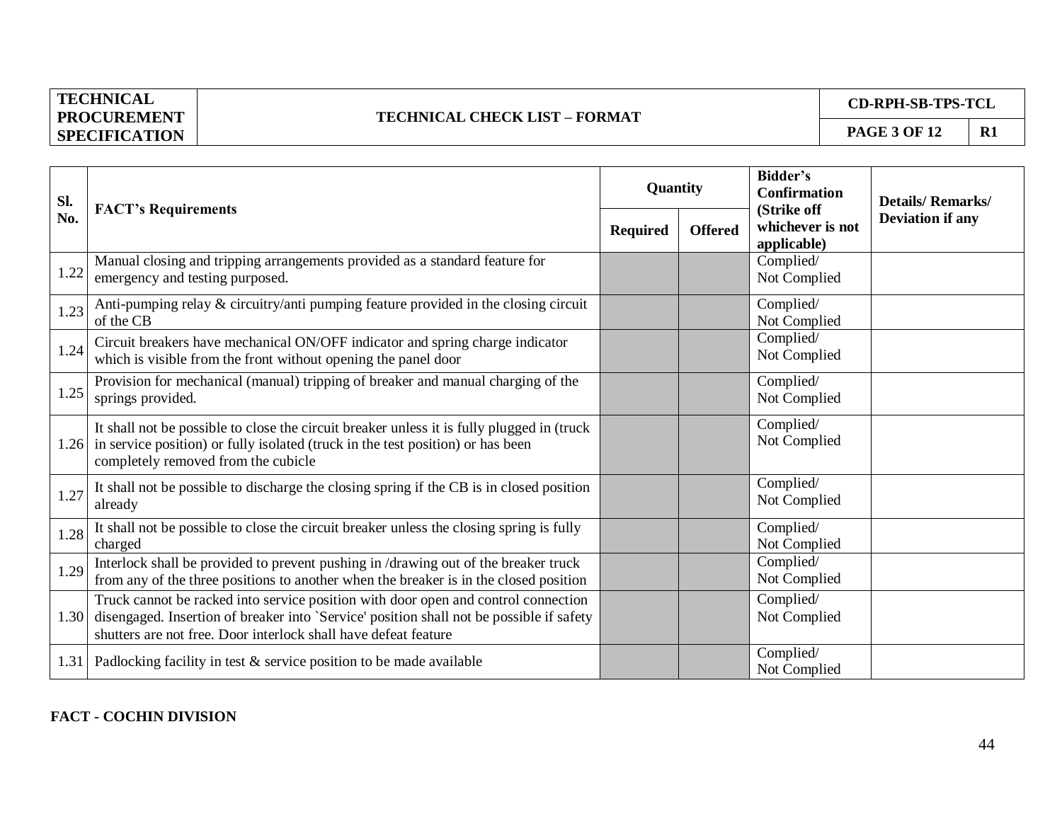## **TECHNICAL CHECK LIST – FORMAT**

**CD-RPH-SB-TPS-TCL**

| Sl.  | <b>FACT's Requirements</b>                                                                                                                                                                                                                             | Quantity        |                | <b>Bidder's</b><br><b>Confirmation</b>         | <b>Details/Remarks/</b> |
|------|--------------------------------------------------------------------------------------------------------------------------------------------------------------------------------------------------------------------------------------------------------|-----------------|----------------|------------------------------------------------|-------------------------|
| No.  |                                                                                                                                                                                                                                                        | <b>Required</b> | <b>Offered</b> | (Strike off<br>whichever is not<br>applicable) | <b>Deviation if any</b> |
| 1.22 | Manual closing and tripping arrangements provided as a standard feature for<br>emergency and testing purposed.                                                                                                                                         |                 |                | Complied/<br>Not Complied                      |                         |
| 1.23 | Anti-pumping relay & circuitry/anti pumping feature provided in the closing circuit<br>of the CB                                                                                                                                                       |                 |                | Complied/<br>Not Complied                      |                         |
| 1.24 | Circuit breakers have mechanical ON/OFF indicator and spring charge indicator<br>which is visible from the front without opening the panel door                                                                                                        |                 |                | Complied/<br>Not Complied                      |                         |
| 1.25 | Provision for mechanical (manual) tripping of breaker and manual charging of the<br>springs provided.                                                                                                                                                  |                 |                | Complied/<br>Not Complied                      |                         |
| 1.26 | It shall not be possible to close the circuit breaker unless it is fully plugged in (truck<br>in service position) or fully isolated (truck in the test position) or has been<br>completely removed from the cubicle                                   |                 |                | Complied/<br>Not Complied                      |                         |
| 1.27 | It shall not be possible to discharge the closing spring if the CB is in closed position<br>already                                                                                                                                                    |                 |                | Complied/<br>Not Complied                      |                         |
| 1.28 | It shall not be possible to close the circuit breaker unless the closing spring is fully<br>charged                                                                                                                                                    |                 |                | Complied/<br>Not Complied                      |                         |
| 1.29 | Interlock shall be provided to prevent pushing in /drawing out of the breaker truck<br>from any of the three positions to another when the breaker is in the closed position                                                                           |                 |                | Complied/<br>Not Complied                      |                         |
|      | Truck cannot be racked into service position with door open and control connection<br>1.30 disengaged. Insertion of breaker into `Service' position shall not be possible if safety<br>shutters are not free. Door interlock shall have defeat feature |                 |                | Complied/<br>Not Complied                      |                         |
|      | 1.31 Padlocking facility in test & service position to be made available                                                                                                                                                                               |                 |                | Complied/<br>Not Complied                      |                         |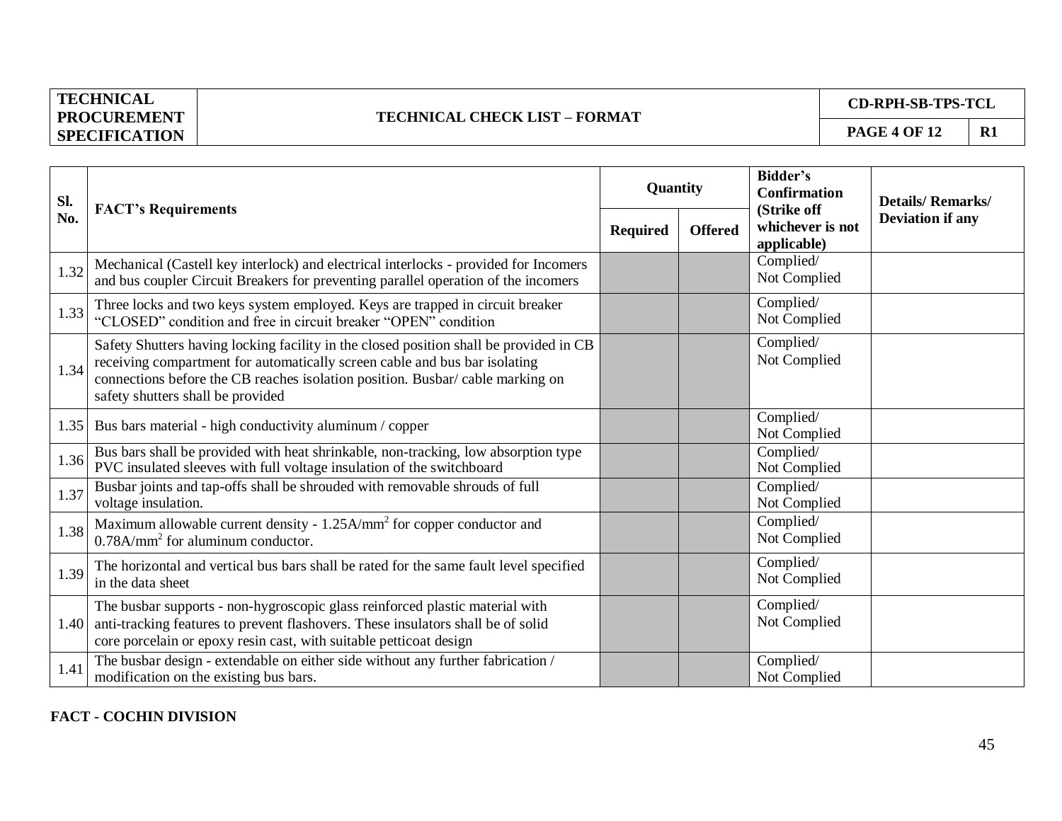## **TECHNICAL CHECK LIST – FORMAT**

**CD-RPH-SB-TPS-TCL**

| Sl.  | <b>FACT's Requirements</b>                                                                                                                                                                                                                                                                 | Quantity        |                | Bidder's<br><b>Confirmation</b>                | <b>Details/Remarks/</b> |
|------|--------------------------------------------------------------------------------------------------------------------------------------------------------------------------------------------------------------------------------------------------------------------------------------------|-----------------|----------------|------------------------------------------------|-------------------------|
| No.  |                                                                                                                                                                                                                                                                                            | <b>Required</b> | <b>Offered</b> | (Strike off<br>whichever is not<br>applicable) | <b>Deviation if any</b> |
| 1.32 | Mechanical (Castell key interlock) and electrical interlocks - provided for Incomers<br>and bus coupler Circuit Breakers for preventing parallel operation of the incomers                                                                                                                 |                 |                | Complied/<br>Not Complied                      |                         |
| 1.33 | Three locks and two keys system employed. Keys are trapped in circuit breaker<br>"CLOSED" condition and free in circuit breaker "OPEN" condition                                                                                                                                           |                 |                | Complied/<br>Not Complied                      |                         |
| 1.34 | Safety Shutters having locking facility in the closed position shall be provided in CB<br>receiving compartment for automatically screen cable and bus bar isolating<br>connections before the CB reaches isolation position. Busbar/cable marking on<br>safety shutters shall be provided |                 |                | Complied/<br>Not Complied                      |                         |
| 1.35 | Bus bars material - high conductivity aluminum / copper                                                                                                                                                                                                                                    |                 |                | Complied/<br>Not Complied                      |                         |
| 1.36 | Bus bars shall be provided with heat shrinkable, non-tracking, low absorption type<br>PVC insulated sleeves with full voltage insulation of the switchboard                                                                                                                                |                 |                | Complied/<br>Not Complied                      |                         |
| 1.37 | Busbar joints and tap-offs shall be shrouded with removable shrouds of full<br>voltage insulation.                                                                                                                                                                                         |                 |                | Complied/<br>Not Complied                      |                         |
| 1.38 | Maximum allowable current density - 1.25A/mm <sup>2</sup> for copper conductor and<br>$0.78$ A/mm <sup>2</sup> for aluminum conductor.                                                                                                                                                     |                 |                | Complied/<br>Not Complied                      |                         |
| 1.39 | The horizontal and vertical bus bars shall be rated for the same fault level specified<br>in the data sheet                                                                                                                                                                                |                 |                | Complied/<br>Not Complied                      |                         |
| 1.40 | The busbar supports - non-hygroscopic glass reinforced plastic material with<br>anti-tracking features to prevent flashovers. These insulators shall be of solid<br>core porcelain or epoxy resin cast, with suitable petticoat design                                                     |                 |                | Complied/<br>Not Complied                      |                         |
| 1.41 | The busbar design - extendable on either side without any further fabrication /<br>modification on the existing bus bars.                                                                                                                                                                  |                 |                | Complied/<br>Not Complied                      |                         |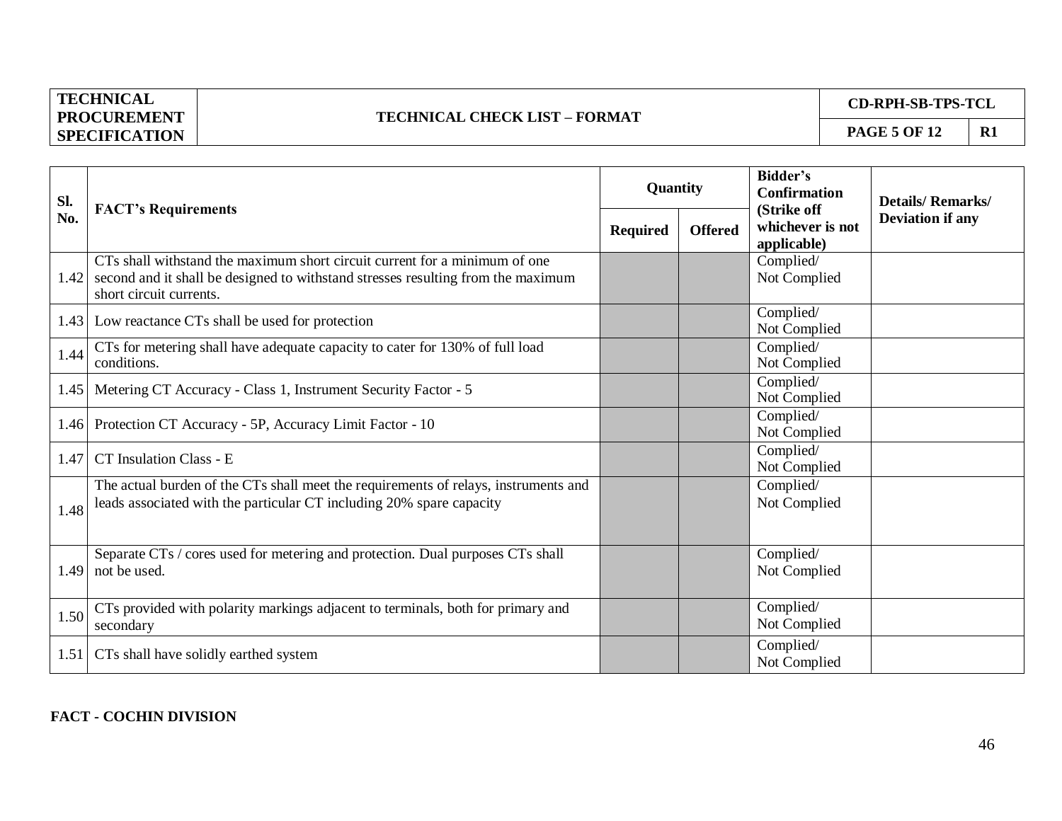#### **TECHNICAL CHECK LIST – FORMAT**

**CD-RPH-SB-TPS-TCL**

| Sl.  |                                                                                                                                                                                           | Quantity        |                | <b>Bidder's</b><br><b>Confirmation</b>         | <b>Details/Remarks/</b> |
|------|-------------------------------------------------------------------------------------------------------------------------------------------------------------------------------------------|-----------------|----------------|------------------------------------------------|-------------------------|
| No.  | <b>FACT's Requirements</b>                                                                                                                                                                | <b>Required</b> | <b>Offered</b> | (Strike off<br>whichever is not<br>applicable) | <b>Deviation if any</b> |
| 1.42 | CTs shall withstand the maximum short circuit current for a minimum of one<br>second and it shall be designed to withstand stresses resulting from the maximum<br>short circuit currents. |                 |                | Complied/<br>Not Complied                      |                         |
|      | 1.43 Low reactance CTs shall be used for protection                                                                                                                                       |                 |                | Complied/<br>Not Complied                      |                         |
| 1.44 | CTs for metering shall have adequate capacity to cater for 130% of full load<br>conditions.                                                                                               |                 |                | Complied/<br>Not Complied                      |                         |
|      | 1.45 Metering CT Accuracy - Class 1, Instrument Security Factor - 5                                                                                                                       |                 |                | Complied/<br>Not Complied                      |                         |
|      | 1.46 Protection CT Accuracy - 5P, Accuracy Limit Factor - 10                                                                                                                              |                 |                | Complied/<br>Not Complied                      |                         |
| 1.47 | CT Insulation Class - E                                                                                                                                                                   |                 |                | Complied/<br>Not Complied                      |                         |
| 1.48 | The actual burden of the CTs shall meet the requirements of relays, instruments and<br>leads associated with the particular CT including 20% spare capacity                               |                 |                | Complied/<br>Not Complied                      |                         |
| 1.49 | Separate CTs / cores used for metering and protection. Dual purposes CTs shall<br>not be used.                                                                                            |                 |                | Complied/<br>Not Complied                      |                         |
| 1.50 | CTs provided with polarity markings adjacent to terminals, both for primary and<br>secondary                                                                                              |                 |                | Complied/<br>Not Complied                      |                         |
|      | 1.51 CTs shall have solidly earthed system                                                                                                                                                |                 |                | Complied/<br>Not Complied                      |                         |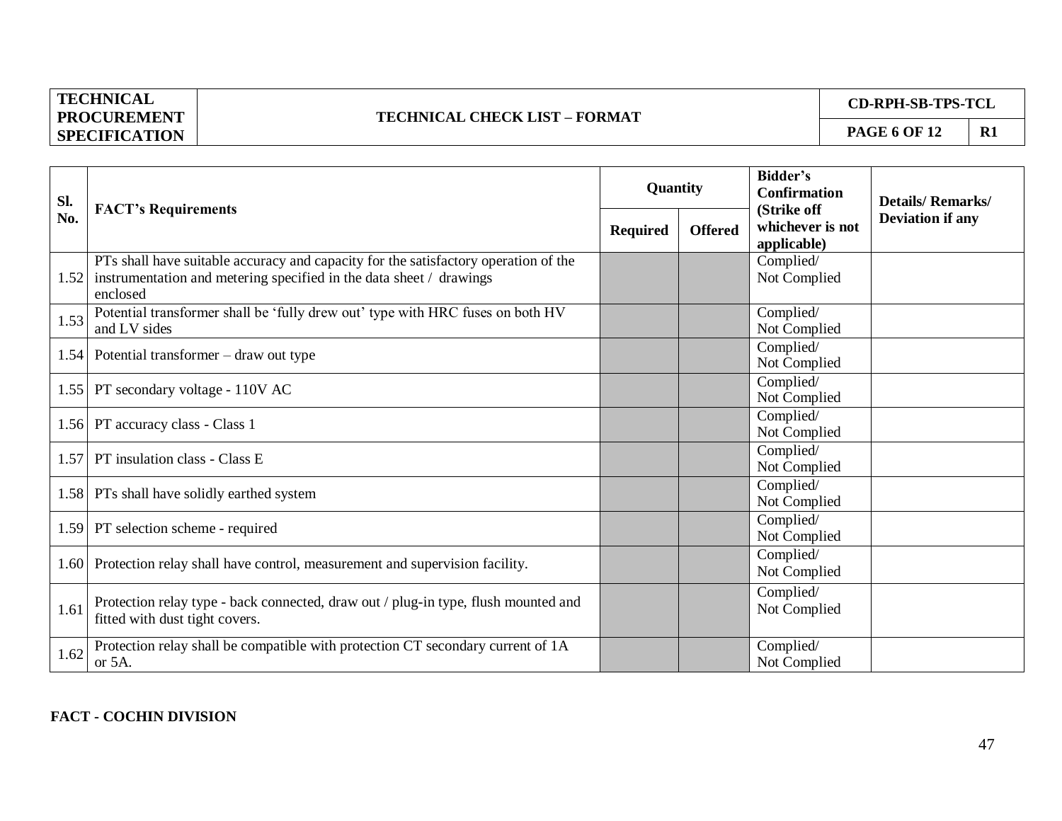## **TECHNICAL CHECK LIST – FORMAT**

**CD-RPH-SB-TPS-TCL**

| Sl.  | <b>FACT's Requirements</b>                                                                                                                                             | Quantity        |                | <b>Bidder's</b><br><b>Confirmation</b><br>(Strike off | <b>Details/Remarks/</b> |
|------|------------------------------------------------------------------------------------------------------------------------------------------------------------------------|-----------------|----------------|-------------------------------------------------------|-------------------------|
| No.  |                                                                                                                                                                        | <b>Required</b> | <b>Offered</b> | whichever is not<br>applicable)                       | <b>Deviation if any</b> |
| 1.52 | PTs shall have suitable accuracy and capacity for the satisfactory operation of the<br>instrumentation and metering specified in the data sheet / drawings<br>enclosed |                 |                | Complied/<br>Not Complied                             |                         |
| 1.53 | Potential transformer shall be 'fully drew out' type with HRC fuses on both HV<br>and LV sides                                                                         |                 |                | Complied/<br>Not Complied                             |                         |
|      | 1.54 Potential transformer $-$ draw out type                                                                                                                           |                 |                | Complied/<br>Not Complied                             |                         |
|      | 1.55   PT secondary voltage - 110V AC                                                                                                                                  |                 |                | Complied/<br>Not Complied                             |                         |
|      | 1.56 PT accuracy class - Class 1                                                                                                                                       |                 |                | Complied/<br>Not Complied                             |                         |
| 1.57 | PT insulation class - Class E                                                                                                                                          |                 |                | Complied/<br>Not Complied                             |                         |
|      | 1.58 PTs shall have solidly earthed system                                                                                                                             |                 |                | Complied/<br>Not Complied                             |                         |
|      | 1.59 PT selection scheme - required                                                                                                                                    |                 |                | Complied/<br>Not Complied                             |                         |
|      | 1.60 Protection relay shall have control, measurement and supervision facility.                                                                                        |                 |                | Complied/<br>Not Complied                             |                         |
| 1.61 | Protection relay type - back connected, draw out / plug-in type, flush mounted and<br>fitted with dust tight covers.                                                   |                 |                | Complied/<br>Not Complied                             |                         |
| 1.62 | Protection relay shall be compatible with protection CT secondary current of 1A<br>or 5A.                                                                              |                 |                | Complied/<br>Not Complied                             |                         |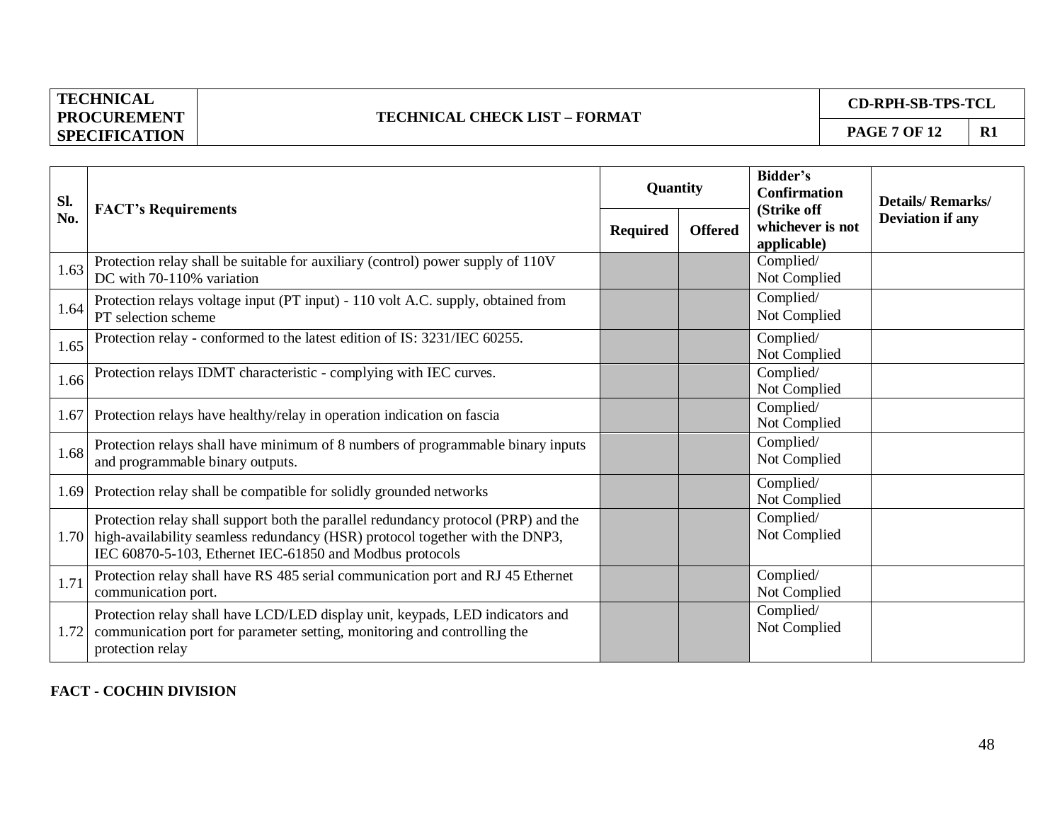## **TECHNICAL CHECK LIST – FORMAT**

**CD-RPH-SB-TPS-TCL**

| Sl.  |                                                                                                                                                                                                                                     | Quantity        |                | <b>Bidder's</b><br><b>Confirmation</b>         | <b>Details/Remarks/</b> |
|------|-------------------------------------------------------------------------------------------------------------------------------------------------------------------------------------------------------------------------------------|-----------------|----------------|------------------------------------------------|-------------------------|
| No.  | <b>FACT's Requirements</b>                                                                                                                                                                                                          | <b>Required</b> | <b>Offered</b> | (Strike off<br>whichever is not<br>applicable) | <b>Deviation if any</b> |
| 1.63 | Protection relay shall be suitable for auxiliary (control) power supply of 110V<br>DC with 70-110% variation                                                                                                                        |                 |                | Complied/<br>Not Complied                      |                         |
| 1.64 | Protection relays voltage input (PT input) - 110 volt A.C. supply, obtained from<br>PT selection scheme                                                                                                                             |                 |                | Complied/<br>Not Complied                      |                         |
| 1.65 | Protection relay - conformed to the latest edition of IS: 3231/IEC 60255.                                                                                                                                                           |                 |                | Complied/<br>Not Complied                      |                         |
| 1.66 | Protection relays IDMT characteristic - complying with IEC curves.                                                                                                                                                                  |                 |                | Complied/<br>Not Complied                      |                         |
|      | 1.67 Protection relays have healthy/relay in operation indication on fascia                                                                                                                                                         |                 |                | Complied/<br>Not Complied                      |                         |
| 1.68 | Protection relays shall have minimum of 8 numbers of programmable binary inputs<br>and programmable binary outputs.                                                                                                                 |                 |                | Complied/<br>Not Complied                      |                         |
|      | 1.69 Protection relay shall be compatible for solidly grounded networks                                                                                                                                                             |                 |                | Complied/<br>Not Complied                      |                         |
|      | Protection relay shall support both the parallel redundancy protocol (PRP) and the<br>1.70 high-availability seamless redundancy (HSR) protocol together with the DNP3,<br>IEC 60870-5-103, Ethernet IEC-61850 and Modbus protocols |                 |                | Complied/<br>Not Complied                      |                         |
| 1.71 | Protection relay shall have RS 485 serial communication port and RJ 45 Ethernet<br>communication port.                                                                                                                              |                 |                | Complied/<br>Not Complied                      |                         |
| 1.72 | Protection relay shall have LCD/LED display unit, keypads, LED indicators and<br>communication port for parameter setting, monitoring and controlling the<br>protection relay                                                       |                 |                | Complied/<br>Not Complied                      |                         |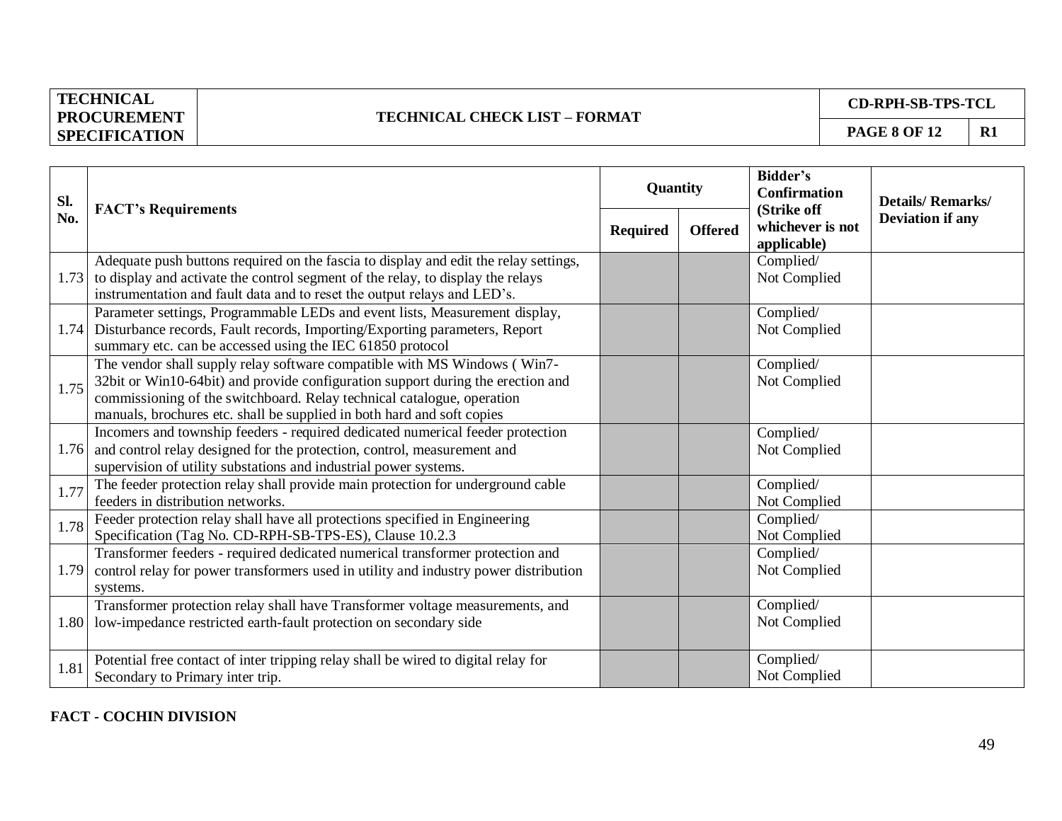## **TECHNICAL CHECK LIST – FORMAT**

**CD-RPH-SB-TPS-TCL**

| SI.  |                                                                                                                                                                                                                                                                                                                 |                 | Quantity       | <b>Bidder's</b><br><b>Confirmation</b>         | <b>Details/Remarks/</b> |
|------|-----------------------------------------------------------------------------------------------------------------------------------------------------------------------------------------------------------------------------------------------------------------------------------------------------------------|-----------------|----------------|------------------------------------------------|-------------------------|
| No.  | <b>FACT's Requirements</b>                                                                                                                                                                                                                                                                                      | <b>Required</b> | <b>Offered</b> | (Strike off<br>whichever is not<br>applicable) | <b>Deviation if any</b> |
|      | Adequate push buttons required on the fascia to display and edit the relay settings,<br>1.73 to display and activate the control segment of the relay, to display the relays<br>instrumentation and fault data and to reset the output relays and LED's.                                                        |                 |                | Complied/<br>Not Complied                      |                         |
| 1.74 | Parameter settings, Programmable LEDs and event lists, Measurement display,<br>Disturbance records, Fault records, Importing/Exporting parameters, Report<br>summary etc. can be accessed using the IEC 61850 protocol                                                                                          |                 |                | Complied/<br>Not Complied                      |                         |
| 1.75 | The vendor shall supply relay software compatible with MS Windows (Win7-<br>32bit or Win10-64bit) and provide configuration support during the erection and<br>commissioning of the switchboard. Relay technical catalogue, operation<br>manuals, brochures etc. shall be supplied in both hard and soft copies |                 |                | Complied/<br>Not Complied                      |                         |
|      | Incomers and township feeders - required dedicated numerical feeder protection<br>1.76 and control relay designed for the protection, control, measurement and<br>supervision of utility substations and industrial power systems.                                                                              |                 |                | Complied/<br>Not Complied                      |                         |
| 1.77 | The feeder protection relay shall provide main protection for underground cable<br>feeders in distribution networks.                                                                                                                                                                                            |                 |                | Complied/<br>Not Complied                      |                         |
| 1.78 | Feeder protection relay shall have all protections specified in Engineering<br>Specification (Tag No. CD-RPH-SB-TPS-ES), Clause 10.2.3                                                                                                                                                                          |                 |                | Complied/<br>Not Complied                      |                         |
| 1.79 | Transformer feeders - required dedicated numerical transformer protection and<br>control relay for power transformers used in utility and industry power distribution<br>systems.                                                                                                                               |                 |                | Complied/<br>Not Complied                      |                         |
|      | Transformer protection relay shall have Transformer voltage measurements, and<br>1.80 low-impedance restricted earth-fault protection on secondary side                                                                                                                                                         |                 |                | Complied/<br>Not Complied                      |                         |
| 1.81 | Potential free contact of inter tripping relay shall be wired to digital relay for<br>Secondary to Primary inter trip.                                                                                                                                                                                          |                 |                | Complied/<br>Not Complied                      |                         |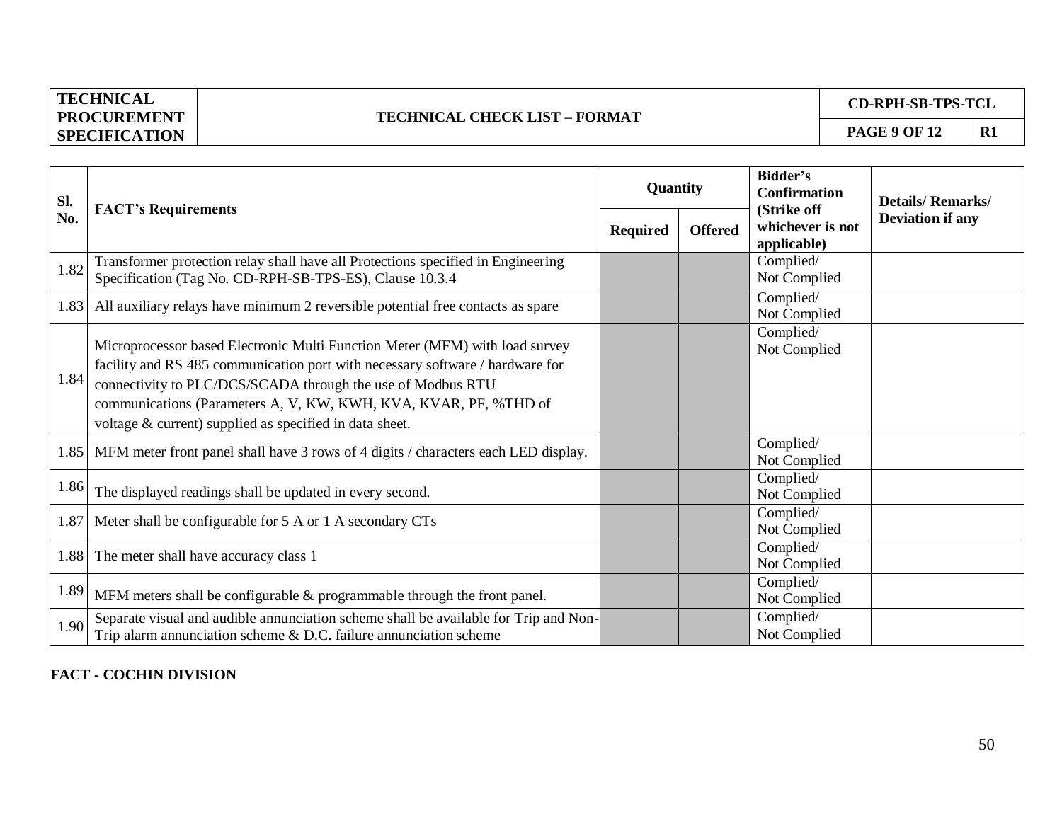## **TECHNICAL CHECK LIST – FORMAT**

**CD-RPH-SB-TPS-TCL**

| Sl.  | <b>FACT's Requirements</b>                                                                                                                                                                                                                                                                                                                                 | Quantity        |                | Bidder's<br><b>Confirmation</b>                | <b>Details/Remarks/</b> |
|------|------------------------------------------------------------------------------------------------------------------------------------------------------------------------------------------------------------------------------------------------------------------------------------------------------------------------------------------------------------|-----------------|----------------|------------------------------------------------|-------------------------|
| No.  |                                                                                                                                                                                                                                                                                                                                                            | <b>Required</b> | <b>Offered</b> | (Strike off<br>whichever is not<br>applicable) | <b>Deviation if any</b> |
| 1.82 | Transformer protection relay shall have all Protections specified in Engineering<br>Specification (Tag No. CD-RPH-SB-TPS-ES), Clause 10.3.4                                                                                                                                                                                                                |                 |                | Complied/<br>Not Complied                      |                         |
|      | 1.83 All auxiliary relays have minimum 2 reversible potential free contacts as spare                                                                                                                                                                                                                                                                       |                 |                | Complied/<br>Not Complied                      |                         |
| 1.84 | Microprocessor based Electronic Multi Function Meter (MFM) with load survey<br>facility and RS 485 communication port with necessary software / hardware for<br>connectivity to PLC/DCS/SCADA through the use of Modbus RTU<br>communications (Parameters A, V, KW, KWH, KVA, KVAR, PF, %THD of<br>voltage & current) supplied as specified in data sheet. |                 |                | Complied/<br>Not Complied                      |                         |
|      | 1.85 MFM meter front panel shall have 3 rows of 4 digits / characters each LED display.                                                                                                                                                                                                                                                                    |                 |                | Complied/<br>Not Complied                      |                         |
| 1.86 | The displayed readings shall be updated in every second.                                                                                                                                                                                                                                                                                                   |                 |                | Complied/<br>Not Complied                      |                         |
| 1.87 | Meter shall be configurable for 5 A or 1 A secondary CTs                                                                                                                                                                                                                                                                                                   |                 |                | Complied/<br>Not Complied                      |                         |
| 1.88 | The meter shall have accuracy class 1                                                                                                                                                                                                                                                                                                                      |                 |                | Complied/<br>Not Complied                      |                         |
| 1.89 | MFM meters shall be configurable & programmable through the front panel.                                                                                                                                                                                                                                                                                   |                 |                | Complied/<br>Not Complied                      |                         |
| 1.90 | Separate visual and audible annunciation scheme shall be available for Trip and Non-<br>Trip alarm annunciation scheme $\&$ D.C. failure annunciation scheme                                                                                                                                                                                               |                 |                | Complied/<br>Not Complied                      |                         |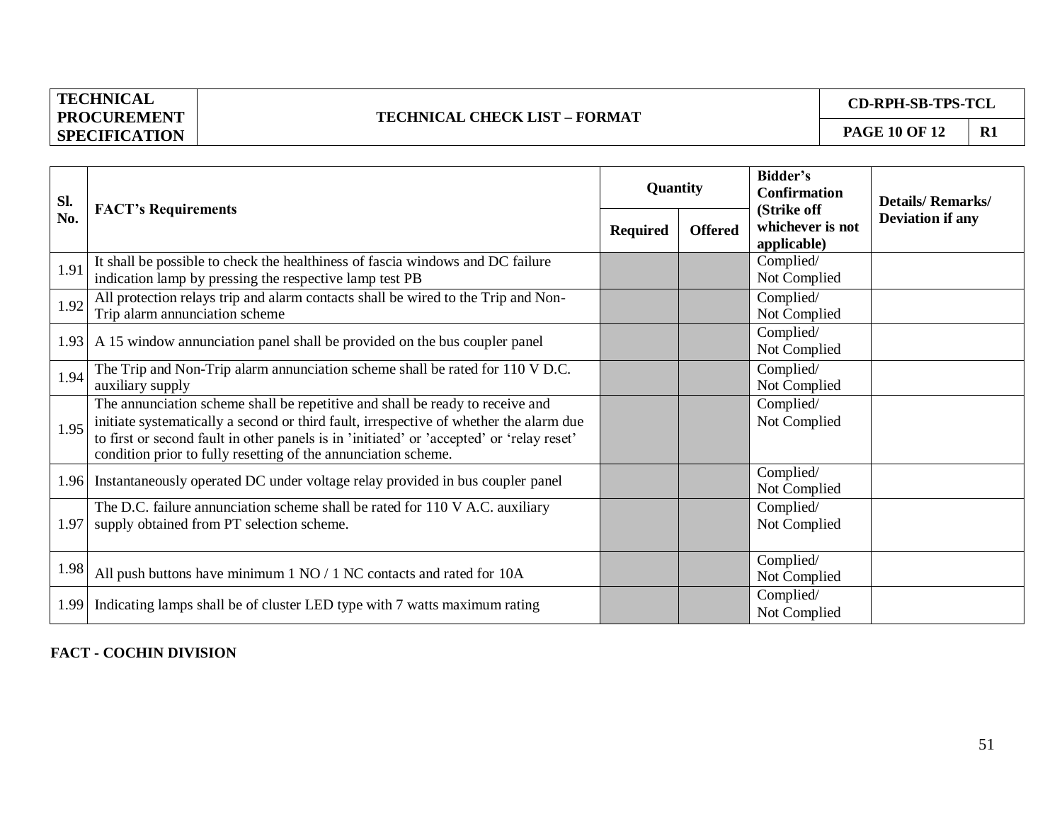## **TECHNICAL CHECK LIST – FORMAT**

**CD-RPH-SB-TPS-TCL**

| SI.  |                                                                                                                                                                                                                                                                                                                                        | Quantity        |                | Bidder's<br><b>Confirmation</b>                | <b>Details/Remarks/</b> |
|------|----------------------------------------------------------------------------------------------------------------------------------------------------------------------------------------------------------------------------------------------------------------------------------------------------------------------------------------|-----------------|----------------|------------------------------------------------|-------------------------|
| No.  | <b>FACT's Requirements</b>                                                                                                                                                                                                                                                                                                             | <b>Required</b> | <b>Offered</b> | (Strike off<br>whichever is not<br>applicable) | <b>Deviation if any</b> |
| 1.91 | It shall be possible to check the healthiness of fascia windows and DC failure<br>indication lamp by pressing the respective lamp test PB                                                                                                                                                                                              |                 |                | Complied/<br>Not Complied                      |                         |
| 1.92 | All protection relays trip and alarm contacts shall be wired to the Trip and Non-<br>Trip alarm annunciation scheme                                                                                                                                                                                                                    |                 |                | Complied/<br>Not Complied                      |                         |
|      | 1.93 A 15 window annunciation panel shall be provided on the bus coupler panel                                                                                                                                                                                                                                                         |                 |                | Complied/<br>Not Complied                      |                         |
| 1.94 | The Trip and Non-Trip alarm annunciation scheme shall be rated for 110 V D.C.<br>auxiliary supply                                                                                                                                                                                                                                      |                 |                | Complied/<br>Not Complied                      |                         |
| 1.95 | The annunciation scheme shall be repetitive and shall be ready to receive and<br>initiate systematically a second or third fault, irrespective of whether the alarm due<br>to first or second fault in other panels is in 'initiated' or 'accepted' or 'relay reset'<br>condition prior to fully resetting of the annunciation scheme. |                 |                | Complied/<br>Not Complied                      |                         |
|      | 1.96 Instantaneously operated DC under voltage relay provided in bus coupler panel                                                                                                                                                                                                                                                     |                 |                | Complied/<br>Not Complied                      |                         |
| 1.97 | The D.C. failure annunciation scheme shall be rated for 110 V A.C. auxiliary<br>supply obtained from PT selection scheme.                                                                                                                                                                                                              |                 |                | Complied/<br>Not Complied                      |                         |
| 1.98 | All push buttons have minimum 1 NO / 1 NC contacts and rated for 10A                                                                                                                                                                                                                                                                   |                 |                | Complied/<br>Not Complied                      |                         |
| 1.99 | Indicating lamps shall be of cluster LED type with 7 watts maximum rating                                                                                                                                                                                                                                                              |                 |                | Complied/<br>Not Complied                      |                         |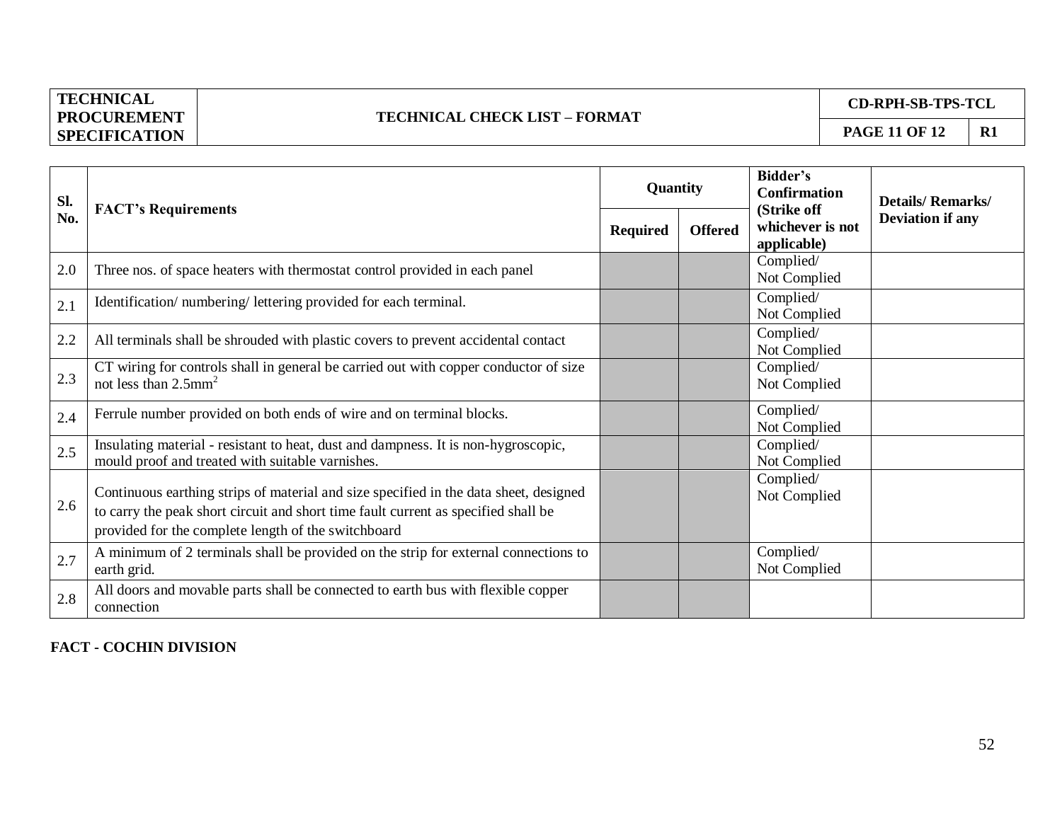## **TECHNICAL CHECK LIST – FORMAT**

**CD-RPH-SB-TPS-TCL**

| SI. | <b>FACT's Requirements</b>                                                                                                                                                                                                         | Quantity        |                | Bidder's<br><b>Confirmation</b>                | <b>Details/Remarks/</b> |
|-----|------------------------------------------------------------------------------------------------------------------------------------------------------------------------------------------------------------------------------------|-----------------|----------------|------------------------------------------------|-------------------------|
| No. |                                                                                                                                                                                                                                    | <b>Required</b> | <b>Offered</b> | (Strike off<br>whichever is not<br>applicable) | <b>Deviation if any</b> |
| 2.0 | Three nos. of space heaters with thermostat control provided in each panel                                                                                                                                                         |                 |                | Complied/<br>Not Complied                      |                         |
| 2.1 | Identification/numbering/lettering provided for each terminal.                                                                                                                                                                     |                 |                | Complied/<br>Not Complied                      |                         |
| 2.2 | All terminals shall be shrouded with plastic covers to prevent accidental contact                                                                                                                                                  |                 |                | Complied/<br>Not Complied                      |                         |
| 2.3 | CT wiring for controls shall in general be carried out with copper conductor of size<br>not less than 2.5mm <sup>2</sup>                                                                                                           |                 |                | Complied/<br>Not Complied                      |                         |
| 2.4 | Ferrule number provided on both ends of wire and on terminal blocks.                                                                                                                                                               |                 |                | Complied/<br>Not Complied                      |                         |
| 2.5 | Insulating material - resistant to heat, dust and dampness. It is non-hygroscopic,<br>mould proof and treated with suitable varnishes.                                                                                             |                 |                | Complied/<br>Not Complied                      |                         |
| 2.6 | Continuous earthing strips of material and size specified in the data sheet, designed<br>to carry the peak short circuit and short time fault current as specified shall be<br>provided for the complete length of the switchboard |                 |                | Complied/<br>Not Complied                      |                         |
| 2.7 | A minimum of 2 terminals shall be provided on the strip for external connections to<br>earth grid.                                                                                                                                 |                 |                | Complied/<br>Not Complied                      |                         |
| 2.8 | All doors and movable parts shall be connected to earth bus with flexible copper<br>connection                                                                                                                                     |                 |                |                                                |                         |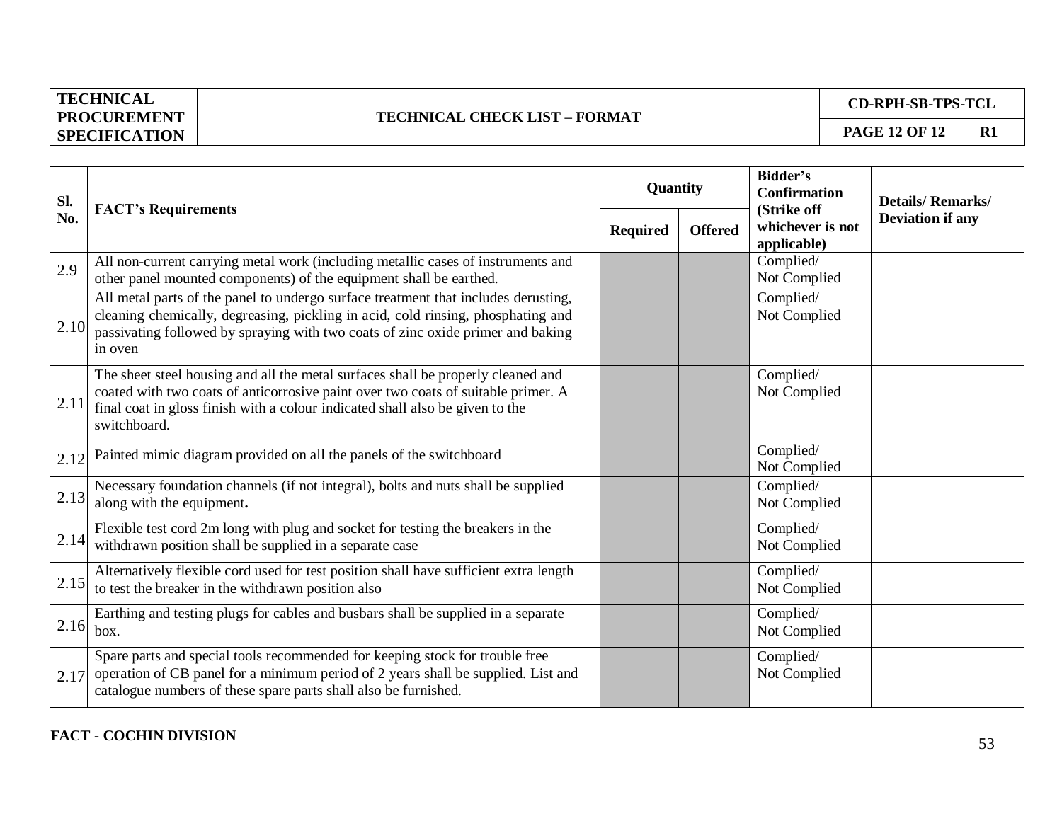## **TECHNICAL CHECK LIST – FORMAT**

**CD-RPH-SB-TPS-TCL**

| Sl.  | <b>FACT's Requirements</b>                                                                                                                                                                                                                                             | Quantity        |                | <b>Bidder's</b><br><b>Confirmation</b><br>(Strike off | <b>Details/Remarks/</b> |
|------|------------------------------------------------------------------------------------------------------------------------------------------------------------------------------------------------------------------------------------------------------------------------|-----------------|----------------|-------------------------------------------------------|-------------------------|
| No.  |                                                                                                                                                                                                                                                                        | <b>Required</b> | <b>Offered</b> | whichever is not<br>applicable)                       | <b>Deviation if any</b> |
| 2.9  | All non-current carrying metal work (including metallic cases of instruments and<br>other panel mounted components) of the equipment shall be earthed.                                                                                                                 |                 |                | Complied/<br>Not Complied                             |                         |
| 2.10 | All metal parts of the panel to undergo surface treatment that includes derusting,<br>cleaning chemically, degreasing, pickling in acid, cold rinsing, phosphating and<br>passivating followed by spraying with two coats of zinc oxide primer and baking<br>in oven   |                 |                | Complied/<br>Not Complied                             |                         |
| 2.11 | The sheet steel housing and all the metal surfaces shall be properly cleaned and<br>coated with two coats of anticorrosive paint over two coats of suitable primer. A<br>final coat in gloss finish with a colour indicated shall also be given to the<br>switchboard. |                 |                | Complied/<br>Not Complied                             |                         |
| 2.12 | Painted mimic diagram provided on all the panels of the switchboard                                                                                                                                                                                                    |                 |                | Complied/<br>Not Complied                             |                         |
| 2.13 | Necessary foundation channels (if not integral), bolts and nuts shall be supplied<br>along with the equipment.                                                                                                                                                         |                 |                | Complied/<br>Not Complied                             |                         |
| 2.14 | Flexible test cord 2m long with plug and socket for testing the breakers in the<br>withdrawn position shall be supplied in a separate case                                                                                                                             |                 |                | Complied/<br>Not Complied                             |                         |
| 2.15 | Alternatively flexible cord used for test position shall have sufficient extra length<br>to test the breaker in the withdrawn position also                                                                                                                            |                 |                | Complied/<br>Not Complied                             |                         |
| 2.16 | Earthing and testing plugs for cables and busbars shall be supplied in a separate<br>box.                                                                                                                                                                              |                 |                | Complied/<br>Not Complied                             |                         |
| 2.17 | Spare parts and special tools recommended for keeping stock for trouble free<br>operation of CB panel for a minimum period of 2 years shall be supplied. List and<br>catalogue numbers of these spare parts shall also be furnished.                                   |                 |                | Complied/<br>Not Complied                             |                         |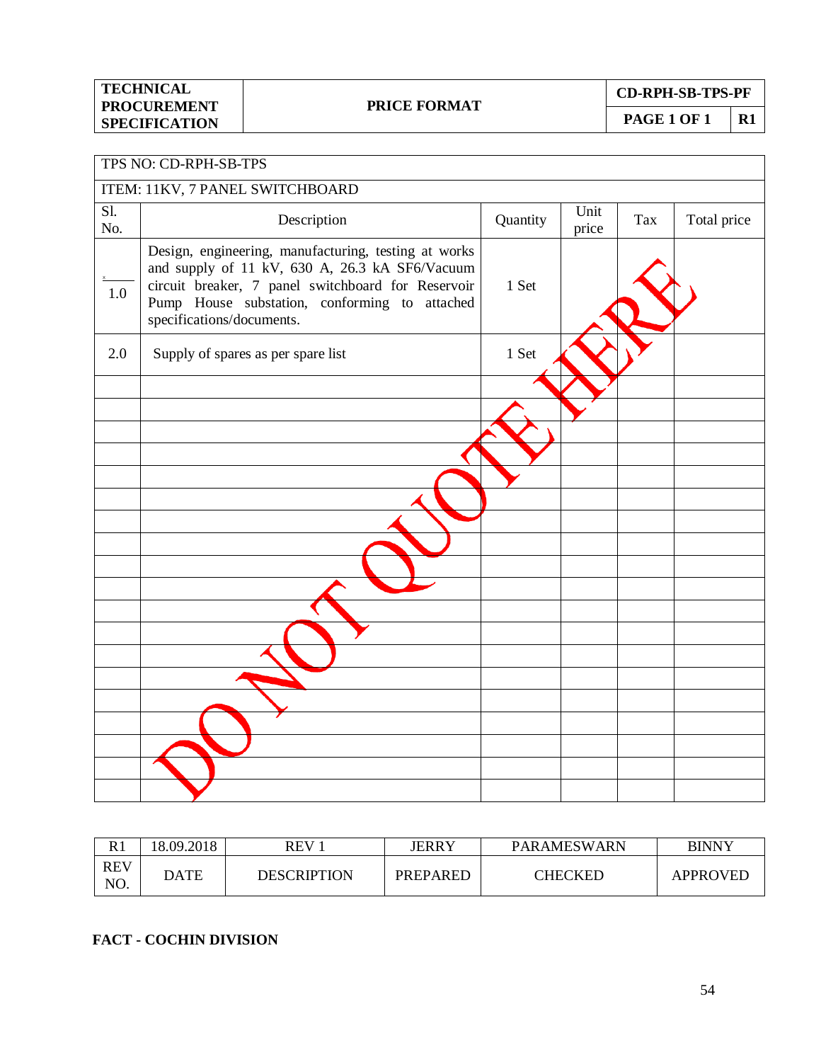**CD-RPH-SB-TPS-PF**

**PAGE 1 OF 1** R1

Unit Tax Total price

#### TPS NO: CD-RPH-SB-TPS ITEM: 11KV, 7 PANEL SWITCHBOARD Sl. Sl.<br>No. Description Description Quantity Unit X 1.0 Design, engineering, manufacturing, testing at works and supply of 11 kV, 630 A, 26.3 kA SF6/Vacuum circuit breaker, 7 panel switchboard for Reservoir

| $1.0\,$ | Design, engineering, manaraetaring, testing at works<br>and supply of 11 kV, 630 A, 26.3 kA SF6/Vacuum<br>circuit breaker, 7 panel switchboard for Reservoir<br>Pump House substation, conforming to attached<br>specifications/documents. | 1 Set |  |
|---------|--------------------------------------------------------------------------------------------------------------------------------------------------------------------------------------------------------------------------------------------|-------|--|
| 2.0     | Supply of spares as per spare list                                                                                                                                                                                                         | 1 Set |  |
|         |                                                                                                                                                                                                                                            |       |  |
|         |                                                                                                                                                                                                                                            |       |  |
|         |                                                                                                                                                                                                                                            |       |  |
|         |                                                                                                                                                                                                                                            |       |  |
|         |                                                                                                                                                                                                                                            |       |  |
|         |                                                                                                                                                                                                                                            |       |  |
|         |                                                                                                                                                                                                                                            |       |  |
|         |                                                                                                                                                                                                                                            |       |  |

| R1                | 8.09.2018   | REV         | JERRY    | PARAMESWARN | <b>BINNY</b> |
|-------------------|-------------|-------------|----------|-------------|--------------|
| <b>REV</b><br>NO. | <b>DATE</b> | DESCRIPTION | PREPARED | CHECKED     | APPROVED     |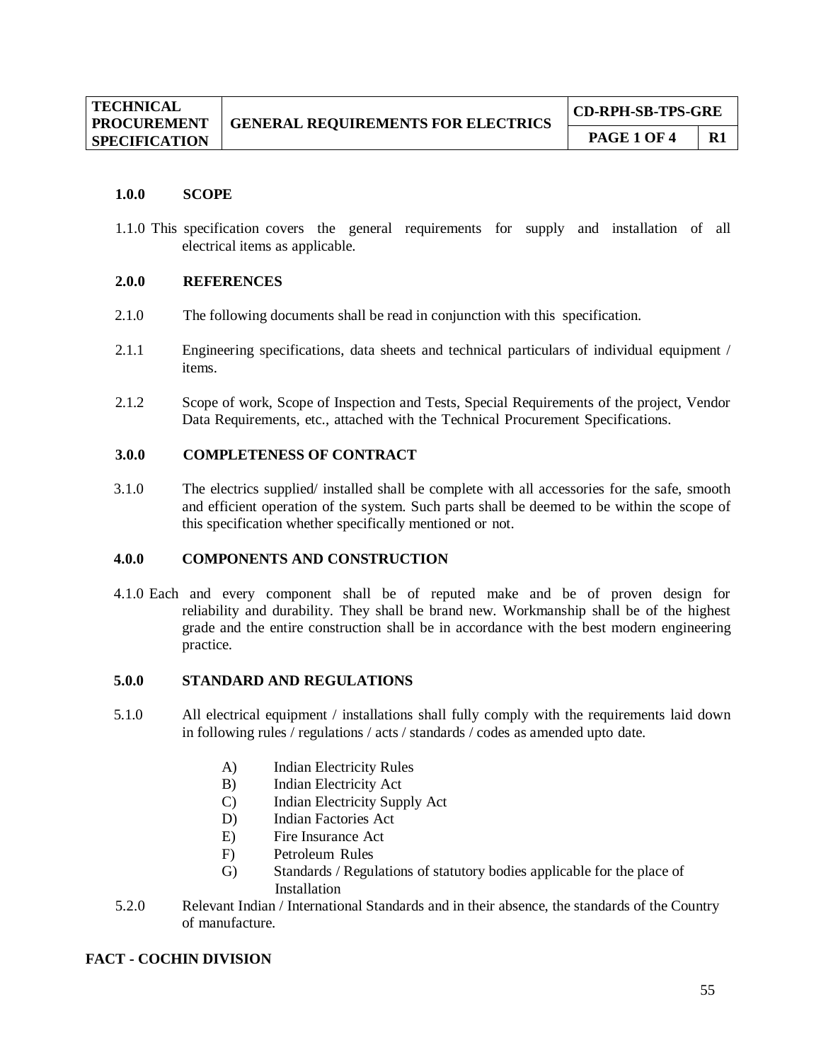| <b>TECHNICAL</b><br><b>PROCUREMENT</b> | <b>GENERAL REQUIREMENTS FOR ELECTRICS</b> | <b>CD-RPH-SB-TPS-GRE</b> |    |  |
|----------------------------------------|-------------------------------------------|--------------------------|----|--|
| <b>SPECIFICATION</b>                   |                                           | PAGE 1 OF 4              | R1 |  |

#### **1.0.0 SCOPE**

1.1.0 This specification covers the general requirements for supply and installation of all electrical items as applicable.

#### **2.0.0 REFERENCES**

- 2.1.0 The following documents shall be read in conjunction with this specification.
- 2.1.1 Engineering specifications, data sheets and technical particulars of individual equipment / items.
- 2.1.2 Scope of work, Scope of Inspection and Tests, Special Requirements of the project, Vendor Data Requirements, etc., attached with the Technical Procurement Specifications.

#### **3.0.0 COMPLETENESS OF CONTRACT**

3.1.0 The electrics supplied/ installed shall be complete with all accessories for the safe, smooth and efficient operation of the system. Such parts shall be deemed to be within the scope of this specification whether specifically mentioned or not.

#### **4.0.0 COMPONENTS AND CONSTRUCTION**

4.1.0 Each and every component shall be of reputed make and be of proven design for reliability and durability. They shall be brand new. Workmanship shall be of the highest grade and the entire construction shall be in accordance with the best modern engineering practice.

#### **5.0.0 STANDARD AND REGULATIONS**

- 5.1.0 All electrical equipment / installations shall fully comply with the requirements laid down in following rules / regulations / acts / standards / codes as amended upto date.
	- A) Indian Electricity Rules
	- B) Indian Electricity Act
	- C) Indian Electricity Supply Act
	- D) Indian Factories Act
	- E) Fire Insurance Act
	- F) Petroleum Rules
	- G) Standards / Regulations of statutory bodies applicable for the place of Installation
- 5.2.0 Relevant Indian / International Standards and in their absence, the standards of the Country of manufacture.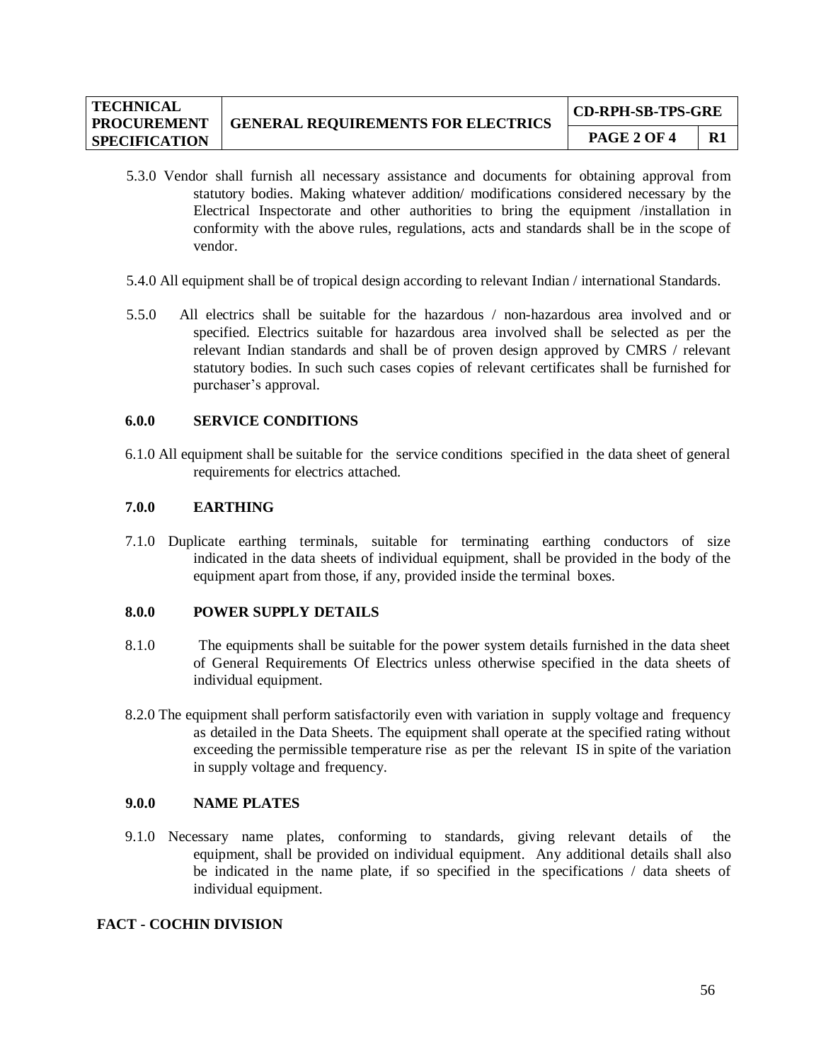| <b>TECHNICAL</b><br><b>PROCUREMENT</b> | <b>GENERAL REQUIREMENTS FOR ELECTRICS</b> | <b>CD-RPH-SB-TPS-GRE</b> |    |  |
|----------------------------------------|-------------------------------------------|--------------------------|----|--|
| <b>SPECIFICATION</b>                   |                                           | <b>PAGE 2 OF 4</b>       | R1 |  |

- 5.3.0 Vendor shall furnish all necessary assistance and documents for obtaining approval from statutory bodies. Making whatever addition/ modifications considered necessary by the Electrical Inspectorate and other authorities to bring the equipment /installation in conformity with the above rules, regulations, acts and standards shall be in the scope of vendor.
- 5.4.0 All equipment shall be of tropical design according to relevant Indian / international Standards.
- 5.5.0 All electrics shall be suitable for the hazardous / non-hazardous area involved and or specified. Electrics suitable for hazardous area involved shall be selected as per the relevant Indian standards and shall be of proven design approved by CMRS / relevant statutory bodies. In such such cases copies of relevant certificates shall be furnished for purchaser's approval.

## **6.0.0 SERVICE CONDITIONS**

6.1.0 All equipment shall be suitable for the service conditions specified in the data sheet of general requirements for electrics attached.

#### **7.0.0 EARTHING**

7.1.0 Duplicate earthing terminals, suitable for terminating earthing conductors of size indicated in the data sheets of individual equipment, shall be provided in the body of the equipment apart from those, if any, provided inside the terminal boxes.

#### **8.0.0 POWER SUPPLY DETAILS**

- 8.1.0 The equipments shall be suitable for the power system details furnished in the data sheet of General Requirements Of Electrics unless otherwise specified in the data sheets of individual equipment.
- 8.2.0 The equipment shall perform satisfactorily even with variation in supply voltage and frequency as detailed in the Data Sheets. The equipment shall operate at the specified rating without exceeding the permissible temperature rise as per the relevant IS in spite of the variation in supply voltage and frequency.

#### **9.0.0 NAME PLATES**

9.1.0 Necessary name plates, conforming to standards, giving relevant details of the equipment, shall be provided on individual equipment. Any additional details shall also be indicated in the name plate, if so specified in the specifications / data sheets of individual equipment.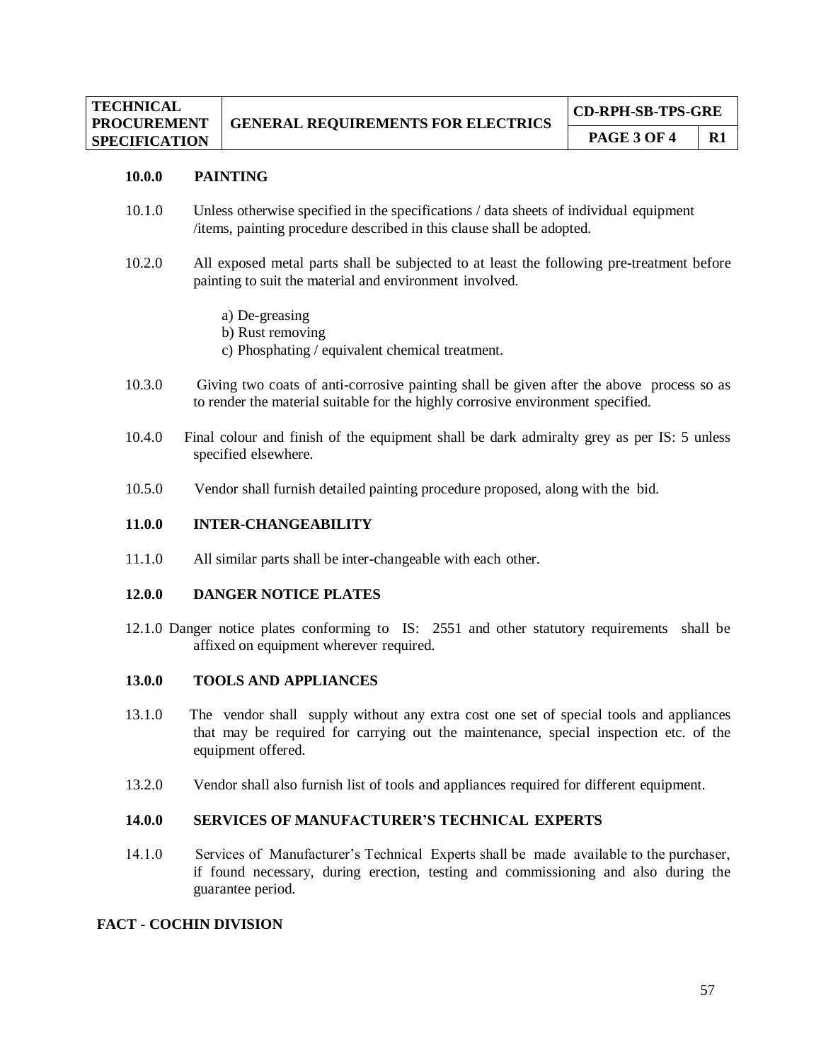#### **10.0.0 PAINTING**

- 10.1.0 Unless otherwise specified in the specifications / data sheets of individual equipment /items, painting procedure described in this clause shall be adopted.
- 10.2.0 All exposed metal parts shall be subjected to at least the following pre-treatment before painting to suit the material and environment involved.
	- a) De-greasing
	- b) Rust removing
	- c) Phosphating / equivalent chemical treatment.
- 10.3.0 Giving two coats of anti-corrosive painting shall be given after the above process so as to render the material suitable for the highly corrosive environment specified.
- 10.4.0 Final colour and finish of the equipment shall be dark admiralty grey as per IS: 5 unless specified elsewhere.
- 10.5.0 Vendor shall furnish detailed painting procedure proposed, along with the bid.

#### **11.0.0 INTER-CHANGEABILITY**

11.1.0 All similar parts shall be inter-changeable with each other.

#### **12.0.0 DANGER NOTICE PLATES**

12.1.0 Danger notice plates conforming to IS: 2551 and other statutory requirements shall be affixed on equipment wherever required.

#### **13.0.0 TOOLS AND APPLIANCES**

- 13.1.0 The vendor shall supply without any extra cost one set of special tools and appliances that may be required for carrying out the maintenance, special inspection etc. of the equipment offered.
- 13.2.0 Vendor shall also furnish list of tools and appliances required for different equipment.

#### **14.0.0 SERVICES OF MANUFACTURER'S TECHNICAL EXPERTS**

14.1.0 Services of Manufacturer's Technical Experts shall be made available to the purchaser, if found necessary, during erection, testing and commissioning and also during the guarantee period.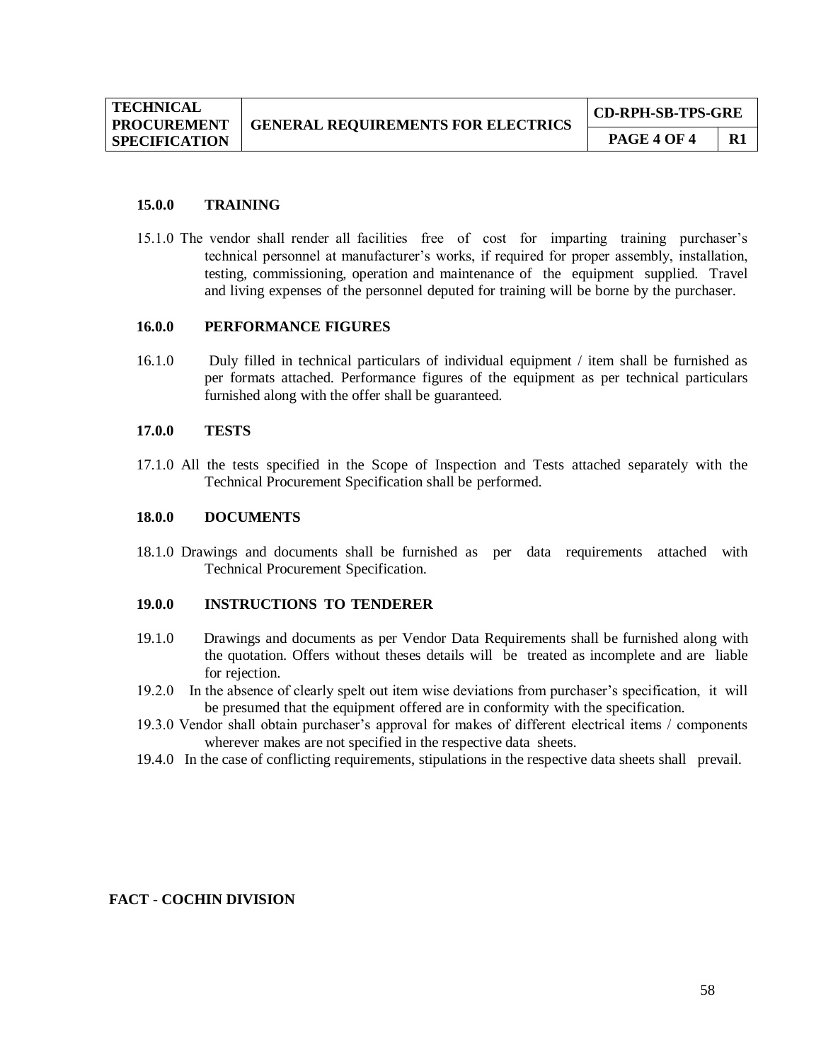#### **15.0.0 TRAINING**

15.1.0 The vendor shall render all facilities free of cost for imparting training purchaser's technical personnel at manufacturer's works, if required for proper assembly, installation, testing, commissioning, operation and maintenance of the equipment supplied. Travel and living expenses of the personnel deputed for training will be borne by the purchaser.

#### **16.0.0 PERFORMANCE FIGURES**

16.1.0 Duly filled in technical particulars of individual equipment / item shall be furnished as per formats attached. Performance figures of the equipment as per technical particulars furnished along with the offer shall be guaranteed.

#### **17.0.0 TESTS**

17.1.0 All the tests specified in the Scope of Inspection and Tests attached separately with the Technical Procurement Specification shall be performed.

#### **18.0.0 DOCUMENTS**

18.1.0 Drawings and documents shall be furnished as per data requirements attached with Technical Procurement Specification.

#### **19.0.0 INSTRUCTIONS TO TENDERER**

- 19.1.0 Drawings and documents as per Vendor Data Requirements shall be furnished along with the quotation. Offers without theses details will be treated as incomplete and are liable for rejection.
- 19.2.0 In the absence of clearly spelt out item wise deviations from purchaser's specification, it will be presumed that the equipment offered are in conformity with the specification.
- 19.3.0 Vendor shall obtain purchaser's approval for makes of different electrical items / components wherever makes are not specified in the respective data sheets.
- 19.4.0 In the case of conflicting requirements, stipulations in the respective data sheets shall prevail.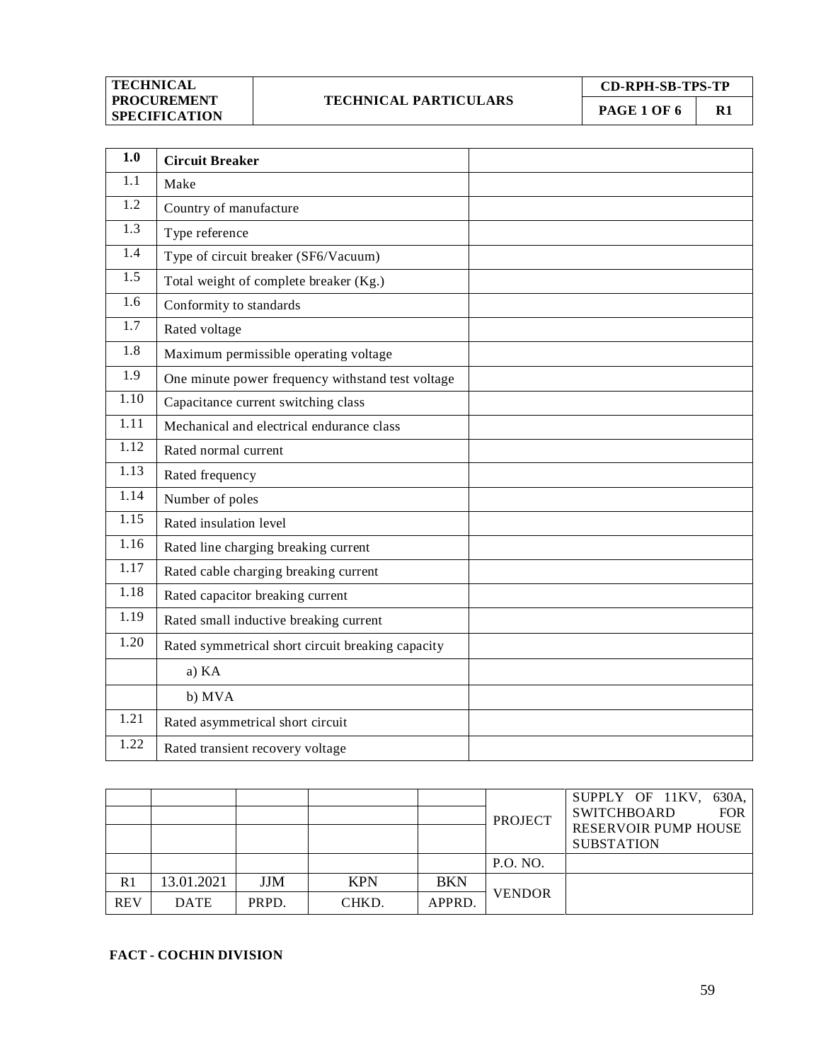## **TECHNICAL PARTICULARS**

**CD-RPH-SB-TPS-TP**

**PAGE 1 OF 6** R1

**1.0 Circuit Breaker**  $1.1$  Make 1.2 Country of manufacture 1.3 Type reference 1.4 Type of circuit breaker (SF6/Vacuum) 1.5 Total weight of complete breaker (Kg.) 1.6 Conformity to standards 1.7 Rated voltage 1.8 Maximum permissible operating voltage 1.9 One minute power frequency withstand test voltage 1.10 Capacitance current switching class 1.11 Mechanical and electrical endurance class 1.12 Rated normal current 1.13 Rated frequency 1.14 Number of poles 1.15 Rated insulation level 1.16 Rated line charging breaking current 1.17 Rated cable charging breaking current 1.18 Rated capacitor breaking current 1.19 Rated small inductive breaking current 1.20 Rated symmetrical short circuit breaking capacity a) KA b) MVA 1.21 Rated asymmetrical short circuit 1.22 **Rated transient recovery voltage** 

|                |             |       |            |            | <b>PROJECT</b> | SUPPLY OF 11KV,<br>630A.<br><b>SWITCHBOARD</b><br><b>FOR</b><br><b>RESERVOIR PUMP HOUSE</b><br><b>SUBSTATION</b> |
|----------------|-------------|-------|------------|------------|----------------|------------------------------------------------------------------------------------------------------------------|
|                |             |       |            |            | P.O. NO.       |                                                                                                                  |
| R <sub>1</sub> | 13.01.2021  | JJM   | <b>KPN</b> | <b>BKN</b> |                |                                                                                                                  |
| <b>REV</b>     | <b>DATE</b> | PRPD. | CHKD.      | APPRD.     | <b>VENDOR</b>  |                                                                                                                  |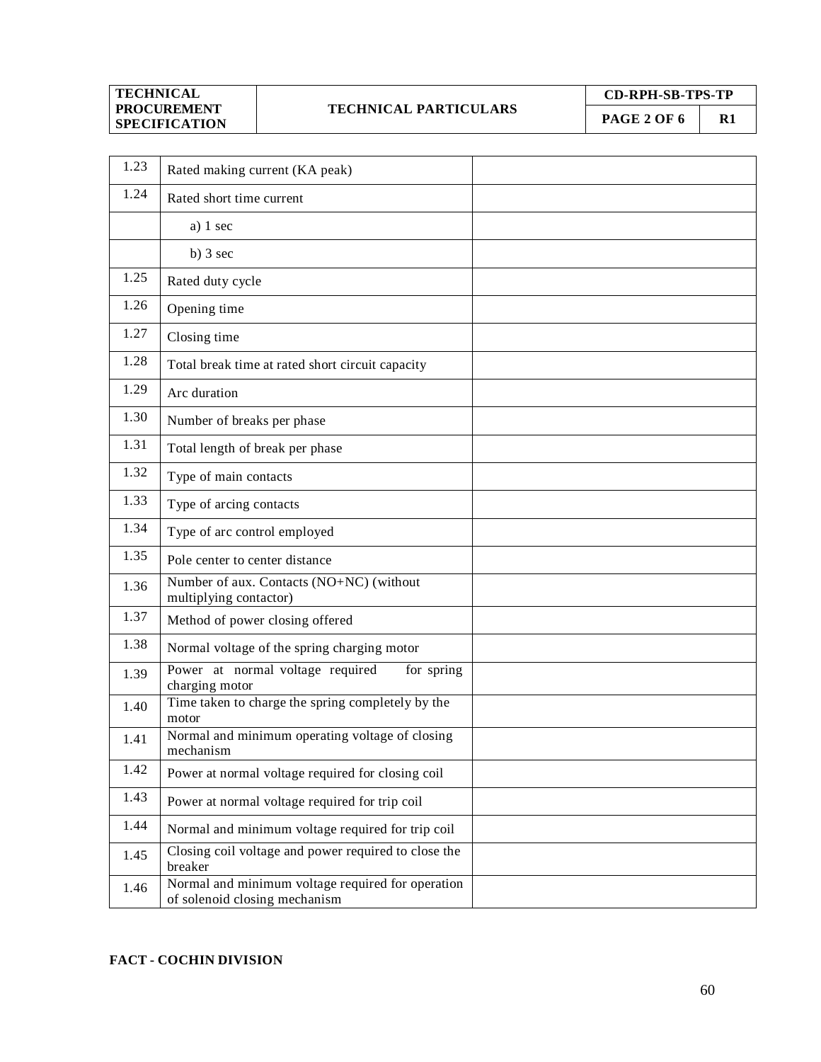#### **TECHNICAL PARTICULARS**

**CD-RPH-SB-TPS-TP**

**PAGE 2 OF 6 R1** 

| 1.23 | Rated making current (KA peak)                                                     |  |
|------|------------------------------------------------------------------------------------|--|
| 1.24 | Rated short time current                                                           |  |
|      | a) $1 \text{ sec}$                                                                 |  |
|      | b) $3 \text{ sec}$                                                                 |  |
| 1.25 | Rated duty cycle                                                                   |  |
| 1.26 | Opening time                                                                       |  |
| 1.27 | Closing time                                                                       |  |
| 1.28 | Total break time at rated short circuit capacity                                   |  |
| 1.29 | Arc duration                                                                       |  |
| 1.30 | Number of breaks per phase                                                         |  |
| 1.31 | Total length of break per phase                                                    |  |
| 1.32 | Type of main contacts                                                              |  |
| 1.33 | Type of arcing contacts                                                            |  |
| 1.34 | Type of arc control employed                                                       |  |
| 1.35 | Pole center to center distance                                                     |  |
| 1.36 | Number of aux. Contacts (NO+NC) (without<br>multiplying contactor)                 |  |
| 1.37 | Method of power closing offered                                                    |  |
| 1.38 | Normal voltage of the spring charging motor                                        |  |
| 1.39 | Power at normal voltage required<br>for spring<br>charging motor                   |  |
| 1.40 | Time taken to charge the spring completely by the<br>motor                         |  |
| 1.41 | Normal and minimum operating voltage of closing<br>mechanism                       |  |
| 1.42 | Power at normal voltage required for closing coil                                  |  |
| 1.43 | Power at normal voltage required for trip coil                                     |  |
| 1.44 | Normal and minimum voltage required for trip coil                                  |  |
| 1.45 | Closing coil voltage and power required to close the<br>breaker                    |  |
| 1.46 | Normal and minimum voltage required for operation<br>of solenoid closing mechanism |  |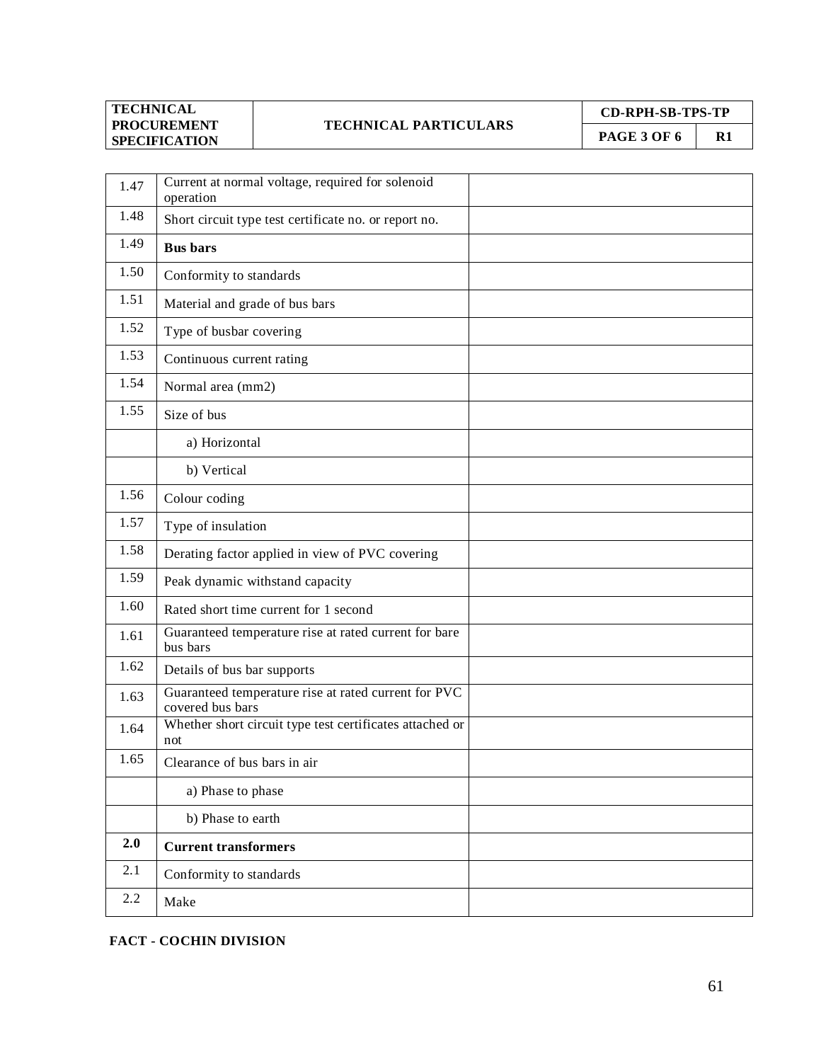## **TECHNICAL PARTICULARS**

**CD-RPH-SB-TPS-TP PAGE 3 OF 6 R1** 

| 1.47 | Current at normal voltage, required for solenoid<br>operation            |  |
|------|--------------------------------------------------------------------------|--|
| 1.48 | Short circuit type test certificate no. or report no.                    |  |
| 1.49 | <b>Bus bars</b>                                                          |  |
| 1.50 | Conformity to standards                                                  |  |
| 1.51 | Material and grade of bus bars                                           |  |
| 1.52 | Type of busbar covering                                                  |  |
| 1.53 | Continuous current rating                                                |  |
| 1.54 | Normal area (mm2)                                                        |  |
| 1.55 | Size of bus                                                              |  |
|      | a) Horizontal                                                            |  |
|      | b) Vertical                                                              |  |
| 1.56 | Colour coding                                                            |  |
| 1.57 | Type of insulation                                                       |  |
| 1.58 | Derating factor applied in view of PVC covering                          |  |
| 1.59 | Peak dynamic withstand capacity                                          |  |
| 1.60 | Rated short time current for 1 second                                    |  |
| 1.61 | Guaranteed temperature rise at rated current for bare<br>bus bars        |  |
| 1.62 | Details of bus bar supports                                              |  |
| 1.63 | Guaranteed temperature rise at rated current for PVC<br>covered bus bars |  |
| 1.64 | Whether short circuit type test certificates attached or<br>not          |  |
| 1.65 | Clearance of bus bars in air                                             |  |
|      | a) Phase to phase                                                        |  |
|      | b) Phase to earth                                                        |  |
| 2.0  | <b>Current transformers</b>                                              |  |
| 2.1  | Conformity to standards                                                  |  |
| 2.2  | Make                                                                     |  |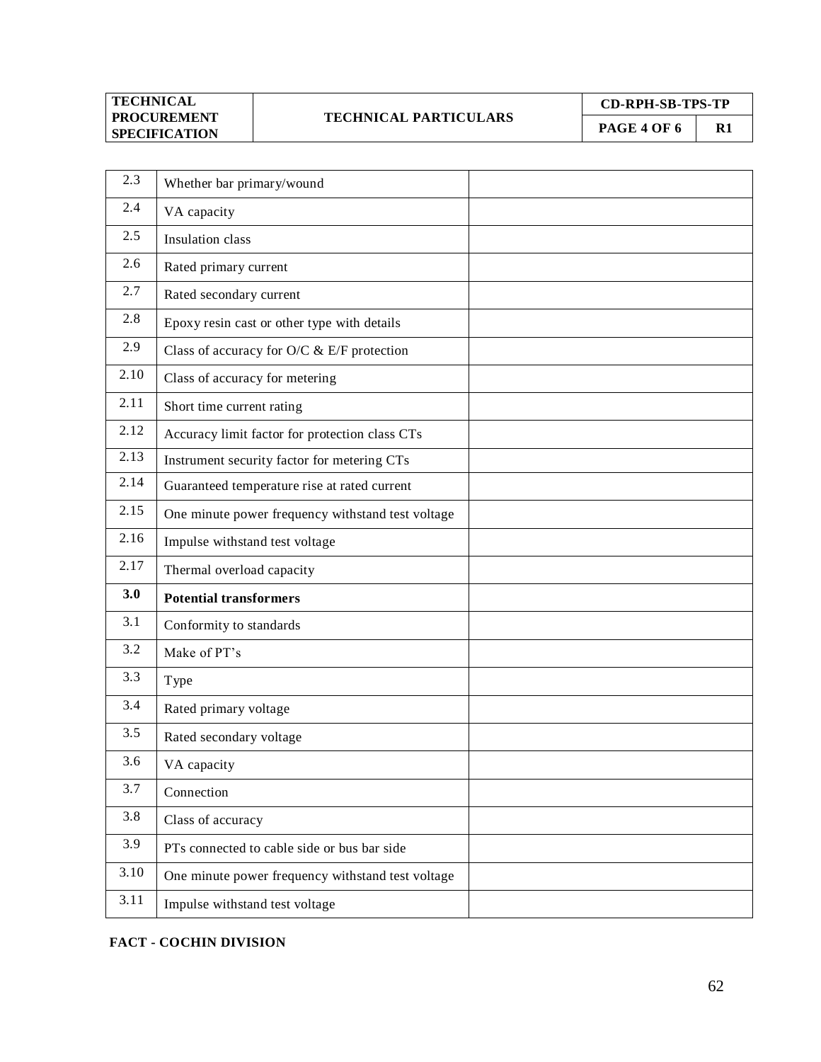## **TECHNICAL PARTICULARS**

**CD-RPH-SB-TPS-TP**

**PAGE 4 OF 6** R1

| 2.3  | Whether bar primary/wound                         |
|------|---------------------------------------------------|
| 2.4  | VA capacity                                       |
| 2.5  | <b>Insulation</b> class                           |
| 2.6  | Rated primary current                             |
| 2.7  | Rated secondary current                           |
| 2.8  | Epoxy resin cast or other type with details       |
| 2.9  | Class of accuracy for O/C & E/F protection        |
| 2.10 | Class of accuracy for metering                    |
| 2.11 | Short time current rating                         |
| 2.12 | Accuracy limit factor for protection class CTs    |
| 2.13 | Instrument security factor for metering CTs       |
| 2.14 | Guaranteed temperature rise at rated current      |
| 2.15 | One minute power frequency withstand test voltage |
| 2.16 | Impulse withstand test voltage                    |
| 2.17 | Thermal overload capacity                         |
| 3.0  | <b>Potential transformers</b>                     |
| 3.1  | Conformity to standards                           |
| 3.2  | Make of PT's                                      |
| 3.3  | Type                                              |
| 3.4  | Rated primary voltage                             |
| 3.5  | Rated secondary voltage                           |
| 3.6  | VA capacity                                       |
| 3.7  | Connection                                        |
| 3.8  | Class of accuracy                                 |
|      |                                                   |
| 3.9  | PTs connected to cable side or bus bar side       |
| 3.10 | One minute power frequency withstand test voltage |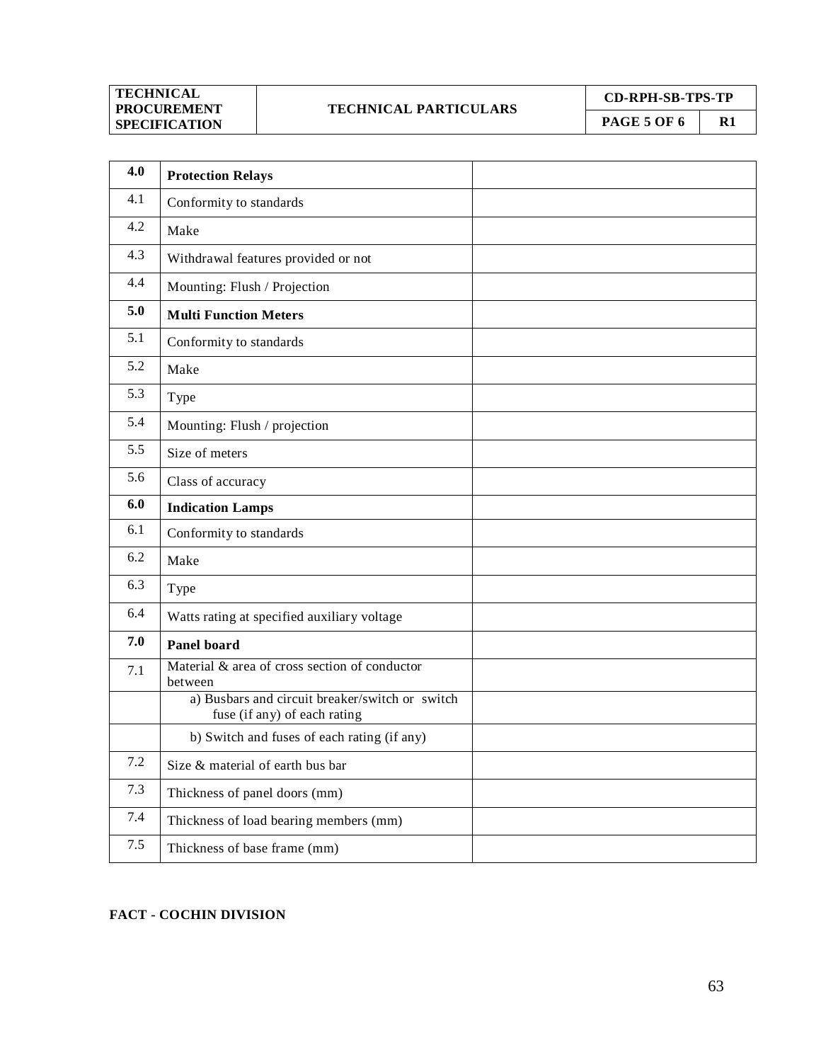## **TECHNICAL PARTICULARS**

**CD-RPH-SB-TPS-TP**

**PAGE 5 OF 6** R1

| 4.0 | <b>Protection Relays</b>                                                        |  |
|-----|---------------------------------------------------------------------------------|--|
| 4.1 | Conformity to standards                                                         |  |
| 4.2 | Make                                                                            |  |
| 4.3 | Withdrawal features provided or not                                             |  |
| 4.4 | Mounting: Flush / Projection                                                    |  |
| 5.0 | <b>Multi Function Meters</b>                                                    |  |
| 5.1 | Conformity to standards                                                         |  |
| 5.2 | Make                                                                            |  |
| 5.3 | Type                                                                            |  |
| 5.4 | Mounting: Flush / projection                                                    |  |
| 5.5 | Size of meters                                                                  |  |
| 5.6 | Class of accuracy                                                               |  |
| 6.0 | <b>Indication Lamps</b>                                                         |  |
| 6.1 | Conformity to standards                                                         |  |
| 6.2 | Make                                                                            |  |
| 6.3 | Type                                                                            |  |
| 6.4 | Watts rating at specified auxiliary voltage                                     |  |
| 7.0 | <b>Panel board</b>                                                              |  |
| 7.1 | Material & area of cross section of conductor<br>between                        |  |
|     | a) Busbars and circuit breaker/switch or switch<br>fuse (if any) of each rating |  |
|     | b) Switch and fuses of each rating (if any)                                     |  |
| 7.2 | Size & material of earth bus bar                                                |  |
| 7.3 | Thickness of panel doors (mm)                                                   |  |
| 7.4 | Thickness of load bearing members (mm)                                          |  |
| 7.5 | Thickness of base frame (mm)                                                    |  |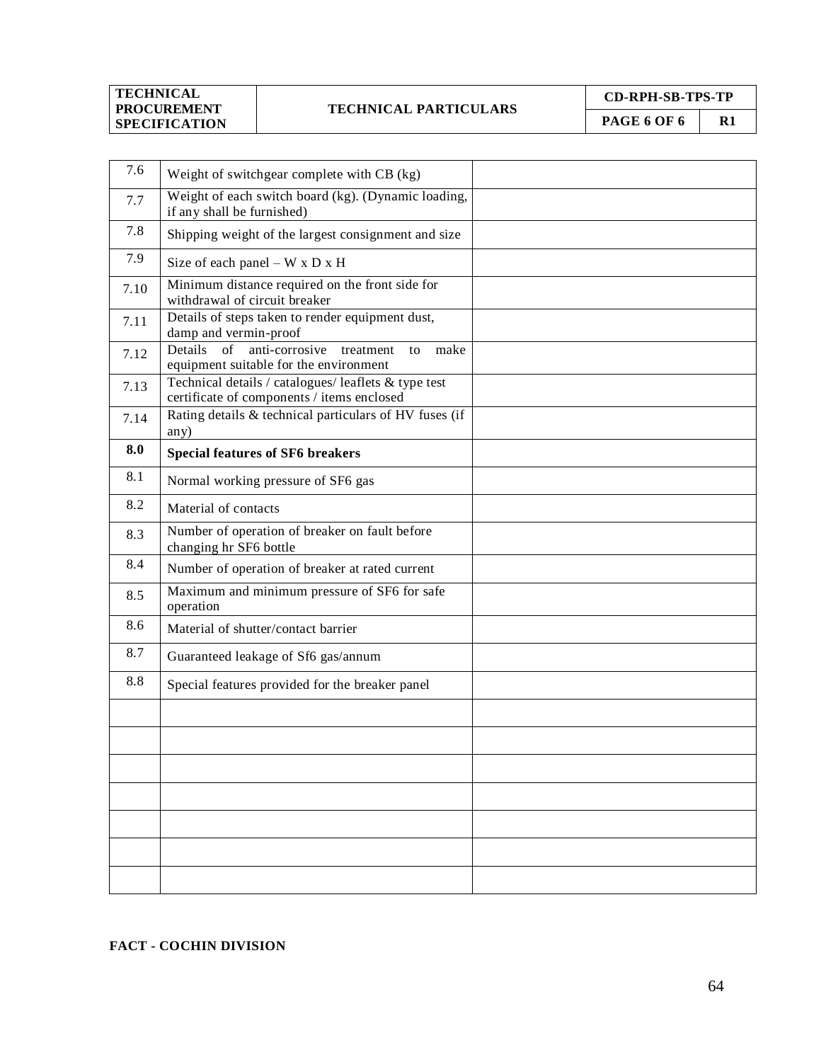#### **TECHNICAL PARTICULARS**

**CD-RPH-SB-TPS-TP PAGE 6 OF 6** | R1

| 7.6  | Weight of switchgear complete with CB (kg)                                                         |  |
|------|----------------------------------------------------------------------------------------------------|--|
| 7.7  | Weight of each switch board (kg). (Dynamic loading,<br>if any shall be furnished)                  |  |
| 7.8  | Shipping weight of the largest consignment and size                                                |  |
| 7.9  | Size of each panel $-WxDxH$                                                                        |  |
| 7.10 | Minimum distance required on the front side for<br>withdrawal of circuit breaker                   |  |
| 7.11 | Details of steps taken to render equipment dust,<br>damp and vermin-proof                          |  |
| 7.12 | Details of<br>anti-corrosive<br>make<br>treatment<br>to<br>equipment suitable for the environment  |  |
| 7.13 | Technical details / catalogues/ leaflets & type test<br>certificate of components / items enclosed |  |
| 7.14 | Rating details & technical particulars of HV fuses (if<br>any)                                     |  |
| 8.0  | <b>Special features of SF6 breakers</b>                                                            |  |
| 8.1  | Normal working pressure of SF6 gas                                                                 |  |
| 8.2  | Material of contacts                                                                               |  |
| 8.3  | Number of operation of breaker on fault before<br>changing hr SF6 bottle                           |  |
| 8.4  | Number of operation of breaker at rated current                                                    |  |
| 8.5  | Maximum and minimum pressure of SF6 for safe<br>operation                                          |  |
| 8.6  | Material of shutter/contact barrier                                                                |  |
| 8.7  | Guaranteed leakage of Sf6 gas/annum                                                                |  |
| 8.8  | Special features provided for the breaker panel                                                    |  |
|      |                                                                                                    |  |
|      |                                                                                                    |  |
|      |                                                                                                    |  |
|      |                                                                                                    |  |
|      |                                                                                                    |  |
|      |                                                                                                    |  |
|      |                                                                                                    |  |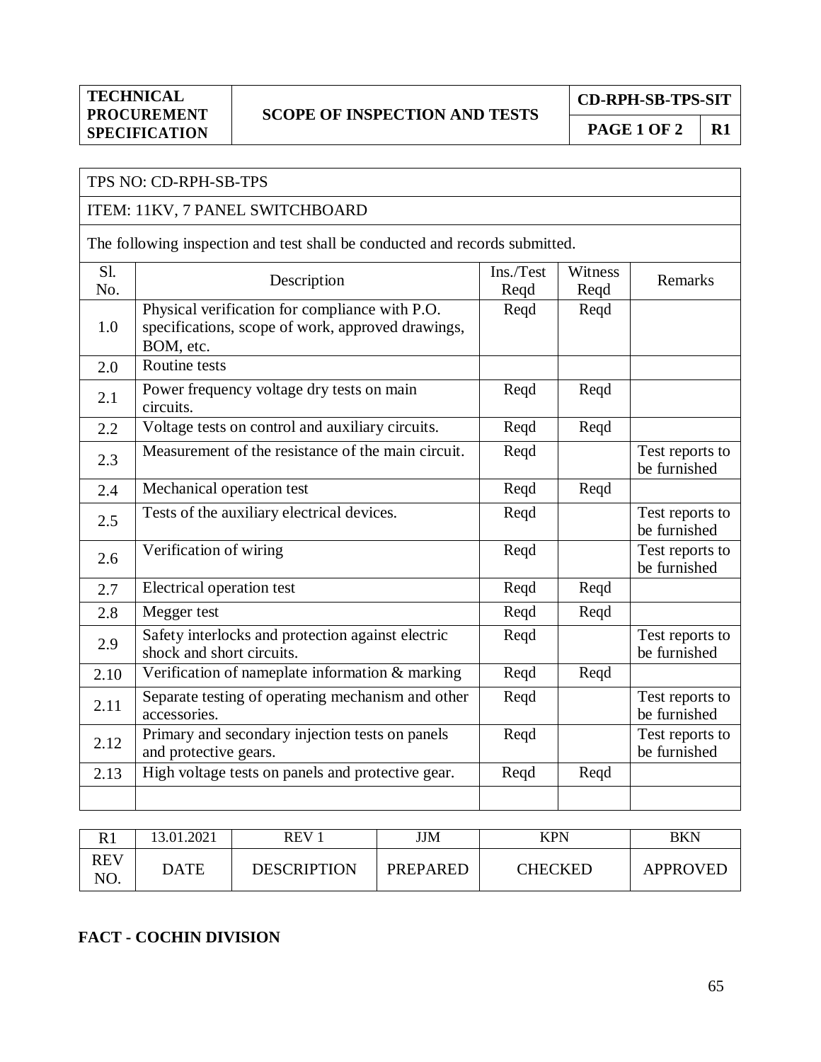## **SCOPE OF INSPECTION AND TESTS**

**CD-RPH-SB-TPS-SIT**

**PAGE 1 OF 2** | **R1** 

## TPS NO: CD-RPH-SB-TPS

## ITEM: 11KV, 7 PANEL SWITCHBOARD

The following inspection and test shall be conducted and records submitted.

| Sl.<br>No. | Description                                                                                                      | Ins./Test<br>Regd | Witness<br>Regd | Remarks                         |
|------------|------------------------------------------------------------------------------------------------------------------|-------------------|-----------------|---------------------------------|
| 1.0        | Physical verification for compliance with P.O.<br>specifications, scope of work, approved drawings,<br>BOM, etc. | Reqd              | Reqd            |                                 |
| 2.0        | Routine tests                                                                                                    |                   |                 |                                 |
| 2.1        | Power frequency voltage dry tests on main<br>circuits.                                                           | Regd              | Regd            |                                 |
| 2.2        | Voltage tests on control and auxiliary circuits.                                                                 | Reqd              | Reqd            |                                 |
| 2.3        | Measurement of the resistance of the main circuit.                                                               | Reqd              |                 | Test reports to<br>be furnished |
| 2.4        | Mechanical operation test                                                                                        | Reqd              | Reqd            |                                 |
| 2.5        | Tests of the auxiliary electrical devices.                                                                       | Reqd              |                 | Test reports to<br>be furnished |
| 2.6        | Verification of wiring                                                                                           | Regd              |                 | Test reports to<br>be furnished |
| 2.7        | Electrical operation test                                                                                        | Regd              | Reqd            |                                 |
| 2.8        | Megger test                                                                                                      | Reqd              | Reqd            |                                 |
| 2.9        | Safety interlocks and protection against electric<br>shock and short circuits.                                   | Reqd              |                 | Test reports to<br>be furnished |
| 2.10       | Verification of nameplate information & marking                                                                  | Reqd              | Reqd            |                                 |
| 2.11       | Separate testing of operating mechanism and other<br>accessories.                                                | Reqd              |                 | Test reports to<br>be furnished |
| 2.12       | Primary and secondary injection tests on panels<br>and protective gears.                                         | Regd              |                 | Test reports to<br>be furnished |
| 2.13       | High voltage tests on panels and protective gear.                                                                | Regd              | Regd            |                                 |
|            |                                                                                                                  |                   |                 |                                 |

|            | 13.01.2021 | <b>REV</b>         | JJM      | KPN            | BKN             |
|------------|------------|--------------------|----------|----------------|-----------------|
| REV<br>NO. | DATE       | <b>DESCRIPTION</b> | PREPARED | <b>CHECKED</b> | <b>APPROVED</b> |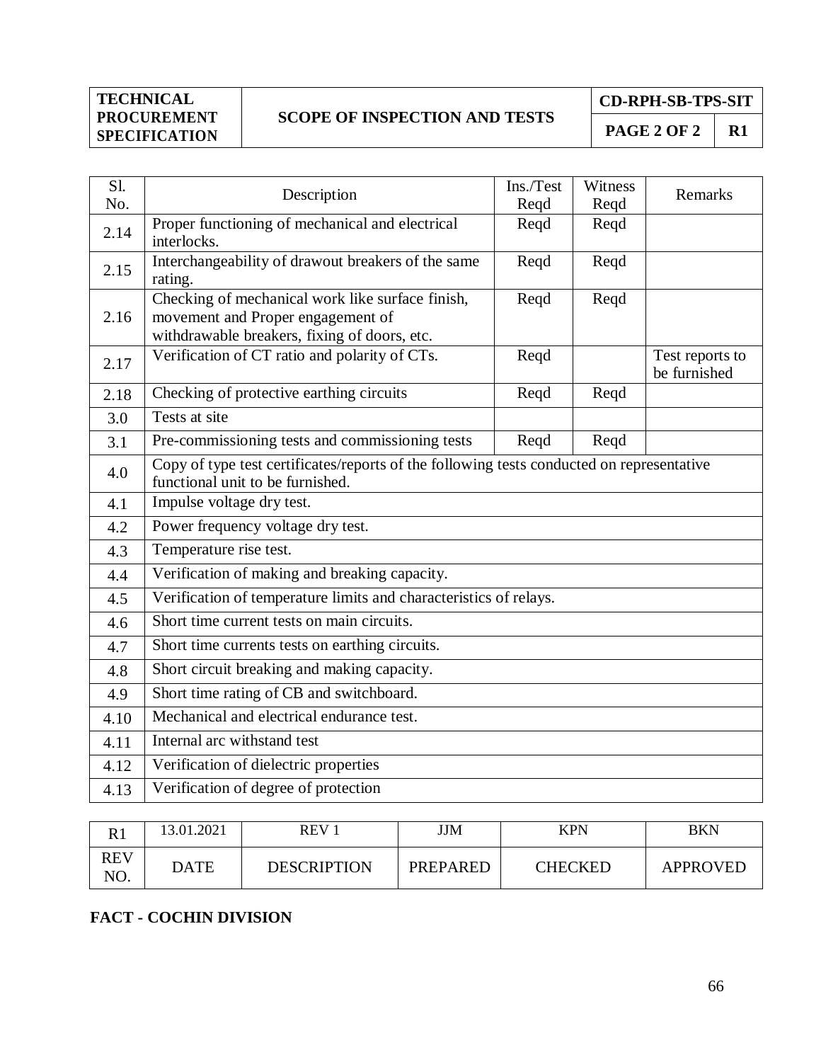## **SCOPE OF INSPECTION AND TESTS**

**CD-RPH-SB-TPS-SIT**

**PAGE 2 OF 2**  $\vert$  **R1** 

| Sl.<br>No. | Description                                                                                                                           | Ins./Test<br>Reqd | Witness<br>Reqd | Remarks                         |  |  |
|------------|---------------------------------------------------------------------------------------------------------------------------------------|-------------------|-----------------|---------------------------------|--|--|
| 2.14       | Proper functioning of mechanical and electrical<br>interlocks.                                                                        | Reqd              | Reqd            |                                 |  |  |
| 2.15       | Interchangeability of drawout breakers of the same<br>rating.                                                                         | Reqd              | Reqd            |                                 |  |  |
| 2.16       | Checking of mechanical work like surface finish,<br>movement and Proper engagement of<br>withdrawable breakers, fixing of doors, etc. | Reqd              | Reqd            |                                 |  |  |
| 2.17       | Verification of CT ratio and polarity of CTs.                                                                                         | Reqd              |                 | Test reports to<br>be furnished |  |  |
| 2.18       | Checking of protective earthing circuits                                                                                              | Reqd              | Reqd            |                                 |  |  |
| 3.0        | Tests at site                                                                                                                         |                   |                 |                                 |  |  |
| 3.1        | Pre-commissioning tests and commissioning tests<br>Reqd<br>Reqd                                                                       |                   |                 |                                 |  |  |
| 4.0        | Copy of type test certificates/reports of the following tests conducted on representative<br>functional unit to be furnished.         |                   |                 |                                 |  |  |
| 4.1        | Impulse voltage dry test.                                                                                                             |                   |                 |                                 |  |  |
| 4.2        | Power frequency voltage dry test.                                                                                                     |                   |                 |                                 |  |  |
| 4.3        | Temperature rise test.                                                                                                                |                   |                 |                                 |  |  |
| 4.4        | Verification of making and breaking capacity.                                                                                         |                   |                 |                                 |  |  |
| 4.5        | Verification of temperature limits and characteristics of relays.                                                                     |                   |                 |                                 |  |  |
| 4.6        | Short time current tests on main circuits.                                                                                            |                   |                 |                                 |  |  |
| 4.7        | Short time currents tests on earthing circuits.                                                                                       |                   |                 |                                 |  |  |
| 4.8        | Short circuit breaking and making capacity.                                                                                           |                   |                 |                                 |  |  |
| 4.9        | Short time rating of CB and switchboard.                                                                                              |                   |                 |                                 |  |  |
| 4.10       | Mechanical and electrical endurance test.                                                                                             |                   |                 |                                 |  |  |
| 4.11       | Internal arc withstand test                                                                                                           |                   |                 |                                 |  |  |
| 4.12       | Verification of dielectric properties                                                                                                 |                   |                 |                                 |  |  |
| 4.13       | Verification of degree of protection                                                                                                  |                   |                 |                                 |  |  |

| $\mathbf{D}$ 1    | 13.01.2021  | REV <sub>1</sub>   | JJM             | <b>KPN</b>     | BKN             |
|-------------------|-------------|--------------------|-----------------|----------------|-----------------|
| <b>REV</b><br>NO. | <b>DATE</b> | <b>DESCRIPTION</b> | <b>PREPARED</b> | <b>CHECKED</b> | <b>APPROVED</b> |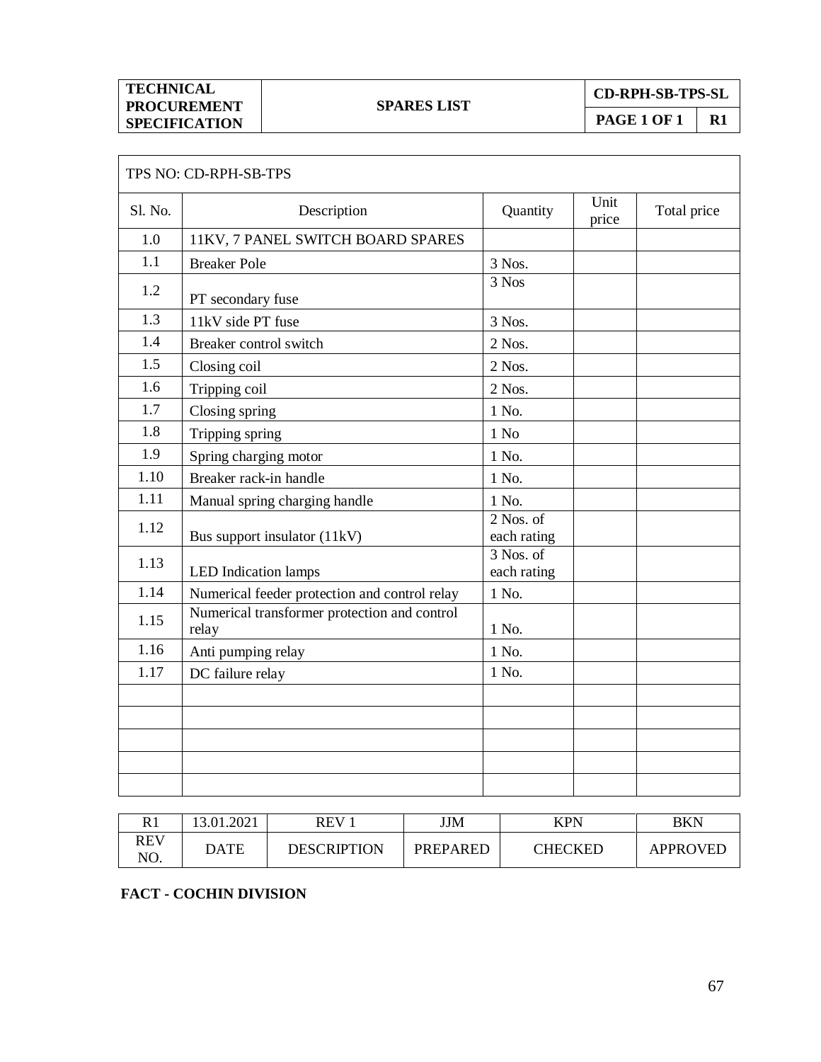| TECHNICAL            |
|----------------------|
| <b>PROCUREMENT</b>   |
| <b>SPECIFICATION</b> |

 $\Gamma$ 

**CD-RPH-SB-TPS-SL**

**PAGE 1 OF 1 R1**

٦

|         | TPS NO: CD-RPH-SB-TPS                                 |                                       |               |             |
|---------|-------------------------------------------------------|---------------------------------------|---------------|-------------|
| Sl. No. | Description                                           | Quantity                              | Unit<br>price | Total price |
| 1.0     | 11KV, 7 PANEL SWITCH BOARD SPARES                     |                                       |               |             |
| 1.1     | <b>Breaker Pole</b>                                   | 3 Nos.                                |               |             |
| 1.2     | PT secondary fuse                                     | $\overline{3}$ Nos                    |               |             |
| 1.3     | 11kV side PT fuse                                     | 3 Nos.                                |               |             |
| 1.4     | Breaker control switch                                | 2 Nos.                                |               |             |
| 1.5     | Closing coil                                          | 2 Nos.                                |               |             |
| 1.6     | Tripping coil                                         | 2 Nos.                                |               |             |
| 1.7     | Closing spring                                        | 1 No.                                 |               |             |
| 1.8     | Tripping spring                                       | $1$ No                                |               |             |
| 1.9     | Spring charging motor                                 | 1 No.                                 |               |             |
| 1.10    | Breaker rack-in handle                                | 1 No.                                 |               |             |
| 1.11    | Manual spring charging handle                         | 1 No.                                 |               |             |
| 1.12    | Bus support insulator (11kV)                          | 2 Nos. of<br>each rating              |               |             |
| 1.13    | <b>LED</b> Indication lamps                           | $\overline{3}$ Nos. of<br>each rating |               |             |
| 1.14    | Numerical feeder protection and control relay         | 1 No.                                 |               |             |
| 1.15    | Numerical transformer protection and control<br>relay | 1 No.                                 |               |             |
| 1.16    | Anti pumping relay                                    | 1 No.                                 |               |             |
| 1.17    | DC failure relay                                      | 1 No.                                 |               |             |
|         |                                                       |                                       |               |             |
|         |                                                       |                                       |               |             |
|         |                                                       |                                       |               |             |
|         |                                                       |                                       |               |             |
|         |                                                       |                                       |               |             |

| NΙ                | 13.01.2021  | REV         | JJM             | KPN            | BKN      |
|-------------------|-------------|-------------|-----------------|----------------|----------|
| <b>REV</b><br>NO. | <b>DATE</b> | DESCRIPTION | <b>PREPARED</b> | <b>THECKED</b> | APPROVED |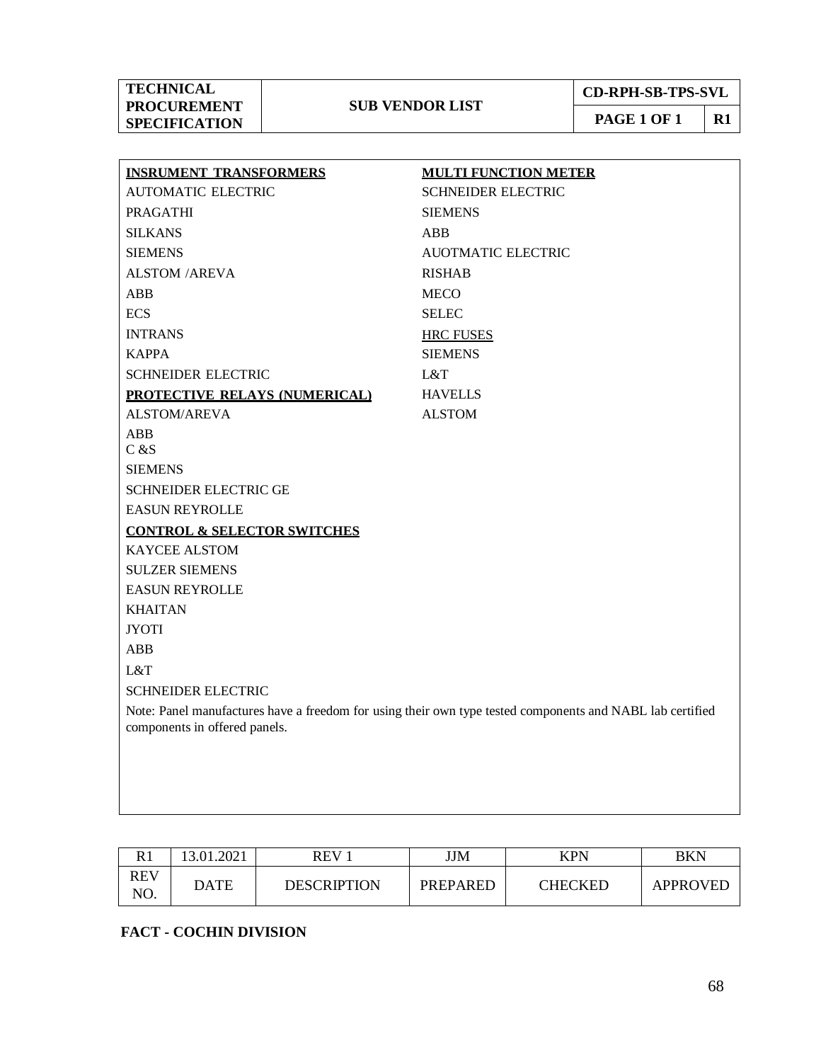**PAGE 1 OF 1 R1**

| <b>INSRUMENT TRANSFORMERS</b>                                                                             | <b>MULTI FUNCTION METER</b> |  |  |  |  |
|-----------------------------------------------------------------------------------------------------------|-----------------------------|--|--|--|--|
| <b>AUTOMATIC ELECTRIC</b>                                                                                 | <b>SCHNEIDER ELECTRIC</b>   |  |  |  |  |
| <b>PRAGATHI</b>                                                                                           | <b>SIEMENS</b>              |  |  |  |  |
| <b>SILKANS</b>                                                                                            | <b>ABB</b>                  |  |  |  |  |
| <b>SIEMENS</b>                                                                                            | <b>AUOTMATIC ELECTRIC</b>   |  |  |  |  |
| <b>ALSTOM /AREVA</b>                                                                                      | <b>RISHAB</b>               |  |  |  |  |
| <b>ABB</b>                                                                                                | <b>MECO</b>                 |  |  |  |  |
| <b>ECS</b>                                                                                                | <b>SELEC</b>                |  |  |  |  |
| <b>INTRANS</b>                                                                                            | <b>HRC FUSES</b>            |  |  |  |  |
| <b>KAPPA</b>                                                                                              | <b>SIEMENS</b>              |  |  |  |  |
| <b>SCHNEIDER ELECTRIC</b>                                                                                 | L&T                         |  |  |  |  |
| <b>PROTECTIVE RELAYS (NUMERICAL)</b>                                                                      | <b>HAVELLS</b>              |  |  |  |  |
| <b>ALSTOM/AREVA</b>                                                                                       | <b>ALSTOM</b>               |  |  |  |  |
| ABB                                                                                                       |                             |  |  |  |  |
| C & S                                                                                                     |                             |  |  |  |  |
| <b>SIEMENS</b>                                                                                            |                             |  |  |  |  |
| SCHNEIDER ELECTRIC GE                                                                                     |                             |  |  |  |  |
| <b>EASUN REYROLLE</b>                                                                                     |                             |  |  |  |  |
| <b>CONTROL &amp; SELECTOR SWITCHES</b>                                                                    |                             |  |  |  |  |
| <b>KAYCEE ALSTOM</b>                                                                                      |                             |  |  |  |  |
| <b>SULZER SIEMENS</b>                                                                                     |                             |  |  |  |  |
| <b>EASUN REYROLLE</b>                                                                                     |                             |  |  |  |  |
| <b>KHAITAN</b>                                                                                            |                             |  |  |  |  |
| <b>JYOTI</b>                                                                                              |                             |  |  |  |  |
| <b>ABB</b>                                                                                                |                             |  |  |  |  |
| L&T                                                                                                       |                             |  |  |  |  |
| <b>SCHNEIDER ELECTRIC</b>                                                                                 |                             |  |  |  |  |
| Note: Panel manufactures have a freedom for using their own type tested components and NABL lab certified |                             |  |  |  |  |
| components in offered panels.                                                                             |                             |  |  |  |  |
|                                                                                                           |                             |  |  |  |  |
|                                                                                                           |                             |  |  |  |  |
|                                                                                                           |                             |  |  |  |  |

| D 1<br>NΙ  | 13.01.2021 | REV                | JJM             | <b>KPN</b> | BKN      |
|------------|------------|--------------------|-----------------|------------|----------|
| REV<br>NO. | DATE       | <b>DESCRIPTION</b> | <b>PREPARED</b> | CHECKED    | APPROVED |

## **FACT - COCHIN DIVISION**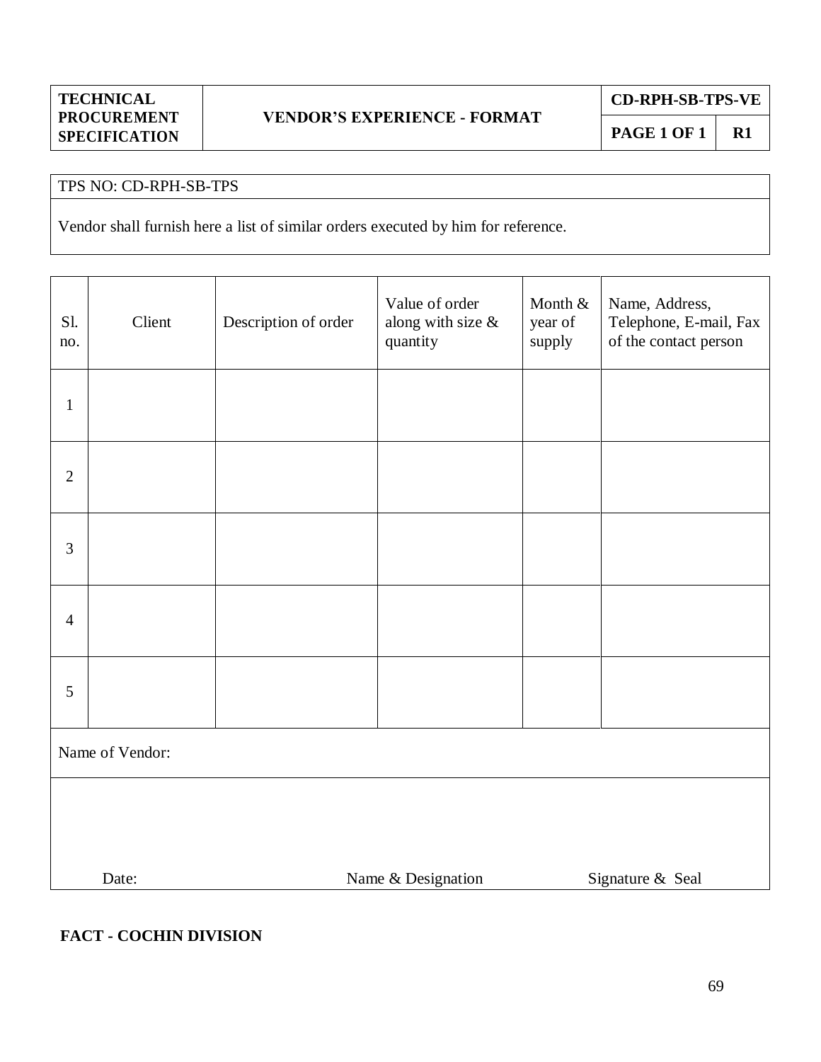**CD-RPH-SB-TPS-VE**

## TPS NO: CD-RPH-SB-TPS

Vendor shall furnish here a list of similar orders executed by him for reference.

| Sl.<br>no.      | Client | Description of order                   | Value of order<br>along with size $\&$<br>quantity | Month &<br>year of<br>supply | Name, Address,<br>Telephone, E-mail, Fax<br>of the contact person |  |
|-----------------|--------|----------------------------------------|----------------------------------------------------|------------------------------|-------------------------------------------------------------------|--|
| $\mathbf{1}$    |        |                                        |                                                    |                              |                                                                   |  |
| $\mathbf{2}$    |        |                                        |                                                    |                              |                                                                   |  |
| $\mathfrak{Z}$  |        |                                        |                                                    |                              |                                                                   |  |
| $\overline{4}$  |        |                                        |                                                    |                              |                                                                   |  |
| 5               |        |                                        |                                                    |                              |                                                                   |  |
| Name of Vendor: |        |                                        |                                                    |                              |                                                                   |  |
|                 |        |                                        |                                                    |                              |                                                                   |  |
|                 | Date:  | Name & Designation<br>Signature & Seal |                                                    |                              |                                                                   |  |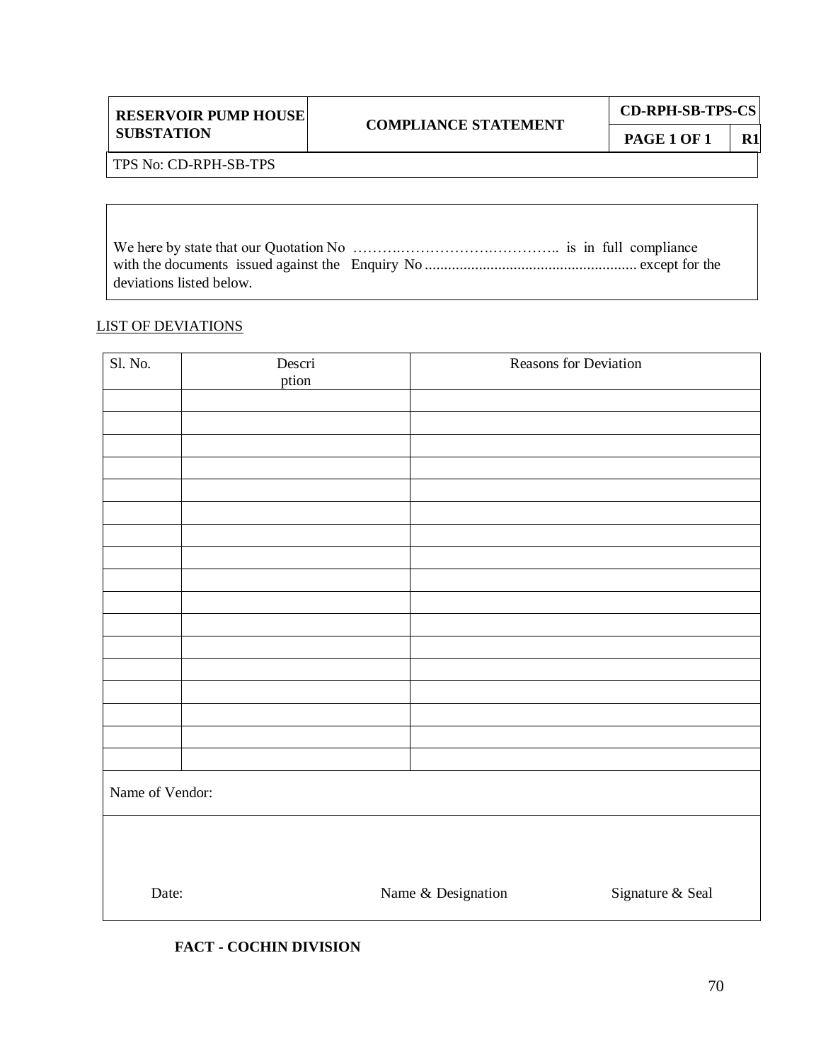| <b>RESERVOIR PUMP HOUSE</b> |
|-----------------------------|
| <b>SUBSTATION</b>           |

Τ

## **COMPLIANCE STATEMENT**

TPS No: CD-RPH-SB-TPS

We here by state that our Quotation No ……….……………….………….. is in full compliance with the documents issued against the Enquiry No ....................................................... except for the deviations listed below.

#### LIST OF DEVIATIONS

| Sl. No.         | Descri<br>ption |                    | Reasons for Deviation |
|-----------------|-----------------|--------------------|-----------------------|
|                 |                 |                    |                       |
|                 |                 |                    |                       |
|                 |                 |                    |                       |
|                 |                 |                    |                       |
|                 |                 |                    |                       |
|                 |                 |                    |                       |
|                 |                 |                    |                       |
|                 |                 |                    |                       |
|                 |                 |                    |                       |
|                 |                 |                    |                       |
|                 |                 |                    |                       |
|                 |                 |                    |                       |
|                 |                 |                    |                       |
|                 |                 |                    |                       |
|                 |                 |                    |                       |
|                 |                 |                    |                       |
| Name of Vendor: |                 |                    |                       |
|                 |                 |                    |                       |
| Date:           |                 | Name & Designation | Signature & Seal      |